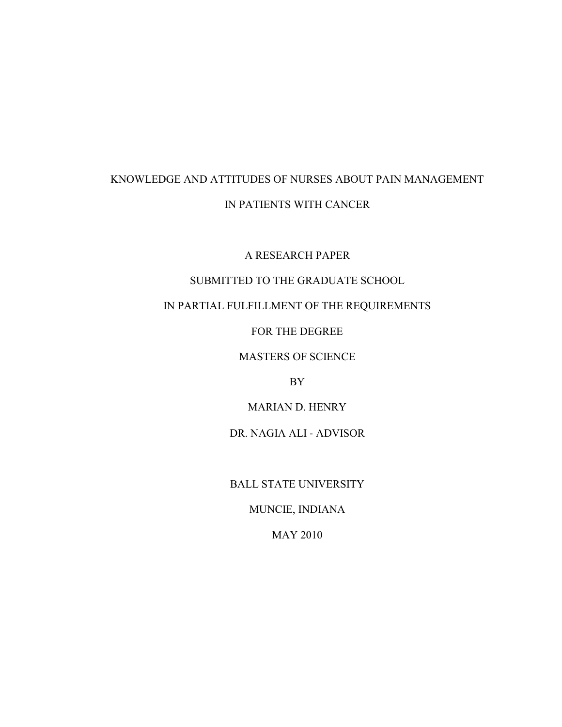# KNOWLEDGE AND ATTITUDES OF NURSES ABOUT PAIN MANAGEMENT IN PATIENTS WITH CANCER

A RESEARCH PAPER

# SUBMITTED TO THE GRADUATE SCHOOL

# IN PARTIAL FULFILLMENT OF THE REQUIREMENTS

FOR THE DEGREE

# MASTERS OF SCIENCE

BY

MARIAN D. HENRY

DR. NAGIA ALI ‐ ADVISOR

BALL STATE UNIVERSITY

MUNCIE, INDIANA

MAY 2010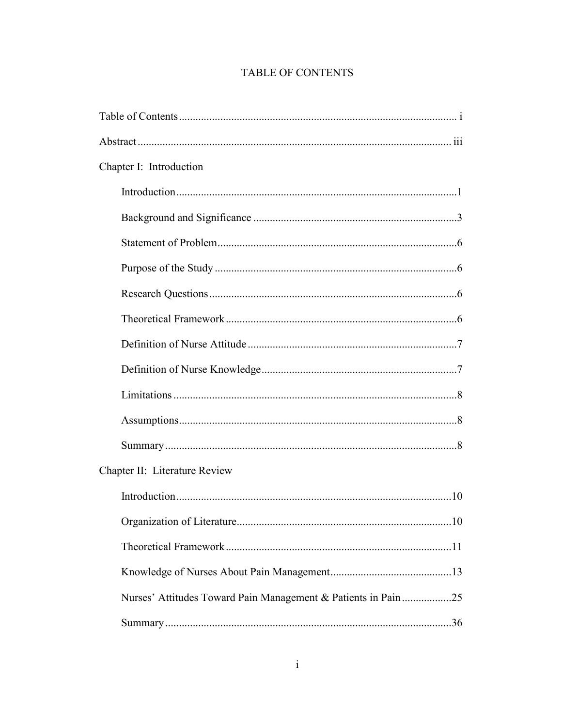# TABLE OF CONTENTS

| Chapter I: Introduction                                        |  |
|----------------------------------------------------------------|--|
|                                                                |  |
|                                                                |  |
|                                                                |  |
|                                                                |  |
|                                                                |  |
|                                                                |  |
|                                                                |  |
|                                                                |  |
|                                                                |  |
|                                                                |  |
|                                                                |  |
| Chapter II: Literature Review                                  |  |
|                                                                |  |
|                                                                |  |
|                                                                |  |
|                                                                |  |
| Nurses' Attitudes Toward Pain Management & Patients in Pain 25 |  |
|                                                                |  |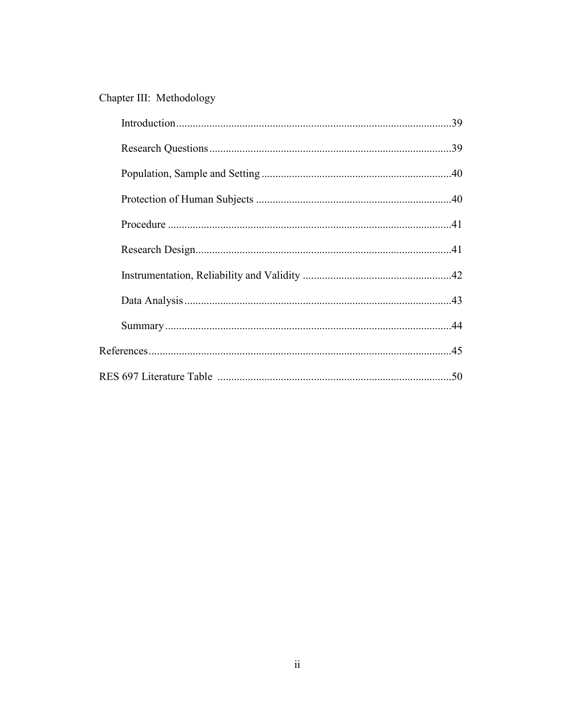# Chapter III: Methodology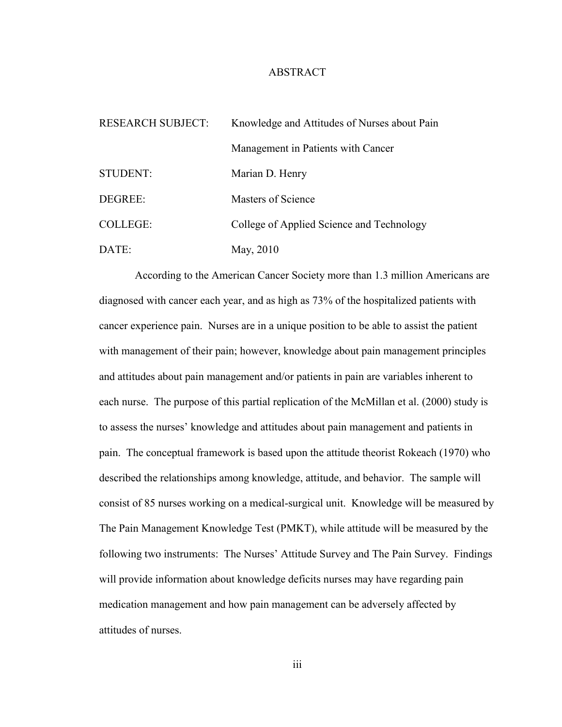## ABSTRACT

| <b>RESEARCH SUBJECT:</b> | Knowledge and Attitudes of Nurses about Pain |
|--------------------------|----------------------------------------------|
|                          | Management in Patients with Cancer           |
| <b>STUDENT:</b>          | Marian D. Henry                              |
| DEGREE:                  | Masters of Science                           |
| <b>COLLEGE:</b>          | College of Applied Science and Technology    |
| DATE:                    | May, 2010                                    |

According to the American Cancer Society more than 1.3 million Americans are diagnosed with cancer each year, and as high as 73% of the hospitalized patients with cancer experience pain. Nurses are in a unique position to be able to assist the patient with management of their pain; however, knowledge about pain management principles and attitudes about pain management and/or patients in pain are variables inherent to each nurse. The purpose of this partial replication of the McMillan et al. (2000) study is to assess the nurses' knowledge and attitudes about pain management and patients in pain. The conceptual framework is based upon the attitude theorist Rokeach (1970) who described the relationships among knowledge, attitude, and behavior. The sample will consist of 85 nurses working on a medical-surgical unit. Knowledge will be measured by The Pain Management Knowledge Test (PMKT), while attitude will be measured by the following two instruments: The Nurses' Attitude Survey and The Pain Survey. Findings will provide information about knowledge deficits nurses may have regarding pain medication management and how pain management can be adversely affected by attitudes of nurses.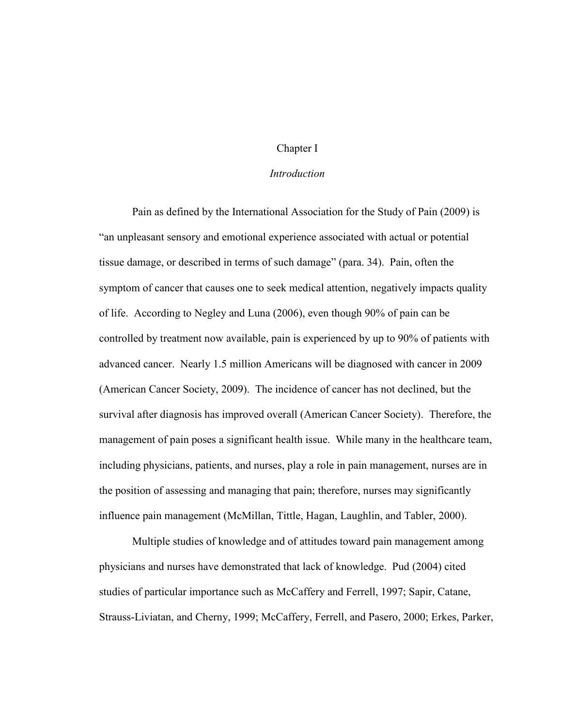## Chapter I

#### *Introduction*

Pain as defined by the International Association for the Study of Pain (2009) is "an unpleasant sensory and emotional experience associated with actual or potential tissue damage, or described in terms of such damage" (para. 34). Pain, often the symptom of cancer that causes one to seek medical attention, negatively impacts quality of life. According to Negley and Luna (2006), even though 90% of pain can be controlled by treatment now available, pain is experienced by up to 90% of patients with advanced cancer. Nearly 1.5 million Americans will be diagnosed with cancer in 2009 (American Cancer Society, 2009). The incidence of cancer has not declined, but the survival after diagnosis has improved overall (American Cancer Society). Therefore, the management of pain poses a significant health issue. While many in the healthcare team, including physicians, patients, and nurses, play a role in pain management, nurses are in the position of assessing and managing that pain; therefore, nurses may significantly influence pain management (McMillan, Tittle, Hagan, Laughlin, and Tabler, 2000).

Multiple studies of knowledge and of attitudes toward pain management among physicians and nurses have demonstrated that lack of knowledge. Pud (2004) cited studies of particular importance such as McCaffery and Ferrell, 1997; Sapir, Catane, Strauss-Liviatan, and Cherny, 1999; McCaffery, Ferrell, and Pasero, 2000; Erkes, Parker,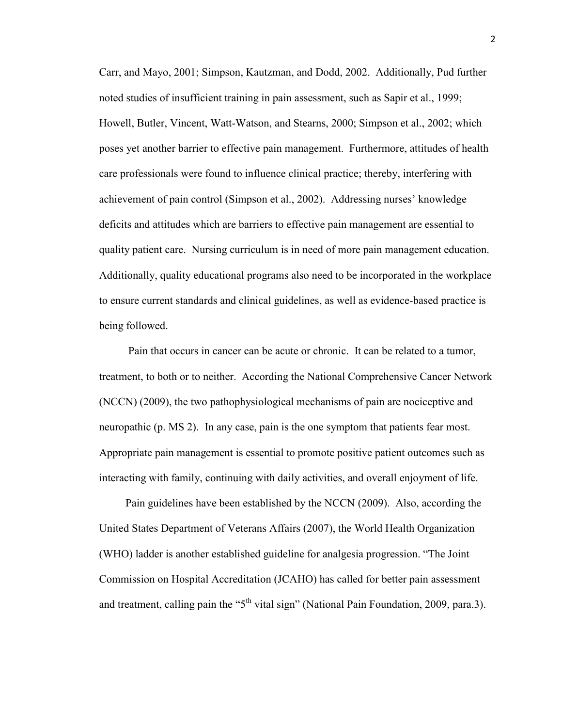Carr, and Mayo, 2001; Simpson, Kautzman, and Dodd, 2002. Additionally, Pud further noted studies of insufficient training in pain assessment, such as Sapir et al., 1999; Howell, Butler, Vincent, Watt-Watson, and Stearns, 2000; Simpson et al., 2002; which poses yet another barrier to effective pain management. Furthermore, attitudes of health care professionals were found to influence clinical practice; thereby, interfering with achievement of pain control (Simpson et al., 2002). Addressing nurses' knowledge deficits and attitudes which are barriers to effective pain management are essential to quality patient care. Nursing curriculum is in need of more pain management education. Additionally, quality educational programs also need to be incorporated in the workplace to ensure current standards and clinical guidelines, as well as evidence-based practice is being followed.

Pain that occurs in cancer can be acute or chronic. It can be related to a tumor, treatment, to both or to neither. According the National Comprehensive Cancer Network (NCCN) (2009), the two pathophysiological mechanisms of pain are nociceptive and neuropathic (p. MS 2). In any case, pain is the one symptom that patients fear most. Appropriate pain management is essential to promote positive patient outcomes such as interacting with family, continuing with daily activities, and overall enjoyment of life.

Pain guidelines have been established by the NCCN (2009). Also, according the United States Department of Veterans Affairs (2007), the World Health Organization (WHO) ladder is another established guideline for analgesia progression. "The Joint Commission on Hospital Accreditation (JCAHO) has called for better pain assessment and treatment, calling pain the " $5<sup>th</sup>$  vital sign" (National Pain Foundation, 2009, para.3).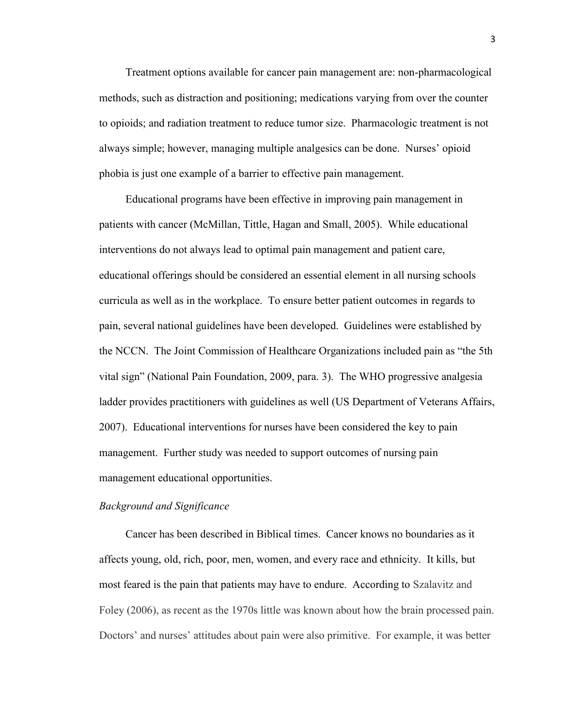Treatment options available for cancer pain management are: non-pharmacological methods, such as distraction and positioning; medications varying from over the counter to opioids; and radiation treatment to reduce tumor size. Pharmacologic treatment is not always simple; however, managing multiple analgesics can be done. Nurses' opioid phobia is just one example of a barrier to effective pain management.

Educational programs have been effective in improving pain management in patients with cancer (McMillan, Tittle, Hagan and Small, 2005). While educational interventions do not always lead to optimal pain management and patient care, educational offerings should be considered an essential element in all nursing schools curricula as well as in the workplace. To ensure better patient outcomes in regards to pain, several national guidelines have been developed. Guidelines were established by the NCCN. The Joint Commission of Healthcare Organizations included pain as "the 5th vital sign" (National Pain Foundation, 2009, para. 3). The WHO progressive analgesia ladder provides practitioners with guidelines as well (US Department of Veterans Affairs, 2007). Educational interventions for nurses have been considered the key to pain management. Further study was needed to support outcomes of nursing pain management educational opportunities.

#### *Background and Significance*

Cancer has been described in Biblical times. Cancer knows no boundaries as it affects young, old, rich, poor, men, women, and every race and ethnicity. It kills, but most feared is the pain that patients may have to endure. According to Szalavitz and Foley (2006), as recent as the 1970s little was known about how the brain processed pain. Doctors' and nurses' attitudes about pain were also primitive. For example, it was better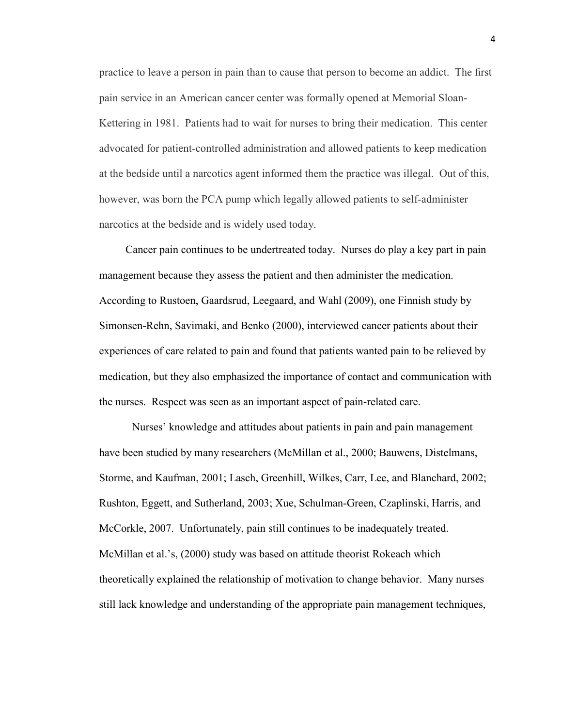practice to leave a person in pain than to cause that person to become an addict. The first pain service in an American cancer center was formally opened at Memorial Sloan-Kettering in 1981. Patients had to wait for nurses to bring their medication. This center advocated for patient-controlled administration and allowed patients to keep medication at the bedside until a narcotics agent informed them the practice was illegal. Out of this, however, was born the PCA pump which legally allowed patients to self-administer narcotics at the bedside and is widely used today.

Cancer pain continues to be undertreated today. Nurses do play a key part in pain management because they assess the patient and then administer the medication. According to Rustoen, Gaardsrud, Leegaard, and Wahl (2009), one Finnish study by Simonsen-Rehn, Savimaki, and Benko (2000), interviewed cancer patients about their experiences of care related to pain and found that patients wanted pain to be relieved by medication, but they also emphasized the importance of contact and communication with the nurses. Respect was seen as an important aspect of pain-related care.

Nurses' knowledge and attitudes about patients in pain and pain management have been studied by many researchers (McMillan et al., 2000; Bauwens, Distelmans, Storme, and Kaufman, 2001; Lasch, Greenhill, Wilkes, Carr, Lee, and Blanchard, 2002; Rushton, Eggett, and Sutherland, 2003; Xue, Schulman-Green, Czaplinski, Harris, and McCorkle, 2007. Unfortunately, pain still continues to be inadequately treated. McMillan et al.'s, (2000) study was based on attitude theorist Rokeach which theoretically explained the relationship of motivation to change behavior. Many nurses still lack knowledge and understanding of the appropriate pain management techniques,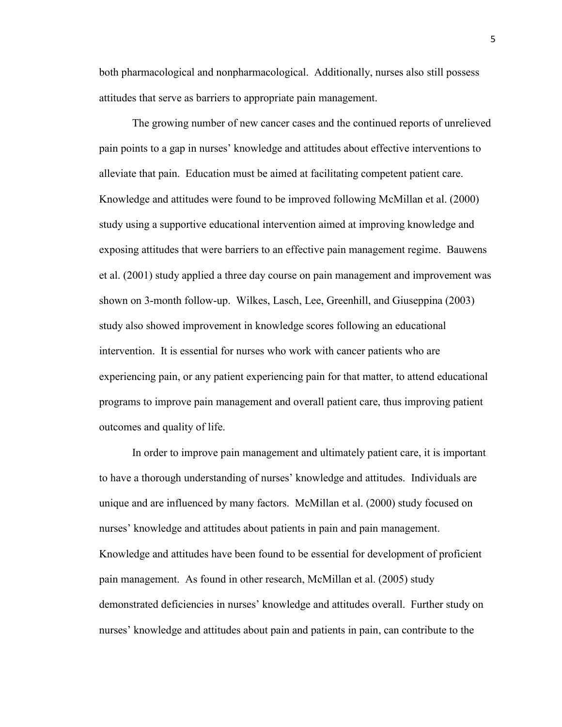both pharmacological and nonpharmacological. Additionally, nurses also still possess attitudes that serve as barriers to appropriate pain management.

The growing number of new cancer cases and the continued reports of unrelieved pain points to a gap in nurses' knowledge and attitudes about effective interventions to alleviate that pain. Education must be aimed at facilitating competent patient care. Knowledge and attitudes were found to be improved following McMillan et al. (2000) study using a supportive educational intervention aimed at improving knowledge and exposing attitudes that were barriers to an effective pain management regime. Bauwens et al. (2001) study applied a three day course on pain management and improvement was shown on 3-month follow-up. Wilkes, Lasch, Lee, Greenhill, and Giuseppina (2003) study also showed improvement in knowledge scores following an educational intervention. It is essential for nurses who work with cancer patients who are experiencing pain, or any patient experiencing pain for that matter, to attend educational programs to improve pain management and overall patient care, thus improving patient outcomes and quality of life.

In order to improve pain management and ultimately patient care, it is important to have a thorough understanding of nurses' knowledge and attitudes. Individuals are unique and are influenced by many factors. McMillan et al. (2000) study focused on nurses' knowledge and attitudes about patients in pain and pain management. Knowledge and attitudes have been found to be essential for development of proficient pain management. As found in other research, McMillan et al. (2005) study demonstrated deficiencies in nurses' knowledge and attitudes overall. Further study on nurses' knowledge and attitudes about pain and patients in pain, can contribute to the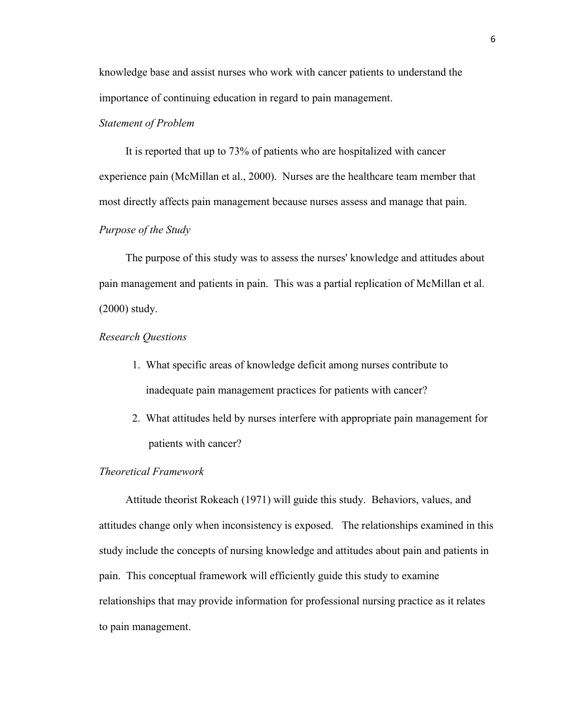knowledge base and assist nurses who work with cancer patients to understand the importance of continuing education in regard to pain management.

# *Statement of Problem*

It is reported that up to 73% of patients who are hospitalized with cancer experience pain (McMillan et al., 2000). Nurses are the healthcare team member that most directly affects pain management because nurses assess and manage that pain.

# *Purpose of the Study*

The purpose of this study was to assess the nurses' knowledge and attitudes about pain management and patients in pain. This was a partial replication of McMillan et al. (2000) study.

#### *Research Questions*

- 1. What specific areas of knowledge deficit among nurses contribute to inadequate pain management practices for patients with cancer?
- 2. What attitudes held by nurses interfere with appropriate pain management for patients with cancer?

## *Theoretical Framework*

Attitude theorist Rokeach (1971) will guide this study. Behaviors, values, and attitudes change only when inconsistency is exposed. The relationships examined in this study include the concepts of nursing knowledge and attitudes about pain and patients in pain. This conceptual framework will efficiently guide this study to examine relationships that may provide information for professional nursing practice as it relates to pain management.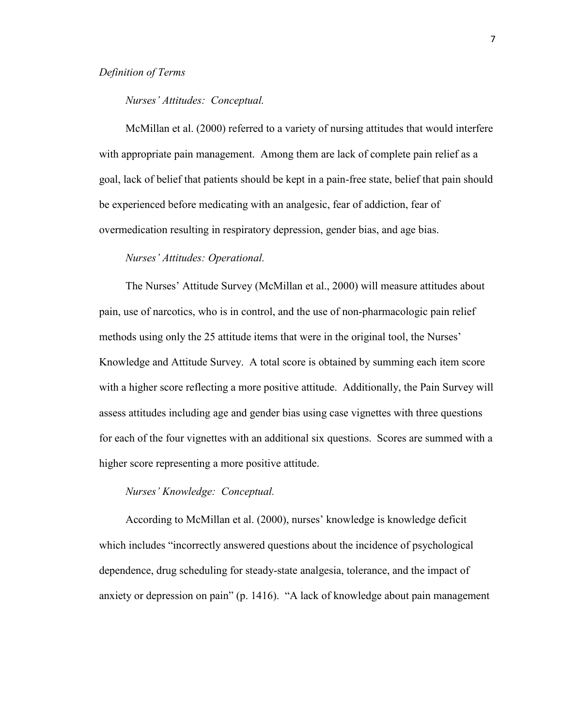### *Definition of Terms*

#### *Nurses' Attitudes: Conceptual.*

McMillan et al. (2000) referred to a variety of nursing attitudes that would interfere with appropriate pain management. Among them are lack of complete pain relief as a goal, lack of belief that patients should be kept in a pain-free state, belief that pain should be experienced before medicating with an analgesic, fear of addiction, fear of overmedication resulting in respiratory depression, gender bias, and age bias.

#### *Nurses' Attitudes: Operational.*

The Nurses' Attitude Survey (McMillan et al., 2000) will measure attitudes about pain, use of narcotics, who is in control, and the use of non-pharmacologic pain relief methods using only the 25 attitude items that were in the original tool, the Nurses' Knowledge and Attitude Survey. A total score is obtained by summing each item score with a higher score reflecting a more positive attitude. Additionally, the Pain Survey will assess attitudes including age and gender bias using case vignettes with three questions for each of the four vignettes with an additional six questions. Scores are summed with a higher score representing a more positive attitude.

#### *Nurses' Knowledge: Conceptual.*

According to McMillan et al. (2000), nurses' knowledge is knowledge deficit which includes "incorrectly answered questions about the incidence of psychological dependence, drug scheduling for steady-state analgesia, tolerance, and the impact of anxiety or depression on pain" (p. 1416). "A lack of knowledge about pain management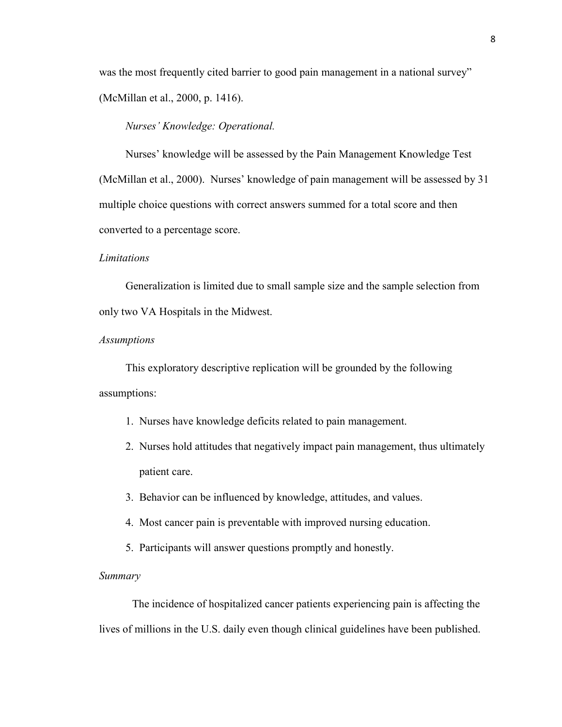was the most frequently cited barrier to good pain management in a national survey" (McMillan et al., 2000, p. 1416).

#### *Nurses' Knowledge: Operational.*

Nurses' knowledge will be assessed by the Pain Management Knowledge Test (McMillan et al., 2000). Nurses' knowledge of pain management will be assessed by 31 multiple choice questions with correct answers summed for a total score and then converted to a percentage score.

#### *Limitations*

Generalization is limited due to small sample size and the sample selection from only two VA Hospitals in the Midwest.

#### *Assumptions*

This exploratory descriptive replication will be grounded by the following assumptions:

- 1. Nurses have knowledge deficits related to pain management.
- 2. Nurses hold attitudes that negatively impact pain management, thus ultimately patient care.
- 3. Behavior can be influenced by knowledge, attitudes, and values.
- 4. Most cancer pain is preventable with improved nursing education.
- 5. Participants will answer questions promptly and honestly.

## *Summary*

The incidence of hospitalized cancer patients experiencing pain is affecting the lives of millions in the U.S. daily even though clinical guidelines have been published.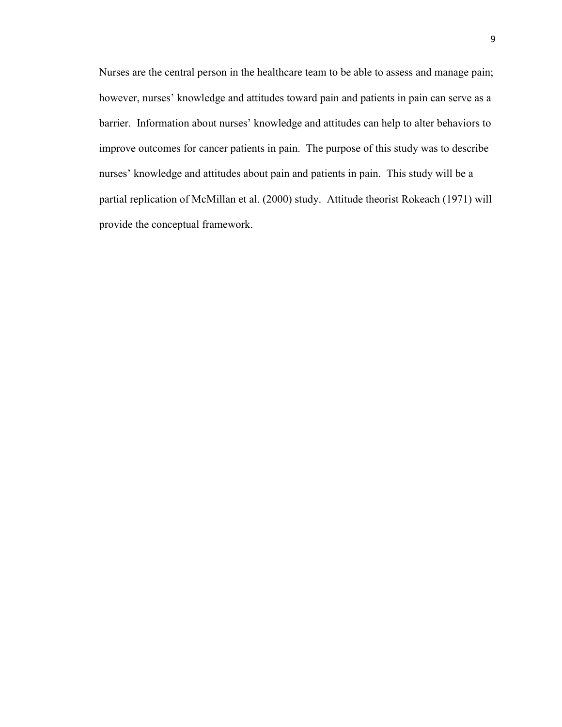Nurses are the central person in the healthcare team to be able to assess and manage pain; however, nurses' knowledge and attitudes toward pain and patients in pain can serve as a barrier. Information about nurses' knowledge and attitudes can help to alter behaviors to improve outcomes for cancer patients in pain. The purpose of this study was to describe nurses' knowledge and attitudes about pain and patients in pain. This study will be a partial replication of McMillan et al. (2000) study. Attitude theorist Rokeach (1971) will provide the conceptual framework.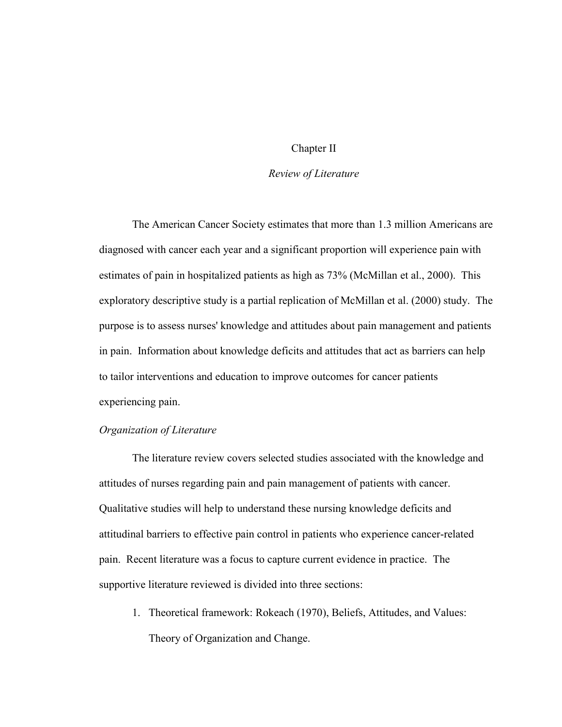## Chapter II

#### *Review of Literature*

The American Cancer Society estimates that more than 1.3 million Americans are diagnosed with cancer each year and a significant proportion will experience pain with estimates of pain in hospitalized patients as high as 73% (McMillan et al., 2000). This exploratory descriptive study is a partial replication of McMillan et al. (2000) study. The purpose is to assess nurses' knowledge and attitudes about pain management and patients in pain. Information about knowledge deficits and attitudes that act as barriers can help to tailor interventions and education to improve outcomes for cancer patients experiencing pain.

#### *Organization of Literature*

The literature review covers selected studies associated with the knowledge and attitudes of nurses regarding pain and pain management of patients with cancer. Qualitative studies will help to understand these nursing knowledge deficits and attitudinal barriers to effective pain control in patients who experience cancer-related pain. Recent literature was a focus to capture current evidence in practice. The supportive literature reviewed is divided into three sections:

1. Theoretical framework: Rokeach (1970), Beliefs, Attitudes, and Values: Theory of Organization and Change.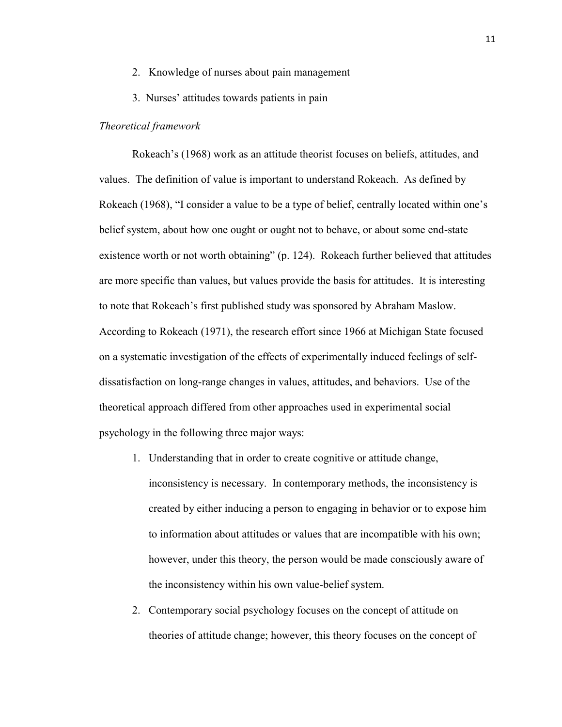- 2. Knowledge of nurses about pain management
- 3. Nurses' attitudes towards patients in pain

#### *Theoretical framework*

Rokeach's (1968) work as an attitude theorist focuses on beliefs, attitudes, and values. The definition of value is important to understand Rokeach. As defined by Rokeach (1968), "I consider a value to be a type of belief, centrally located within one's belief system, about how one ought or ought not to behave, or about some end-state existence worth or not worth obtaining" (p. 124). Rokeach further believed that attitudes are more specific than values, but values provide the basis for attitudes. It is interesting to note that Rokeach's first published study was sponsored by Abraham Maslow. According to Rokeach (1971), the research effort since 1966 at Michigan State focused on a systematic investigation of the effects of experimentally induced feelings of selfdissatisfaction on long-range changes in values, attitudes, and behaviors. Use of the theoretical approach differed from other approaches used in experimental social psychology in the following three major ways:

- 1. Understanding that in order to create cognitive or attitude change, inconsistency is necessary. In contemporary methods, the inconsistency is created by either inducing a person to engaging in behavior or to expose him to information about attitudes or values that are incompatible with his own; however, under this theory, the person would be made consciously aware of the inconsistency within his own value-belief system.
- 2. Contemporary social psychology focuses on the concept of attitude on theories of attitude change; however, this theory focuses on the concept of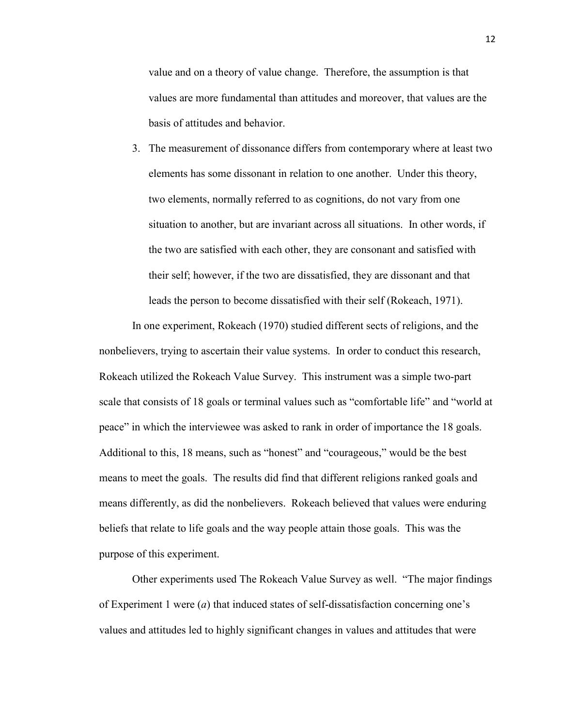value and on a theory of value change. Therefore, the assumption is that values are more fundamental than attitudes and moreover, that values are the basis of attitudes and behavior.

3. The measurement of dissonance differs from contemporary where at least two elements has some dissonant in relation to one another. Under this theory, two elements, normally referred to as cognitions, do not vary from one situation to another, but are invariant across all situations. In other words, if the two are satisfied with each other, they are consonant and satisfied with their self; however, if the two are dissatisfied, they are dissonant and that leads the person to become dissatisfied with their self (Rokeach, 1971).

In one experiment, Rokeach (1970) studied different sects of religions, and the nonbelievers, trying to ascertain their value systems. In order to conduct this research, Rokeach utilized the Rokeach Value Survey. This instrument was a simple two-part scale that consists of 18 goals or terminal values such as "comfortable life" and "world at peace" in which the interviewee was asked to rank in order of importance the 18 goals. Additional to this, 18 means, such as "honest" and "courageous," would be the best means to meet the goals. The results did find that different religions ranked goals and means differently, as did the nonbelievers. Rokeach believed that values were enduring beliefs that relate to life goals and the way people attain those goals. This was the purpose of this experiment.

Other experiments used The Rokeach Value Survey as well. "The major findings of Experiment 1 were (*a*) that induced states of self-dissatisfaction concerning one's values and attitudes led to highly significant changes in values and attitudes that were

12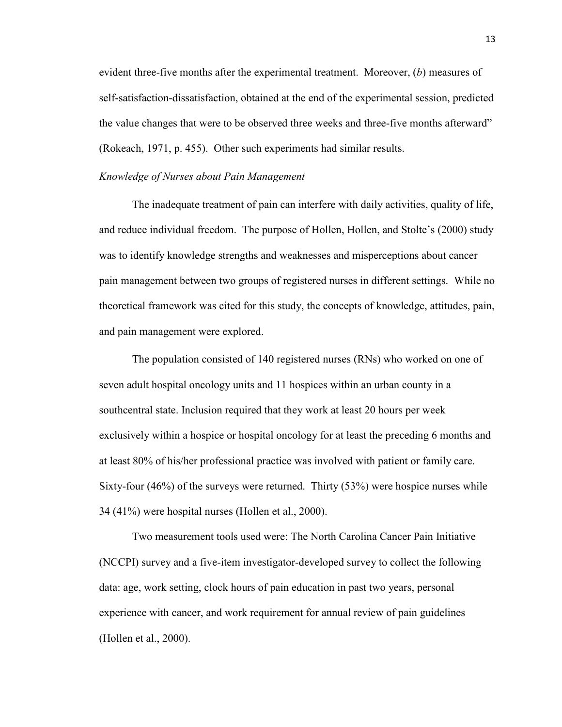evident three-five months after the experimental treatment. Moreover, (*b*) measures of self-satisfaction-dissatisfaction, obtained at the end of the experimental session, predicted the value changes that were to be observed three weeks and three-five months afterward" (Rokeach, 1971, p. 455). Other such experiments had similar results.

#### *Knowledge of Nurses about Pain Management*

The inadequate treatment of pain can interfere with daily activities, quality of life, and reduce individual freedom. The purpose of Hollen, Hollen, and Stolte's (2000) study was to identify knowledge strengths and weaknesses and misperceptions about cancer pain management between two groups of registered nurses in different settings. While no theoretical framework was cited for this study, the concepts of knowledge, attitudes, pain, and pain management were explored.

The population consisted of 140 registered nurses (RNs) who worked on one of seven adult hospital oncology units and 11 hospices within an urban county in a southcentral state. Inclusion required that they work at least 20 hours per week exclusively within a hospice or hospital oncology for at least the preceding 6 months and at least 80% of his/her professional practice was involved with patient or family care. Sixty-four (46%) of the surveys were returned. Thirty (53%) were hospice nurses while 34 (41%) were hospital nurses (Hollen et al., 2000).

Two measurement tools used were: The North Carolina Cancer Pain Initiative (NCCPI) survey and a five-item investigator-developed survey to collect the following data: age, work setting, clock hours of pain education in past two years, personal experience with cancer, and work requirement for annual review of pain guidelines (Hollen et al., 2000).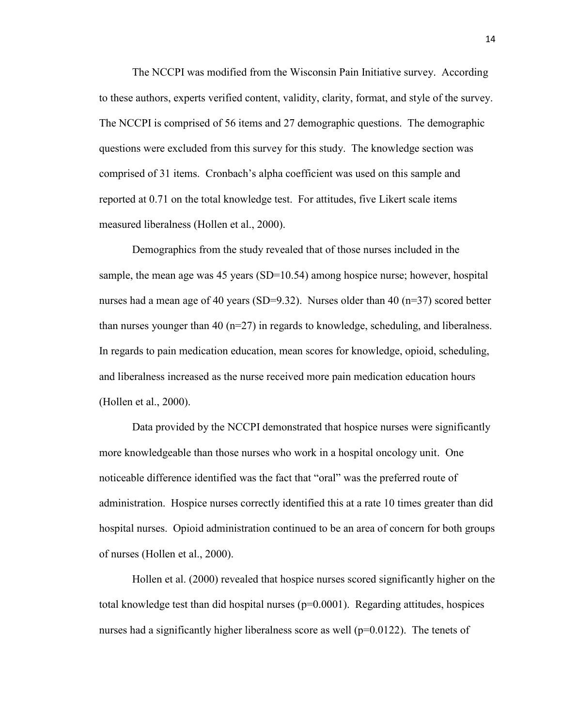The NCCPI was modified from the Wisconsin Pain Initiative survey. According to these authors, experts verified content, validity, clarity, format, and style of the survey. The NCCPI is comprised of 56 items and 27 demographic questions. The demographic questions were excluded from this survey for this study. The knowledge section was comprised of 31 items. Cronbach's alpha coefficient was used on this sample and reported at 0.71 on the total knowledge test. For attitudes, five Likert scale items measured liberalness (Hollen et al., 2000).

Demographics from the study revealed that of those nurses included in the sample, the mean age was 45 years (SD=10.54) among hospice nurse; however, hospital nurses had a mean age of 40 years (SD=9.32). Nurses older than 40 (n=37) scored better than nurses younger than 40 (n=27) in regards to knowledge, scheduling, and liberalness. In regards to pain medication education, mean scores for knowledge, opioid, scheduling, and liberalness increased as the nurse received more pain medication education hours (Hollen et al., 2000).

Data provided by the NCCPI demonstrated that hospice nurses were significantly more knowledgeable than those nurses who work in a hospital oncology unit. One noticeable difference identified was the fact that "oral" was the preferred route of administration. Hospice nurses correctly identified this at a rate 10 times greater than did hospital nurses. Opioid administration continued to be an area of concern for both groups of nurses (Hollen et al., 2000).

Hollen et al. (2000) revealed that hospice nurses scored significantly higher on the total knowledge test than did hospital nurses  $(p=0.0001)$ . Regarding attitudes, hospices nurses had a significantly higher liberalness score as well  $(p=0.0122)$ . The tenets of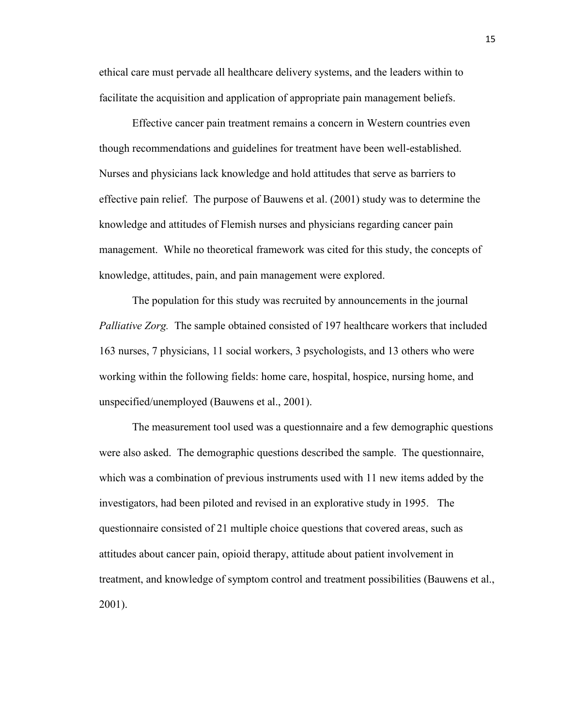ethical care must pervade all healthcare delivery systems, and the leaders within to facilitate the acquisition and application of appropriate pain management beliefs.

Effective cancer pain treatment remains a concern in Western countries even though recommendations and guidelines for treatment have been well-established. Nurses and physicians lack knowledge and hold attitudes that serve as barriers to effective pain relief. The purpose of Bauwens et al. (2001) study was to determine the knowledge and attitudes of Flemish nurses and physicians regarding cancer pain management. While no theoretical framework was cited for this study, the concepts of knowledge, attitudes, pain, and pain management were explored.

The population for this study was recruited by announcements in the journal *Palliative Zorg.* The sample obtained consisted of 197 healthcare workers that included 163 nurses, 7 physicians, 11 social workers, 3 psychologists, and 13 others who were working within the following fields: home care, hospital, hospice, nursing home, and unspecified/unemployed (Bauwens et al., 2001).

The measurement tool used was a questionnaire and a few demographic questions were also asked. The demographic questions described the sample. The questionnaire, which was a combination of previous instruments used with 11 new items added by the investigators, had been piloted and revised in an explorative study in 1995. The questionnaire consisted of 21 multiple choice questions that covered areas, such as attitudes about cancer pain, opioid therapy, attitude about patient involvement in treatment, and knowledge of symptom control and treatment possibilities (Bauwens et al., 2001).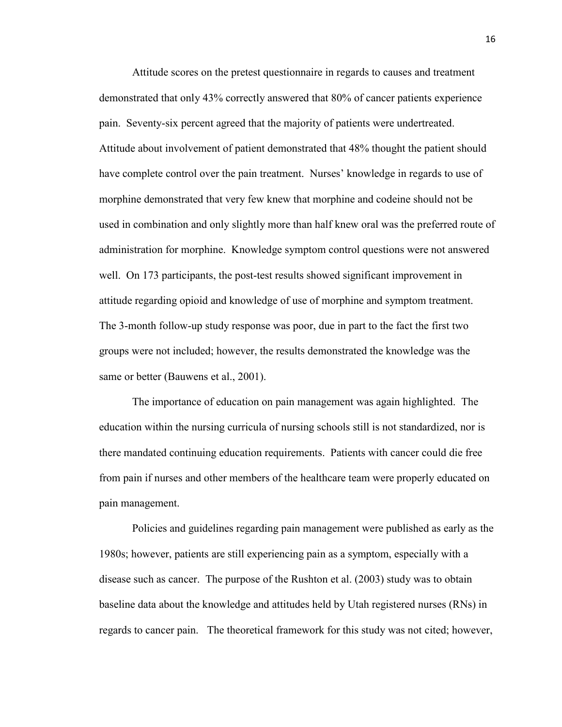Attitude scores on the pretest questionnaire in regards to causes and treatment demonstrated that only 43% correctly answered that 80% of cancer patients experience pain. Seventy-six percent agreed that the majority of patients were undertreated. Attitude about involvement of patient demonstrated that 48% thought the patient should have complete control over the pain treatment. Nurses' knowledge in regards to use of morphine demonstrated that very few knew that morphine and codeine should not be used in combination and only slightly more than half knew oral was the preferred route of administration for morphine. Knowledge symptom control questions were not answered well. On 173 participants, the post-test results showed significant improvement in attitude regarding opioid and knowledge of use of morphine and symptom treatment. The 3-month follow-up study response was poor, due in part to the fact the first two groups were not included; however, the results demonstrated the knowledge was the same or better (Bauwens et al., 2001).

The importance of education on pain management was again highlighted. The education within the nursing curricula of nursing schools still is not standardized, nor is there mandated continuing education requirements. Patients with cancer could die free from pain if nurses and other members of the healthcare team were properly educated on pain management.

Policies and guidelines regarding pain management were published as early as the 1980s; however, patients are still experiencing pain as a symptom, especially with a disease such as cancer. The purpose of the Rushton et al. (2003) study was to obtain baseline data about the knowledge and attitudes held by Utah registered nurses (RNs) in regards to cancer pain. The theoretical framework for this study was not cited; however,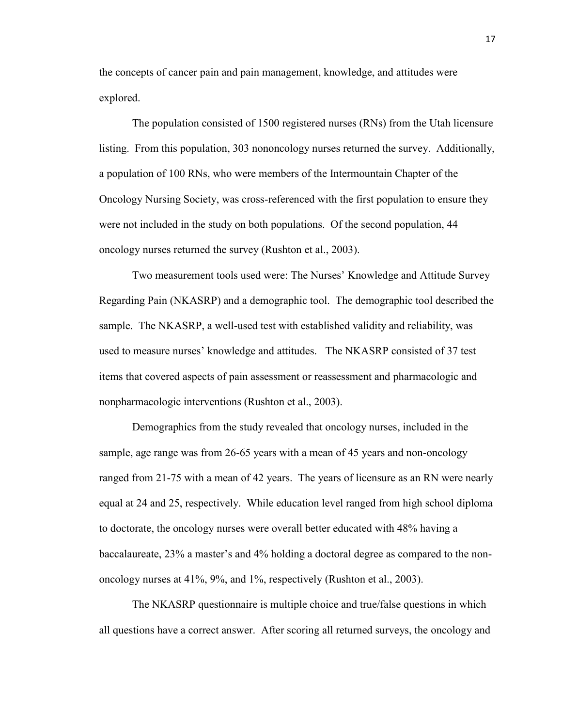the concepts of cancer pain and pain management, knowledge, and attitudes were explored.

The population consisted of 1500 registered nurses (RNs) from the Utah licensure listing. From this population, 303 nononcology nurses returned the survey. Additionally, a population of 100 RNs, who were members of the Intermountain Chapter of the Oncology Nursing Society, was cross-referenced with the first population to ensure they were not included in the study on both populations. Of the second population, 44 oncology nurses returned the survey (Rushton et al., 2003).

Two measurement tools used were: The Nurses' Knowledge and Attitude Survey Regarding Pain (NKASRP) and a demographic tool. The demographic tool described the sample. The NKASRP, a well-used test with established validity and reliability, was used to measure nurses' knowledge and attitudes. The NKASRP consisted of 37 test items that covered aspects of pain assessment or reassessment and pharmacologic and nonpharmacologic interventions (Rushton et al., 2003).

Demographics from the study revealed that oncology nurses, included in the sample, age range was from 26-65 years with a mean of 45 years and non-oncology ranged from 21-75 with a mean of 42 years. The years of licensure as an RN were nearly equal at 24 and 25, respectively. While education level ranged from high school diploma to doctorate, the oncology nurses were overall better educated with 48% having a baccalaureate, 23% a master's and 4% holding a doctoral degree as compared to the nononcology nurses at 41%, 9%, and 1%, respectively (Rushton et al., 2003).

The NKASRP questionnaire is multiple choice and true/false questions in which all questions have a correct answer. After scoring all returned surveys, the oncology and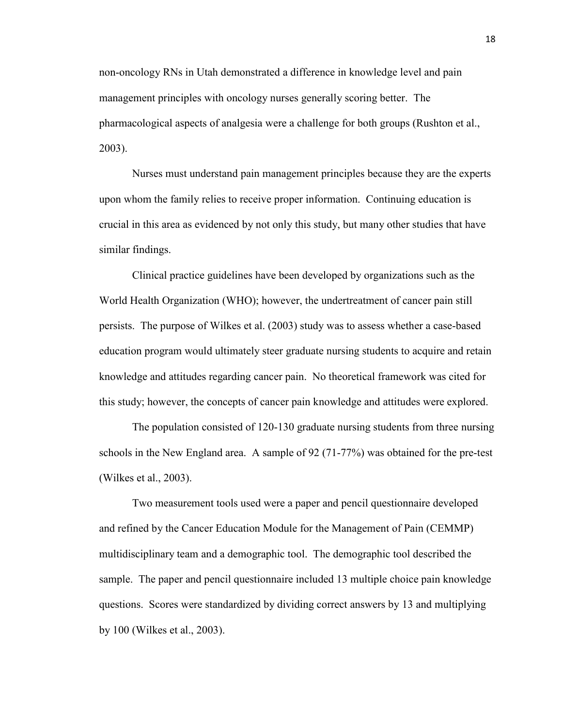non-oncology RNs in Utah demonstrated a difference in knowledge level and pain management principles with oncology nurses generally scoring better. The pharmacological aspects of analgesia were a challenge for both groups (Rushton et al., 2003).

Nurses must understand pain management principles because they are the experts upon whom the family relies to receive proper information. Continuing education is crucial in this area as evidenced by not only this study, but many other studies that have similar findings.

Clinical practice guidelines have been developed by organizations such as the World Health Organization (WHO); however, the undertreatment of cancer pain still persists. The purpose of Wilkes et al. (2003) study was to assess whether a case-based education program would ultimately steer graduate nursing students to acquire and retain knowledge and attitudes regarding cancer pain. No theoretical framework was cited for this study; however, the concepts of cancer pain knowledge and attitudes were explored.

The population consisted of 120-130 graduate nursing students from three nursing schools in the New England area. A sample of 92 (71-77%) was obtained for the pre-test (Wilkes et al., 2003).

Two measurement tools used were a paper and pencil questionnaire developed and refined by the Cancer Education Module for the Management of Pain (CEMMP) multidisciplinary team and a demographic tool. The demographic tool described the sample. The paper and pencil questionnaire included 13 multiple choice pain knowledge questions. Scores were standardized by dividing correct answers by 13 and multiplying by 100 (Wilkes et al., 2003).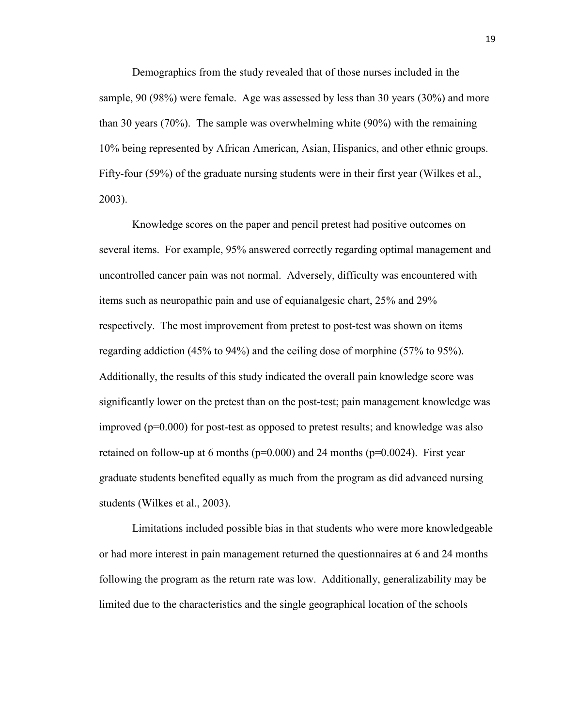Demographics from the study revealed that of those nurses included in the sample, 90 (98%) were female. Age was assessed by less than 30 years (30%) and more than 30 years (70%). The sample was overwhelming white (90%) with the remaining 10% being represented by African American, Asian, Hispanics, and other ethnic groups. Fifty-four (59%) of the graduate nursing students were in their first year (Wilkes et al., 2003).

Knowledge scores on the paper and pencil pretest had positive outcomes on several items. For example, 95% answered correctly regarding optimal management and uncontrolled cancer pain was not normal. Adversely, difficulty was encountered with items such as neuropathic pain and use of equianalgesic chart, 25% and 29% respectively. The most improvement from pretest to post-test was shown on items regarding addiction (45% to 94%) and the ceiling dose of morphine (57% to 95%). Additionally, the results of this study indicated the overall pain knowledge score was significantly lower on the pretest than on the post-test; pain management knowledge was improved  $(p=0.000)$  for post-test as opposed to pretest results; and knowledge was also retained on follow-up at 6 months ( $p=0.000$ ) and 24 months ( $p=0.0024$ ). First year graduate students benefited equally as much from the program as did advanced nursing students (Wilkes et al., 2003).

Limitations included possible bias in that students who were more knowledgeable or had more interest in pain management returned the questionnaires at 6 and 24 months following the program as the return rate was low. Additionally, generalizability may be limited due to the characteristics and the single geographical location of the schools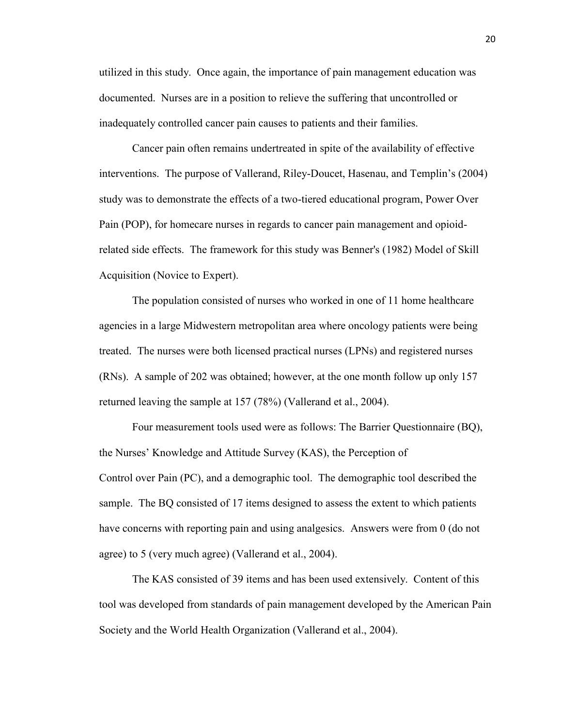utilized in this study. Once again, the importance of pain management education was documented. Nurses are in a position to relieve the suffering that uncontrolled or inadequately controlled cancer pain causes to patients and their families.

Cancer pain often remains undertreated in spite of the availability of effective interventions. The purpose of Vallerand, Riley-Doucet, Hasenau, and Templin's (2004) study was to demonstrate the effects of a two-tiered educational program, Power Over Pain (POP), for homecare nurses in regards to cancer pain management and opioidrelated side effects. The framework for this study was Benner's (1982) Model of Skill Acquisition (Novice to Expert).

The population consisted of nurses who worked in one of 11 home healthcare agencies in a large Midwestern metropolitan area where oncology patients were being treated. The nurses were both licensed practical nurses (LPNs) and registered nurses (RNs). A sample of 202 was obtained; however, at the one month follow up only 157 returned leaving the sample at 157 (78%) (Vallerand et al., 2004).

Four measurement tools used were as follows: The Barrier Questionnaire (BQ), the Nurses' Knowledge and Attitude Survey (KAS), the Perception of Control over Pain (PC), and a demographic tool. The demographic tool described the sample. The BQ consisted of 17 items designed to assess the extent to which patients have concerns with reporting pain and using analgesics. Answers were from 0 (do not agree) to 5 (very much agree) (Vallerand et al., 2004).

The KAS consisted of 39 items and has been used extensively. Content of this tool was developed from standards of pain management developed by the American Pain Society and the World Health Organization (Vallerand et al., 2004).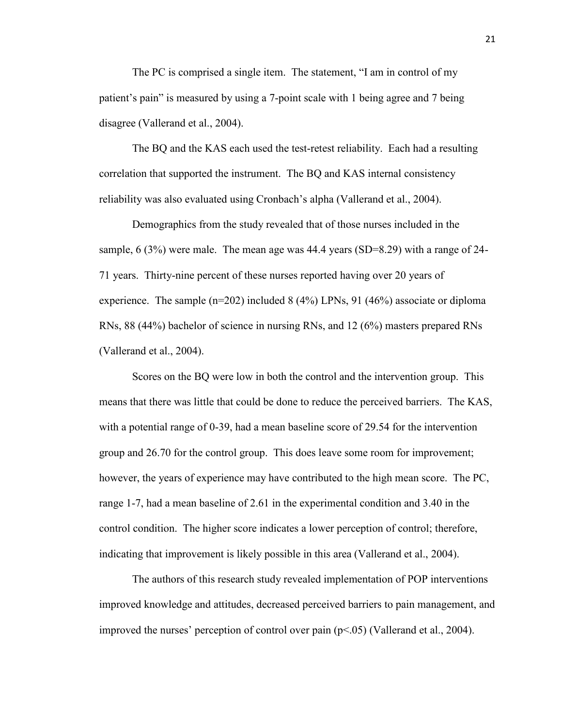The PC is comprised a single item. The statement, "I am in control of my patient's pain" is measured by using a 7-point scale with 1 being agree and 7 being disagree (Vallerand et al., 2004).

The BQ and the KAS each used the test-retest reliability. Each had a resulting correlation that supported the instrument. The BQ and KAS internal consistency reliability was also evaluated using Cronbach's alpha (Vallerand et al., 2004).

Demographics from the study revealed that of those nurses included in the sample, 6 (3%) were male. The mean age was 44.4 years (SD=8.29) with a range of 24- 71 years. Thirty-nine percent of these nurses reported having over 20 years of experience. The sample  $(n=202)$  included 8 (4%) LPNs, 91 (46%) associate or diploma RNs, 88 (44%) bachelor of science in nursing RNs, and 12 (6%) masters prepared RNs (Vallerand et al., 2004).

Scores on the BQ were low in both the control and the intervention group. This means that there was little that could be done to reduce the perceived barriers. The KAS, with a potential range of 0-39, had a mean baseline score of 29.54 for the intervention group and 26.70 for the control group. This does leave some room for improvement; however, the years of experience may have contributed to the high mean score. The PC, range 1-7, had a mean baseline of 2.61 in the experimental condition and 3.40 in the control condition. The higher score indicates a lower perception of control; therefore, indicating that improvement is likely possible in this area (Vallerand et al., 2004).

The authors of this research study revealed implementation of POP interventions improved knowledge and attitudes, decreased perceived barriers to pain management, and improved the nurses' perception of control over pain  $(p<0.05)$  (Vallerand et al., 2004).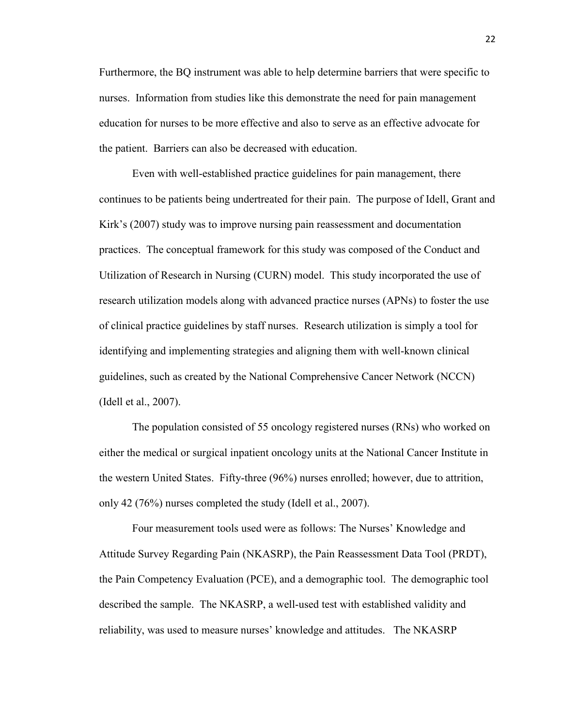Furthermore, the BQ instrument was able to help determine barriers that were specific to nurses. Information from studies like this demonstrate the need for pain management education for nurses to be more effective and also to serve as an effective advocate for the patient. Barriers can also be decreased with education.

Even with well-established practice guidelines for pain management, there continues to be patients being undertreated for their pain. The purpose of Idell, Grant and Kirk's (2007) study was to improve nursing pain reassessment and documentation practices. The conceptual framework for this study was composed of the Conduct and Utilization of Research in Nursing (CURN) model. This study incorporated the use of research utilization models along with advanced practice nurses (APNs) to foster the use of clinical practice guidelines by staff nurses. Research utilization is simply a tool for identifying and implementing strategies and aligning them with well-known clinical guidelines, such as created by the National Comprehensive Cancer Network (NCCN) (Idell et al., 2007).

The population consisted of 55 oncology registered nurses (RNs) who worked on either the medical or surgical inpatient oncology units at the National Cancer Institute in the western United States. Fifty-three (96%) nurses enrolled; however, due to attrition, only 42 (76%) nurses completed the study (Idell et al., 2007).

Four measurement tools used were as follows: The Nurses' Knowledge and Attitude Survey Regarding Pain (NKASRP), the Pain Reassessment Data Tool (PRDT), the Pain Competency Evaluation (PCE), and a demographic tool. The demographic tool described the sample. The NKASRP, a well-used test with established validity and reliability, was used to measure nurses' knowledge and attitudes. The NKASRP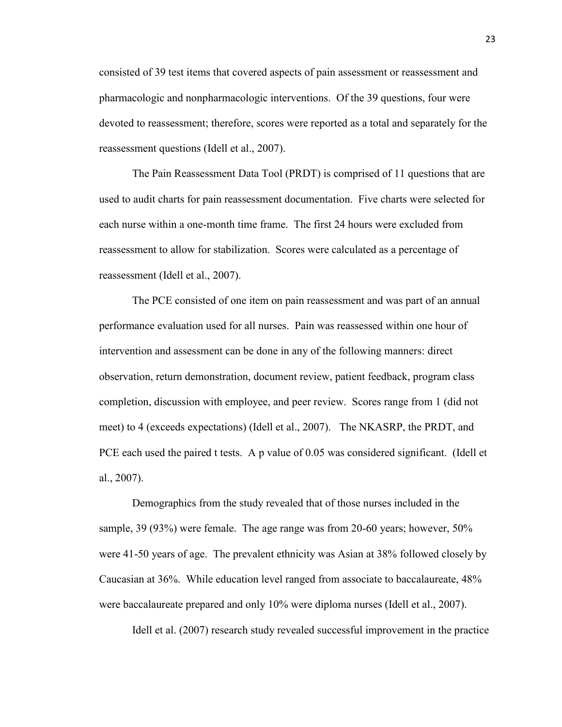consisted of 39 test items that covered aspects of pain assessment or reassessment and pharmacologic and nonpharmacologic interventions. Of the 39 questions, four were devoted to reassessment; therefore, scores were reported as a total and separately for the reassessment questions (Idell et al., 2007).

The Pain Reassessment Data Tool (PRDT) is comprised of 11 questions that are used to audit charts for pain reassessment documentation. Five charts were selected for each nurse within a one-month time frame. The first 24 hours were excluded from reassessment to allow for stabilization. Scores were calculated as a percentage of reassessment (Idell et al., 2007).

The PCE consisted of one item on pain reassessment and was part of an annual performance evaluation used for all nurses. Pain was reassessed within one hour of intervention and assessment can be done in any of the following manners: direct observation, return demonstration, document review, patient feedback, program class completion, discussion with employee, and peer review. Scores range from 1 (did not meet) to 4 (exceeds expectations) (Idell et al., 2007). The NKASRP, the PRDT, and PCE each used the paired t tests. A p value of 0.05 was considered significant. (Idell et al., 2007).

Demographics from the study revealed that of those nurses included in the sample, 39 (93%) were female. The age range was from 20-60 years; however, 50% were 41-50 years of age. The prevalent ethnicity was Asian at 38% followed closely by Caucasian at 36%. While education level ranged from associate to baccalaureate, 48% were baccalaureate prepared and only 10% were diploma nurses (Idell et al., 2007).

Idell et al. (2007) research study revealed successful improvement in the practice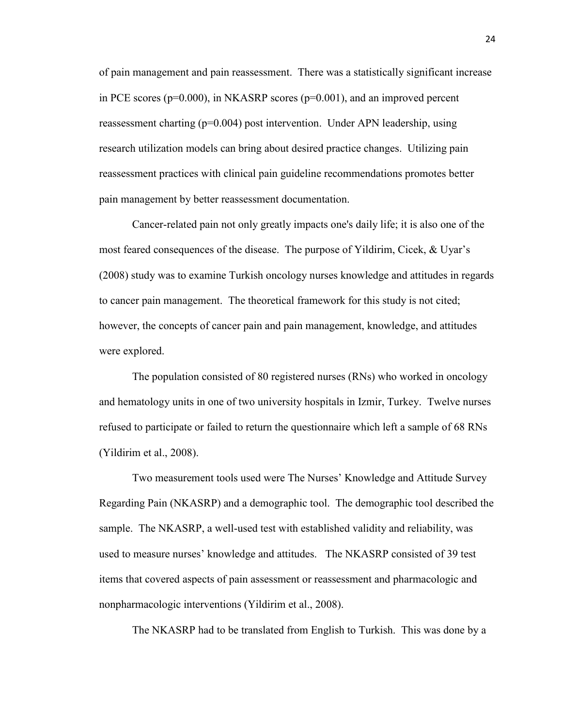of pain management and pain reassessment. There was a statistically significant increase in PCE scores (p=0.000), in NKASRP scores (p=0.001), and an improved percent reassessment charting  $(p=0.004)$  post intervention. Under APN leadership, using research utilization models can bring about desired practice changes. Utilizing pain reassessment practices with clinical pain guideline recommendations promotes better pain management by better reassessment documentation.

Cancer-related pain not only greatly impacts one's daily life; it is also one of the most feared consequences of the disease. The purpose of Yildirim, Cicek, & Uyar's (2008) study was to examine Turkish oncology nurses knowledge and attitudes in regards to cancer pain management. The theoretical framework for this study is not cited; however, the concepts of cancer pain and pain management, knowledge, and attitudes were explored.

The population consisted of 80 registered nurses (RNs) who worked in oncology and hematology units in one of two university hospitals in Izmir, Turkey. Twelve nurses refused to participate or failed to return the questionnaire which left a sample of 68 RNs (Yildirim et al., 2008).

Two measurement tools used were The Nurses' Knowledge and Attitude Survey Regarding Pain (NKASRP) and a demographic tool. The demographic tool described the sample. The NKASRP, a well-used test with established validity and reliability, was used to measure nurses' knowledge and attitudes. The NKASRP consisted of 39 test items that covered aspects of pain assessment or reassessment and pharmacologic and nonpharmacologic interventions (Yildirim et al., 2008).

The NKASRP had to be translated from English to Turkish. This was done by a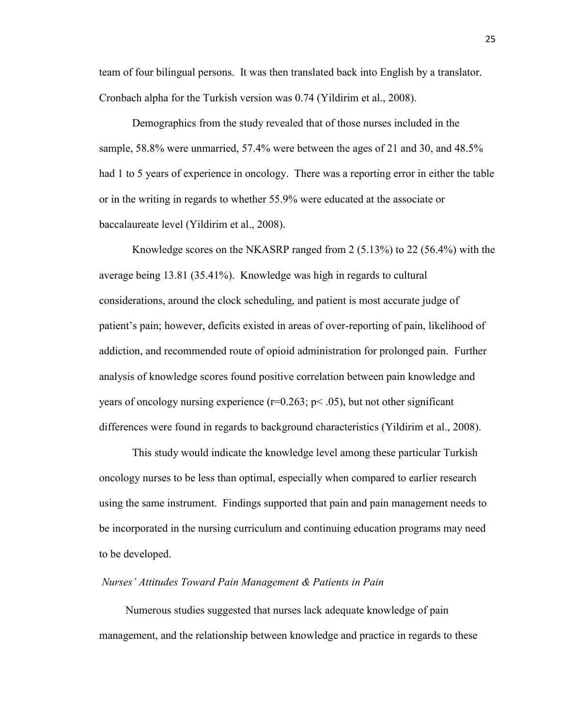team of four bilingual persons. It was then translated back into English by a translator. Cronbach alpha for the Turkish version was 0.74 (Yildirim et al., 2008).

Demographics from the study revealed that of those nurses included in the sample, 58.8% were unmarried, 57.4% were between the ages of 21 and 30, and 48.5% had 1 to 5 years of experience in oncology. There was a reporting error in either the table or in the writing in regards to whether 55.9% were educated at the associate or baccalaureate level (Yildirim et al., 2008).

Knowledge scores on the NKASRP ranged from 2 (5.13%) to 22 (56.4%) with the average being 13.81 (35.41%). Knowledge was high in regards to cultural considerations, around the clock scheduling, and patient is most accurate judge of patient's pain; however, deficits existed in areas of over-reporting of pain, likelihood of addiction, and recommended route of opioid administration for prolonged pain. Further analysis of knowledge scores found positive correlation between pain knowledge and years of oncology nursing experience  $(r=0.263; p<.05)$ , but not other significant differences were found in regards to background characteristics (Yildirim et al., 2008).

This study would indicate the knowledge level among these particular Turkish oncology nurses to be less than optimal, especially when compared to earlier research using the same instrument. Findings supported that pain and pain management needs to be incorporated in the nursing curriculum and continuing education programs may need to be developed.

#### *Nurses' Attitudes Toward Pain Management & Patients in Pain*

Numerous studies suggested that nurses lack adequate knowledge of pain management, and the relationship between knowledge and practice in regards to these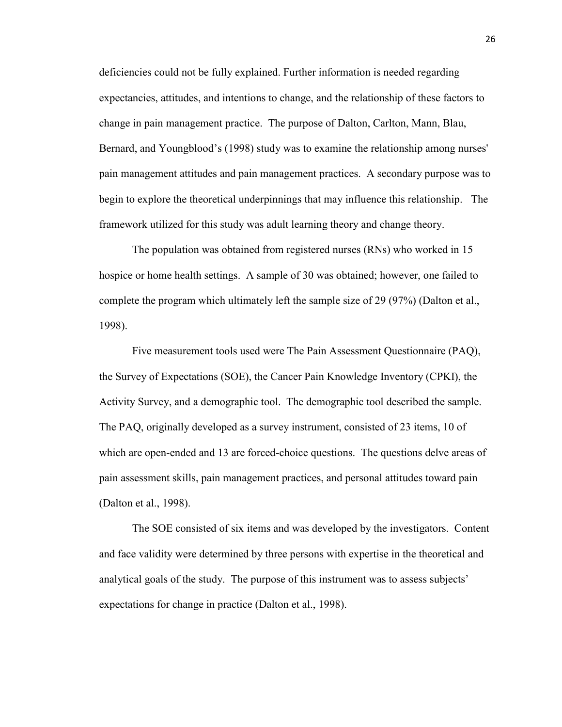deficiencies could not be fully explained. Further information is needed regarding expectancies, attitudes, and intentions to change, and the relationship of these factors to change in pain management practice. The purpose of Dalton, Carlton, Mann, Blau, Bernard, and Youngblood's (1998) study was to examine the relationship among nurses' pain management attitudes and pain management practices. A secondary purpose was to begin to explore the theoretical underpinnings that may influence this relationship. The framework utilized for this study was adult learning theory and change theory.

The population was obtained from registered nurses (RNs) who worked in 15 hospice or home health settings. A sample of 30 was obtained; however, one failed to complete the program which ultimately left the sample size of 29 (97%) (Dalton et al., 1998).

Five measurement tools used were The Pain Assessment Questionnaire (PAQ), the Survey of Expectations (SOE), the Cancer Pain Knowledge Inventory (CPKI), the Activity Survey, and a demographic tool. The demographic tool described the sample. The PAQ, originally developed as a survey instrument, consisted of 23 items, 10 of which are open-ended and 13 are forced-choice questions. The questions delve areas of pain assessment skills, pain management practices, and personal attitudes toward pain (Dalton et al., 1998).

The SOE consisted of six items and was developed by the investigators. Content and face validity were determined by three persons with expertise in the theoretical and analytical goals of the study. The purpose of this instrument was to assess subjects' expectations for change in practice (Dalton et al., 1998).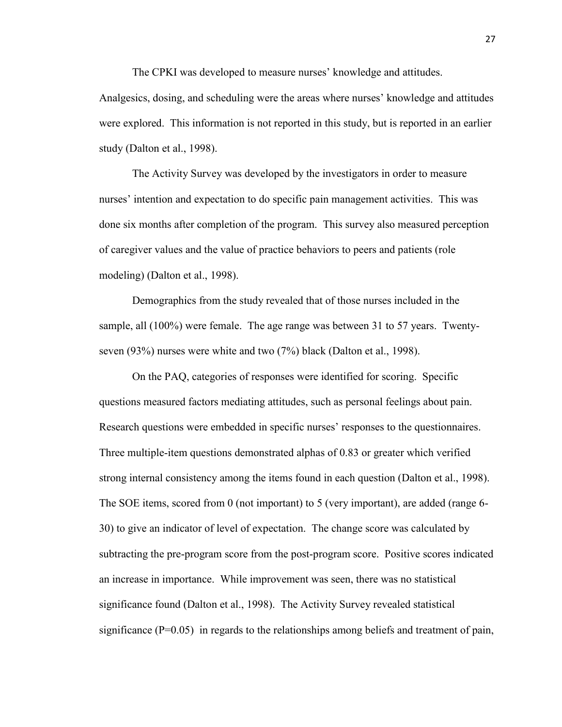The CPKI was developed to measure nurses' knowledge and attitudes.

Analgesics, dosing, and scheduling were the areas where nurses' knowledge and attitudes were explored. This information is not reported in this study, but is reported in an earlier study (Dalton et al., 1998).

The Activity Survey was developed by the investigators in order to measure nurses' intention and expectation to do specific pain management activities. This was done six months after completion of the program. This survey also measured perception of caregiver values and the value of practice behaviors to peers and patients (role modeling) (Dalton et al., 1998).

Demographics from the study revealed that of those nurses included in the sample, all (100%) were female. The age range was between 31 to 57 years. Twentyseven (93%) nurses were white and two (7%) black (Dalton et al., 1998).

On the PAQ, categories of responses were identified for scoring. Specific questions measured factors mediating attitudes, such as personal feelings about pain. Research questions were embedded in specific nurses' responses to the questionnaires. Three multiple-item questions demonstrated alphas of 0.83 or greater which verified strong internal consistency among the items found in each question (Dalton et al., 1998). The SOE items, scored from 0 (not important) to 5 (very important), are added (range 6- 30) to give an indicator of level of expectation. The change score was calculated by subtracting the pre-program score from the post-program score. Positive scores indicated an increase in importance. While improvement was seen, there was no statistical significance found (Dalton et al., 1998). The Activity Survey revealed statistical significance  $(P=0.05)$  in regards to the relationships among beliefs and treatment of pain,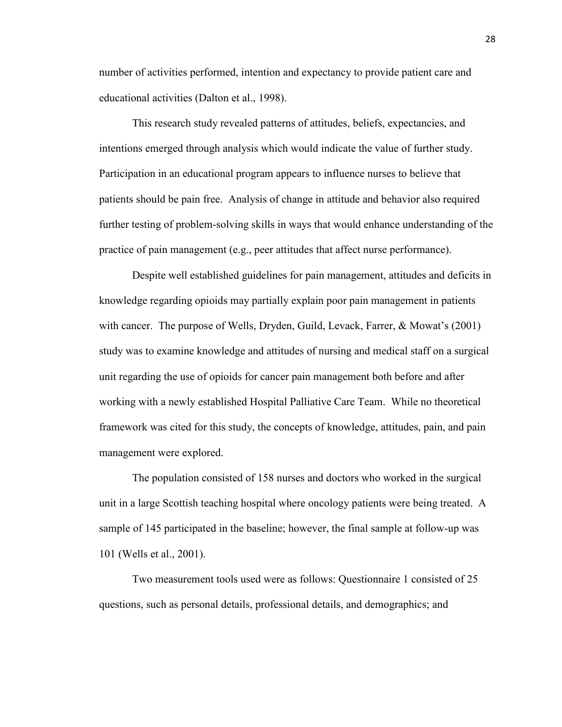number of activities performed, intention and expectancy to provide patient care and educational activities (Dalton et al., 1998).

This research study revealed patterns of attitudes, beliefs, expectancies, and intentions emerged through analysis which would indicate the value of further study. Participation in an educational program appears to influence nurses to believe that patients should be pain free. Analysis of change in attitude and behavior also required further testing of problem-solving skills in ways that would enhance understanding of the practice of pain management (e.g., peer attitudes that affect nurse performance).

Despite well established guidelines for pain management, attitudes and deficits in knowledge regarding opioids may partially explain poor pain management in patients with cancer. The purpose of Wells, Dryden, Guild, Levack, Farrer, & Mowat's (2001) study was to examine knowledge and attitudes of nursing and medical staff on a surgical unit regarding the use of opioids for cancer pain management both before and after working with a newly established Hospital Palliative Care Team. While no theoretical framework was cited for this study, the concepts of knowledge, attitudes, pain, and pain management were explored.

The population consisted of 158 nurses and doctors who worked in the surgical unit in a large Scottish teaching hospital where oncology patients were being treated. A sample of 145 participated in the baseline; however, the final sample at follow-up was 101 (Wells et al., 2001).

Two measurement tools used were as follows: Questionnaire 1 consisted of 25 questions, such as personal details, professional details, and demographics; and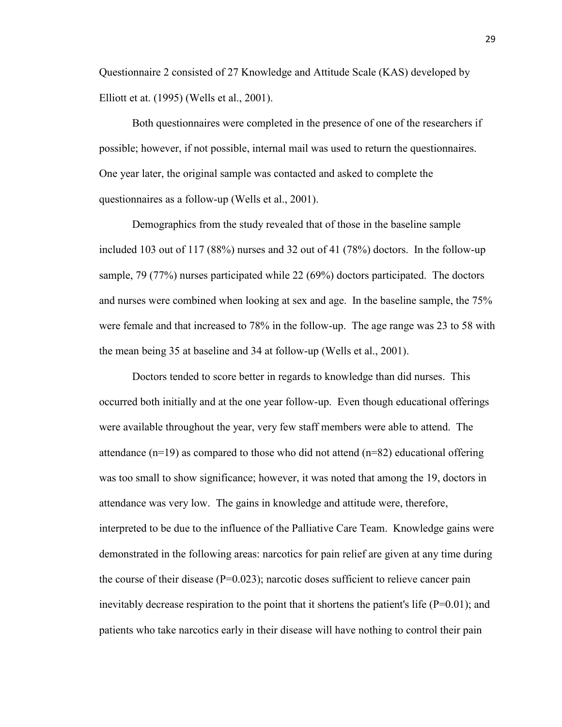Questionnaire 2 consisted of 27 Knowledge and Attitude Scale (KAS) developed by Elliott et at. (1995) (Wells et al., 2001).

Both questionnaires were completed in the presence of one of the researchers if possible; however, if not possible, internal mail was used to return the questionnaires. One year later, the original sample was contacted and asked to complete the questionnaires as a follow-up (Wells et al., 2001).

Demographics from the study revealed that of those in the baseline sample included 103 out of 117 (88%) nurses and 32 out of 41 (78%) doctors. In the follow-up sample, 79 (77%) nurses participated while 22 (69%) doctors participated. The doctors and nurses were combined when looking at sex and age. In the baseline sample, the 75% were female and that increased to 78% in the follow-up. The age range was 23 to 58 with the mean being 35 at baseline and 34 at follow-up (Wells et al., 2001).

Doctors tended to score better in regards to knowledge than did nurses. This occurred both initially and at the one year follow-up. Even though educational offerings were available throughout the year, very few staff members were able to attend. The attendance  $(n=19)$  as compared to those who did not attend  $(n=82)$  educational offering was too small to show significance; however, it was noted that among the 19, doctors in attendance was very low. The gains in knowledge and attitude were, therefore, interpreted to be due to the influence of the Palliative Care Team. Knowledge gains were demonstrated in the following areas: narcotics for pain relief are given at any time during the course of their disease  $(P=0.023)$ ; narcotic doses sufficient to relieve cancer pain inevitably decrease respiration to the point that it shortens the patient's life ( $P=0.01$ ); and patients who take narcotics early in their disease will have nothing to control their pain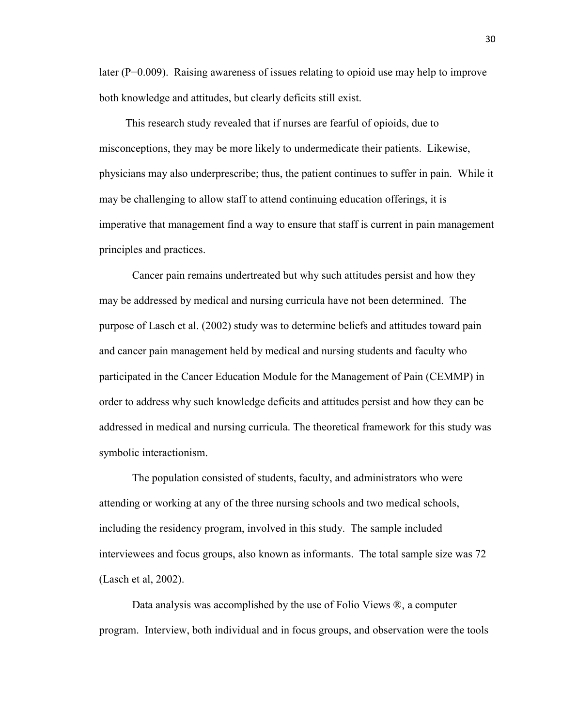later  $(P=0.009)$ . Raising awareness of issues relating to opioid use may help to improve both knowledge and attitudes, but clearly deficits still exist.

This research study revealed that if nurses are fearful of opioids, due to misconceptions, they may be more likely to undermedicate their patients. Likewise, physicians may also underprescribe; thus, the patient continues to suffer in pain. While it may be challenging to allow staff to attend continuing education offerings, it is imperative that management find a way to ensure that staff is current in pain management principles and practices.

Cancer pain remains undertreated but why such attitudes persist and how they may be addressed by medical and nursing curricula have not been determined. The purpose of Lasch et al. (2002) study was to determine beliefs and attitudes toward pain and cancer pain management held by medical and nursing students and faculty who participated in the Cancer Education Module for the Management of Pain (CEMMP) in order to address why such knowledge deficits and attitudes persist and how they can be addressed in medical and nursing curricula. The theoretical framework for this study was symbolic interactionism.

The population consisted of students, faculty, and administrators who were attending or working at any of the three nursing schools and two medical schools, including the residency program, involved in this study. The sample included interviewees and focus groups, also known as informants. The total sample size was 72 (Lasch et al, 2002).

Data analysis was accomplished by the use of Folio Views ®, a computer program. Interview, both individual and in focus groups, and observation were the tools

30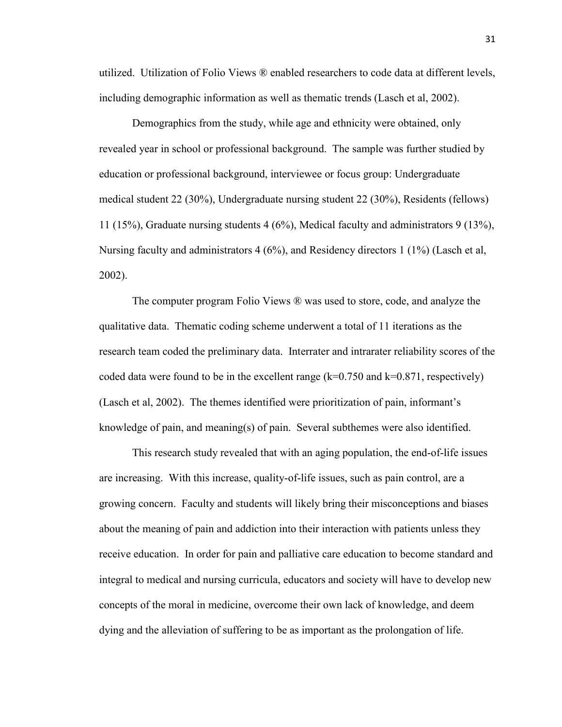utilized. Utilization of Folio Views ® enabled researchers to code data at different levels, including demographic information as well as thematic trends (Lasch et al, 2002).

Demographics from the study, while age and ethnicity were obtained, only revealed year in school or professional background. The sample was further studied by education or professional background, interviewee or focus group: Undergraduate medical student 22 (30%), Undergraduate nursing student 22 (30%), Residents (fellows) 11 (15%), Graduate nursing students 4 (6%), Medical faculty and administrators 9 (13%), Nursing faculty and administrators 4 (6%), and Residency directors 1 (1%) (Lasch et al, 2002).

The computer program Folio Views ® was used to store, code, and analyze the qualitative data. Thematic coding scheme underwent a total of 11 iterations as the research team coded the preliminary data. Interrater and intrarater reliability scores of the coded data were found to be in the excellent range  $(k=0.750$  and  $k=0.871$ , respectively) (Lasch et al, 2002). The themes identified were prioritization of pain, informant's knowledge of pain, and meaning(s) of pain. Several subthemes were also identified.

This research study revealed that with an aging population, the end-of-life issues are increasing. With this increase, quality-of-life issues, such as pain control, are a growing concern. Faculty and students will likely bring their misconceptions and biases about the meaning of pain and addiction into their interaction with patients unless they receive education. In order for pain and palliative care education to become standard and integral to medical and nursing curricula, educators and society will have to develop new concepts of the moral in medicine, overcome their own lack of knowledge, and deem dying and the alleviation of suffering to be as important as the prolongation of life.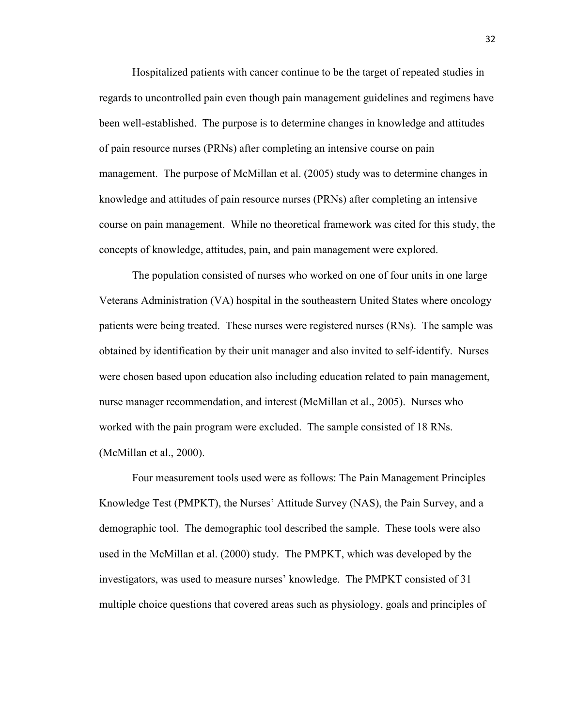Hospitalized patients with cancer continue to be the target of repeated studies in regards to uncontrolled pain even though pain management guidelines and regimens have been well-established. The purpose is to determine changes in knowledge and attitudes of pain resource nurses (PRNs) after completing an intensive course on pain management. The purpose of McMillan et al. (2005) study was to determine changes in knowledge and attitudes of pain resource nurses (PRNs) after completing an intensive course on pain management. While no theoretical framework was cited for this study, the concepts of knowledge, attitudes, pain, and pain management were explored.

The population consisted of nurses who worked on one of four units in one large Veterans Administration (VA) hospital in the southeastern United States where oncology patients were being treated. These nurses were registered nurses (RNs). The sample was obtained by identification by their unit manager and also invited to self-identify. Nurses were chosen based upon education also including education related to pain management, nurse manager recommendation, and interest (McMillan et al., 2005). Nurses who worked with the pain program were excluded. The sample consisted of 18 RNs. (McMillan et al., 2000).

Four measurement tools used were as follows: The Pain Management Principles Knowledge Test (PMPKT), the Nurses' Attitude Survey (NAS), the Pain Survey, and a demographic tool. The demographic tool described the sample. These tools were also used in the McMillan et al. (2000) study. The PMPKT, which was developed by the investigators, was used to measure nurses' knowledge. The PMPKT consisted of 31 multiple choice questions that covered areas such as physiology, goals and principles of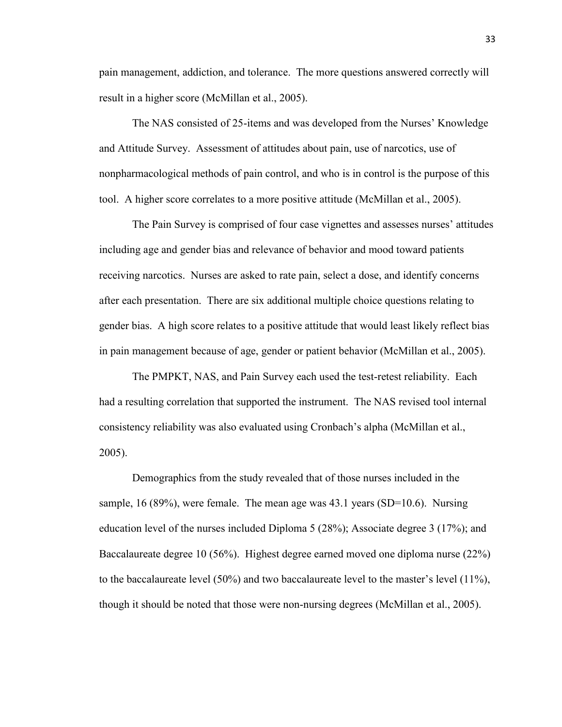pain management, addiction, and tolerance. The more questions answered correctly will result in a higher score (McMillan et al., 2005).

The NAS consisted of 25-items and was developed from the Nurses' Knowledge and Attitude Survey. Assessment of attitudes about pain, use of narcotics, use of nonpharmacological methods of pain control, and who is in control is the purpose of this tool. A higher score correlates to a more positive attitude (McMillan et al., 2005).

The Pain Survey is comprised of four case vignettes and assesses nurses' attitudes including age and gender bias and relevance of behavior and mood toward patients receiving narcotics. Nurses are asked to rate pain, select a dose, and identify concerns after each presentation. There are six additional multiple choice questions relating to gender bias. A high score relates to a positive attitude that would least likely reflect bias in pain management because of age, gender or patient behavior (McMillan et al., 2005).

The PMPKT, NAS, and Pain Survey each used the test-retest reliability. Each had a resulting correlation that supported the instrument. The NAS revised tool internal consistency reliability was also evaluated using Cronbach's alpha (McMillan et al., 2005).

Demographics from the study revealed that of those nurses included in the sample, 16 (89%), were female. The mean age was 43.1 years (SD=10.6). Nursing education level of the nurses included Diploma 5 (28%); Associate degree 3 (17%); and Baccalaureate degree 10 (56%). Highest degree earned moved one diploma nurse (22%) to the baccalaureate level (50%) and two baccalaureate level to the master's level (11%), though it should be noted that those were non-nursing degrees (McMillan et al., 2005).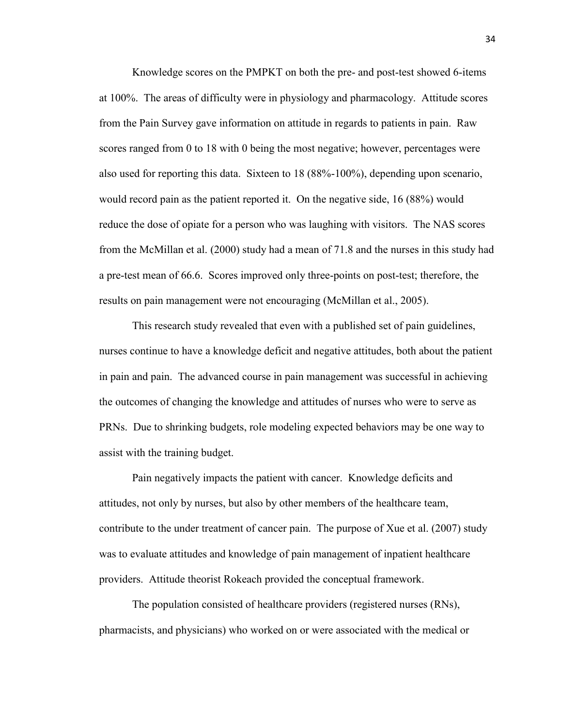Knowledge scores on the PMPKT on both the pre- and post-test showed 6-items at 100%. The areas of difficulty were in physiology and pharmacology. Attitude scores from the Pain Survey gave information on attitude in regards to patients in pain. Raw scores ranged from 0 to 18 with 0 being the most negative; however, percentages were also used for reporting this data. Sixteen to 18 (88%-100%), depending upon scenario, would record pain as the patient reported it. On the negative side, 16 (88%) would reduce the dose of opiate for a person who was laughing with visitors. The NAS scores from the McMillan et al. (2000) study had a mean of 71.8 and the nurses in this study had a pre-test mean of 66.6. Scores improved only three-points on post-test; therefore, the results on pain management were not encouraging (McMillan et al., 2005).

This research study revealed that even with a published set of pain guidelines, nurses continue to have a knowledge deficit and negative attitudes, both about the patient in pain and pain. The advanced course in pain management was successful in achieving the outcomes of changing the knowledge and attitudes of nurses who were to serve as PRNs. Due to shrinking budgets, role modeling expected behaviors may be one way to assist with the training budget.

Pain negatively impacts the patient with cancer. Knowledge deficits and attitudes, not only by nurses, but also by other members of the healthcare team, contribute to the under treatment of cancer pain. The purpose of Xue et al. (2007) study was to evaluate attitudes and knowledge of pain management of inpatient healthcare providers. Attitude theorist Rokeach provided the conceptual framework.

The population consisted of healthcare providers (registered nurses (RNs), pharmacists, and physicians) who worked on or were associated with the medical or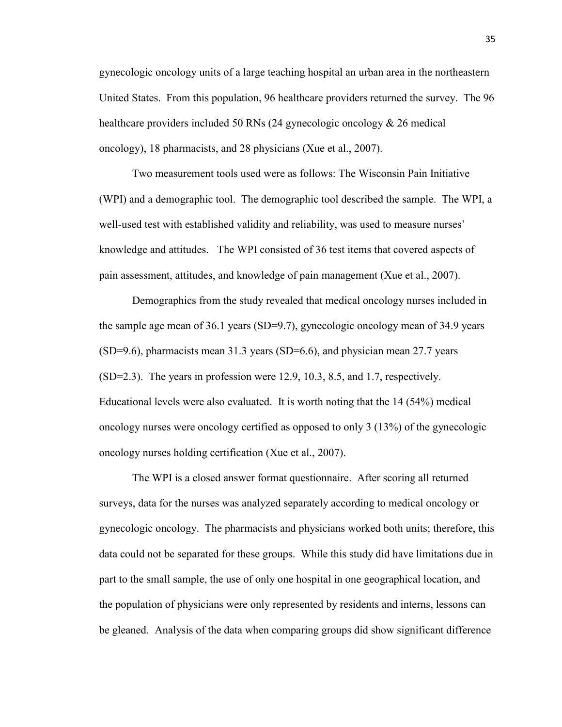gynecologic oncology units of a large teaching hospital an urban area in the northeastern United States. From this population, 96 healthcare providers returned the survey. The 96 healthcare providers included 50 RNs (24 gynecologic oncology  $\&$  26 medical oncology), 18 pharmacists, and 28 physicians (Xue et al., 2007).

Two measurement tools used were as follows: The Wisconsin Pain Initiative (WPI) and a demographic tool. The demographic tool described the sample. The WPI, a well-used test with established validity and reliability, was used to measure nurses' knowledge and attitudes. The WPI consisted of 36 test items that covered aspects of pain assessment, attitudes, and knowledge of pain management (Xue et al., 2007).

Demographics from the study revealed that medical oncology nurses included in the sample age mean of 36.1 years (SD=9.7), gynecologic oncology mean of 34.9 years (SD=9.6), pharmacists mean 31.3 years (SD=6.6), and physician mean 27.7 years (SD=2.3). The years in profession were 12.9, 10.3, 8.5, and 1.7, respectively. Educational levels were also evaluated. It is worth noting that the 14 (54%) medical oncology nurses were oncology certified as opposed to only 3 (13%) of the gynecologic oncology nurses holding certification (Xue et al., 2007).

The WPI is a closed answer format questionnaire. After scoring all returned surveys, data for the nurses was analyzed separately according to medical oncology or gynecologic oncology. The pharmacists and physicians worked both units; therefore, this data could not be separated for these groups. While this study did have limitations due in part to the small sample, the use of only one hospital in one geographical location, and the population of physicians were only represented by residents and interns, lessons can be gleaned. Analysis of the data when comparing groups did show significant difference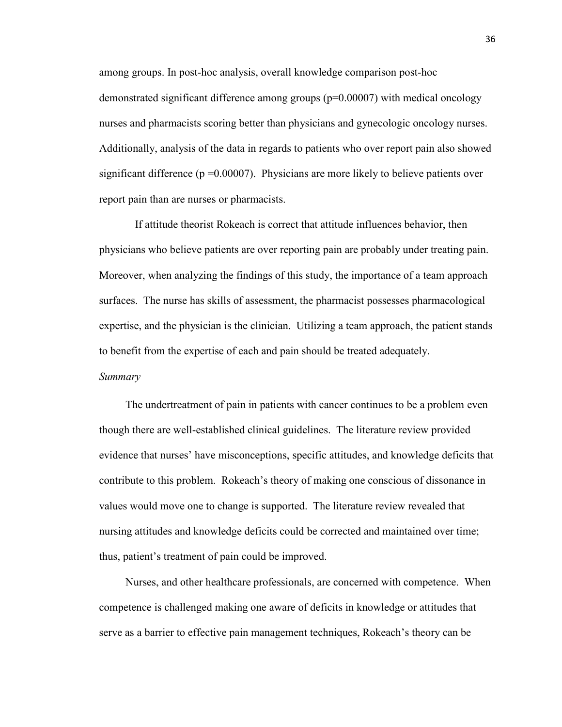among groups. In post-hoc analysis, overall knowledge comparison post-hoc demonstrated significant difference among groups (p=0.00007) with medical oncology nurses and pharmacists scoring better than physicians and gynecologic oncology nurses. Additionally, analysis of the data in regards to patients who over report pain also showed significant difference ( $p = 0.00007$ ). Physicians are more likely to believe patients over report pain than are nurses or pharmacists.

If attitude theorist Rokeach is correct that attitude influences behavior, then physicians who believe patients are over reporting pain are probably under treating pain. Moreover, when analyzing the findings of this study, the importance of a team approach surfaces. The nurse has skills of assessment, the pharmacist possesses pharmacological expertise, and the physician is the clinician. Utilizing a team approach, the patient stands to benefit from the expertise of each and pain should be treated adequately. *Summary*

The undertreatment of pain in patients with cancer continues to be a problem even though there are well-established clinical guidelines. The literature review provided evidence that nurses' have misconceptions, specific attitudes, and knowledge deficits that contribute to this problem. Rokeach's theory of making one conscious of dissonance in values would move one to change is supported. The literature review revealed that nursing attitudes and knowledge deficits could be corrected and maintained over time; thus, patient's treatment of pain could be improved.

Nurses, and other healthcare professionals, are concerned with competence. When competence is challenged making one aware of deficits in knowledge or attitudes that serve as a barrier to effective pain management techniques, Rokeach's theory can be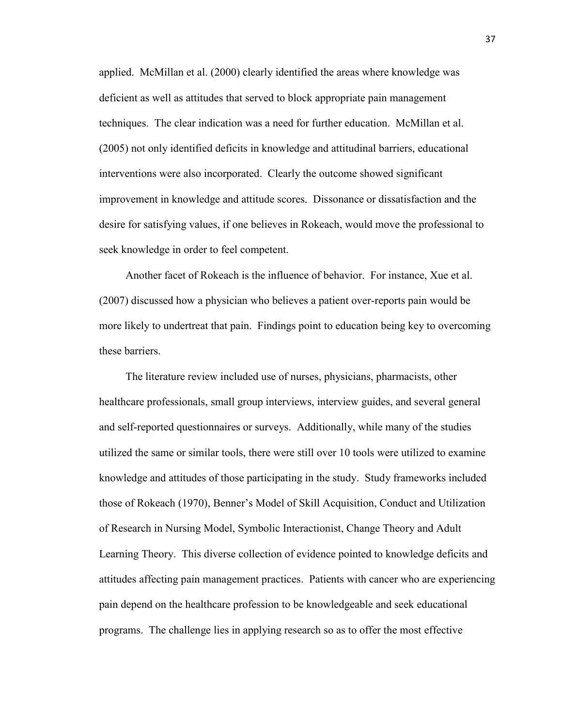applied. McMillan et al. (2000) clearly identified the areas where knowledge was deficient as well as attitudes that served to block appropriate pain management techniques. The clear indication was a need for further education. McMillan et al. (2005) not only identified deficits in knowledge and attitudinal barriers, educational interventions were also incorporated. Clearly the outcome showed significant improvement in knowledge and attitude scores. Dissonance or dissatisfaction and the desire for satisfying values, if one believes in Rokeach, would move the professional to seek knowledge in order to feel competent.

Another facet of Rokeach is the influence of behavior. For instance, Xue et al. (2007) discussed how a physician who believes a patient over-reports pain would be more likely to undertreat that pain. Findings point to education being key to overcoming these barriers.

The literature review included use of nurses, physicians, pharmacists, other healthcare professionals, small group interviews, interview guides, and several general and self-reported questionnaires or surveys. Additionally, while many of the studies utilized the same or similar tools, there were still over 10 tools were utilized to examine knowledge and attitudes of those participating in the study. Study frameworks included those of Rokeach (1970), Benner's Model of Skill Acquisition, Conduct and Utilization of Research in Nursing Model, Symbolic Interactionist, Change Theory and Adult Learning Theory. This diverse collection of evidence pointed to knowledge deficits and attitudes affecting pain management practices. Patients with cancer who are experiencing pain depend on the healthcare profession to be knowledgeable and seek educational programs. The challenge lies in applying research so as to offer the most effective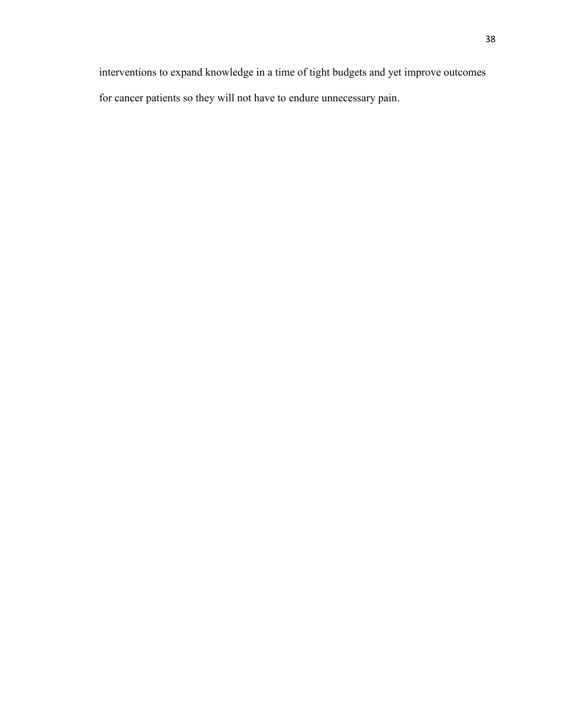interventions to expand knowledge in a time of tight budgets and yet improve outcomes for cancer patients so they will not have to endure unnecessary pain.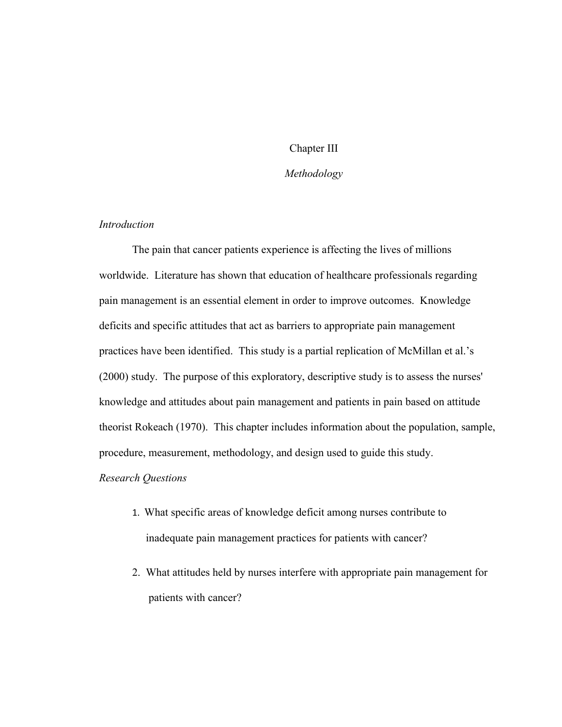# Chapter III

## *Methodology*

## *Introduction*

The pain that cancer patients experience is affecting the lives of millions worldwide. Literature has shown that education of healthcare professionals regarding pain management is an essential element in order to improve outcomes. Knowledge deficits and specific attitudes that act as barriers to appropriate pain management practices have been identified. This study is a partial replication of McMillan et al.'s (2000) study. The purpose of this exploratory, descriptive study is to assess the nurses' knowledge and attitudes about pain management and patients in pain based on attitude theorist Rokeach (1970). This chapter includes information about the population, sample, procedure, measurement, methodology, and design used to guide this study.

#### *Research Questions*

- 1. What specific areas of knowledge deficit among nurses contribute to inadequate pain management practices for patients with cancer?
- 2. What attitudes held by nurses interfere with appropriate pain management for patients with cancer?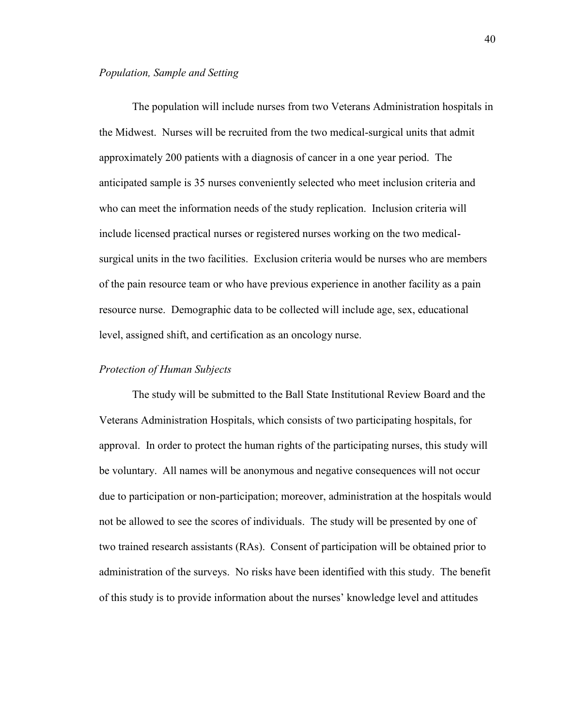### *Population, Sample and Setting*

The population will include nurses from two Veterans Administration hospitals in the Midwest. Nurses will be recruited from the two medical-surgical units that admit approximately 200 patients with a diagnosis of cancer in a one year period. The anticipated sample is 35 nurses conveniently selected who meet inclusion criteria and who can meet the information needs of the study replication. Inclusion criteria will include licensed practical nurses or registered nurses working on the two medicalsurgical units in the two facilities. Exclusion criteria would be nurses who are members of the pain resource team or who have previous experience in another facility as a pain resource nurse. Demographic data to be collected will include age, sex, educational level, assigned shift, and certification as an oncology nurse.

#### *Protection of Human Subjects*

The study will be submitted to the Ball State Institutional Review Board and the Veterans Administration Hospitals, which consists of two participating hospitals, for approval. In order to protect the human rights of the participating nurses, this study will be voluntary. All names will be anonymous and negative consequences will not occur due to participation or non-participation; moreover, administration at the hospitals would not be allowed to see the scores of individuals. The study will be presented by one of two trained research assistants (RAs). Consent of participation will be obtained prior to administration of the surveys. No risks have been identified with this study. The benefit of this study is to provide information about the nurses' knowledge level and attitudes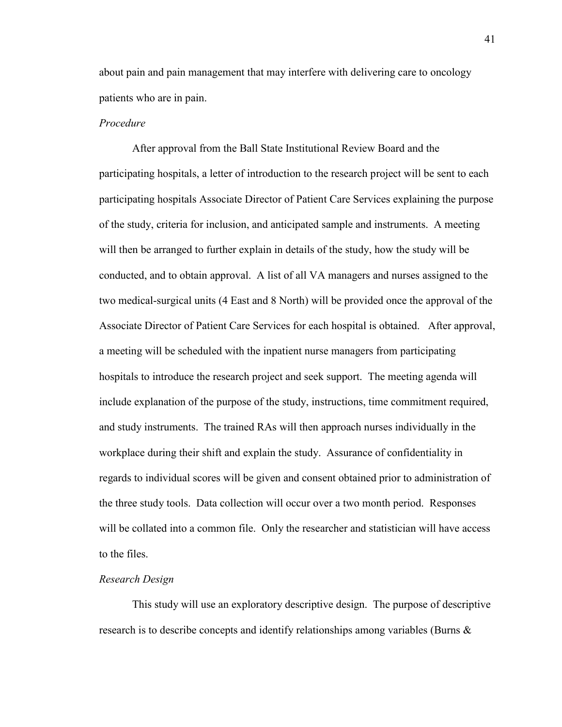about pain and pain management that may interfere with delivering care to oncology patients who are in pain.

#### *Procedure*

After approval from the Ball State Institutional Review Board and the participating hospitals, a letter of introduction to the research project will be sent to each participating hospitals Associate Director of Patient Care Services explaining the purpose of the study, criteria for inclusion, and anticipated sample and instruments. A meeting will then be arranged to further explain in details of the study, how the study will be conducted, and to obtain approval. A list of all VA managers and nurses assigned to the two medical-surgical units (4 East and 8 North) will be provided once the approval of the Associate Director of Patient Care Services for each hospital is obtained. After approval, a meeting will be scheduled with the inpatient nurse managers from participating hospitals to introduce the research project and seek support. The meeting agenda will include explanation of the purpose of the study, instructions, time commitment required, and study instruments. The trained RAs will then approach nurses individually in the workplace during their shift and explain the study. Assurance of confidentiality in regards to individual scores will be given and consent obtained prior to administration of the three study tools. Data collection will occur over a two month period. Responses will be collated into a common file. Only the researcher and statistician will have access to the files.

#### *Research Design*

This study will use an exploratory descriptive design. The purpose of descriptive research is to describe concepts and identify relationships among variables (Burns &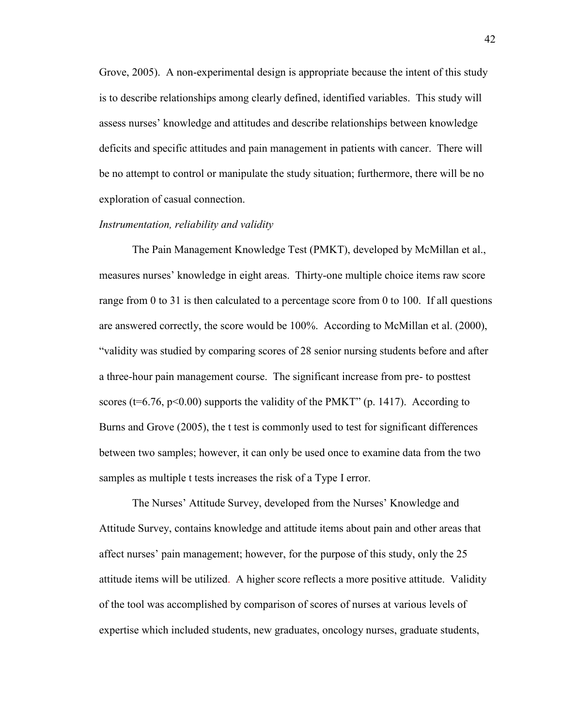Grove, 2005). A non-experimental design is appropriate because the intent of this study is to describe relationships among clearly defined, identified variables. This study will assess nurses' knowledge and attitudes and describe relationships between knowledge deficits and specific attitudes and pain management in patients with cancer. There will be no attempt to control or manipulate the study situation; furthermore, there will be no exploration of casual connection.

#### *Instrumentation, reliability and validity*

The Pain Management Knowledge Test (PMKT), developed by McMillan et al., measures nurses' knowledge in eight areas. Thirty-one multiple choice items raw score range from 0 to 31 is then calculated to a percentage score from 0 to 100. If all questions are answered correctly, the score would be 100%. According to McMillan et al. (2000), "validity was studied by comparing scores of 28 senior nursing students before and after a three-hour pain management course. The significant increase from pre- to posttest scores ( $t=6.76$ ,  $p<0.00$ ) supports the validity of the PMKT" (p. 1417). According to Burns and Grove (2005), the t test is commonly used to test for significant differences between two samples; however, it can only be used once to examine data from the two samples as multiple t tests increases the risk of a Type I error.

The Nurses' Attitude Survey, developed from the Nurses' Knowledge and Attitude Survey, contains knowledge and attitude items about pain and other areas that affect nurses' pain management; however, for the purpose of this study, only the 25 attitude items will be utilized. A higher score reflects a more positive attitude. Validity of the tool was accomplished by comparison of scores of nurses at various levels of expertise which included students, new graduates, oncology nurses, graduate students,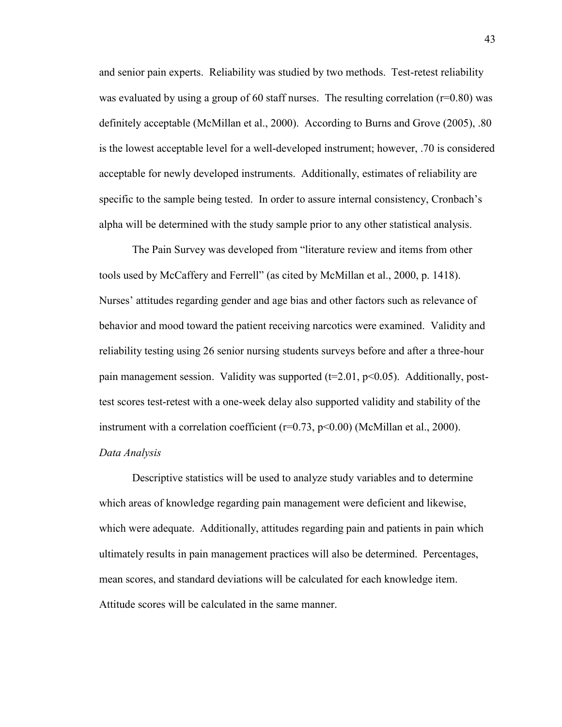and senior pain experts. Reliability was studied by two methods. Test-retest reliability was evaluated by using a group of 60 staff nurses. The resulting correlation  $(r=0.80)$  was definitely acceptable (McMillan et al., 2000). According to Burns and Grove (2005), .80 is the lowest acceptable level for a well-developed instrument; however, .70 is considered acceptable for newly developed instruments. Additionally, estimates of reliability are specific to the sample being tested. In order to assure internal consistency, Cronbach's alpha will be determined with the study sample prior to any other statistical analysis.

The Pain Survey was developed from "literature review and items from other tools used by McCaffery and Ferrell" (as cited by McMillan et al., 2000, p. 1418). Nurses' attitudes regarding gender and age bias and other factors such as relevance of behavior and mood toward the patient receiving narcotics were examined. Validity and reliability testing using 26 senior nursing students surveys before and after a three-hour pain management session. Validity was supported ( $t=2.01$ ,  $p<0.05$ ). Additionally, posttest scores test-retest with a one-week delay also supported validity and stability of the instrument with a correlation coefficient ( $r=0.73$ ,  $p<0.00$ ) (McMillan et al., 2000). *Data Analysis*

Descriptive statistics will be used to analyze study variables and to determine which areas of knowledge regarding pain management were deficient and likewise, which were adequate. Additionally, attitudes regarding pain and patients in pain which ultimately results in pain management practices will also be determined. Percentages, mean scores, and standard deviations will be calculated for each knowledge item. Attitude scores will be calculated in the same manner.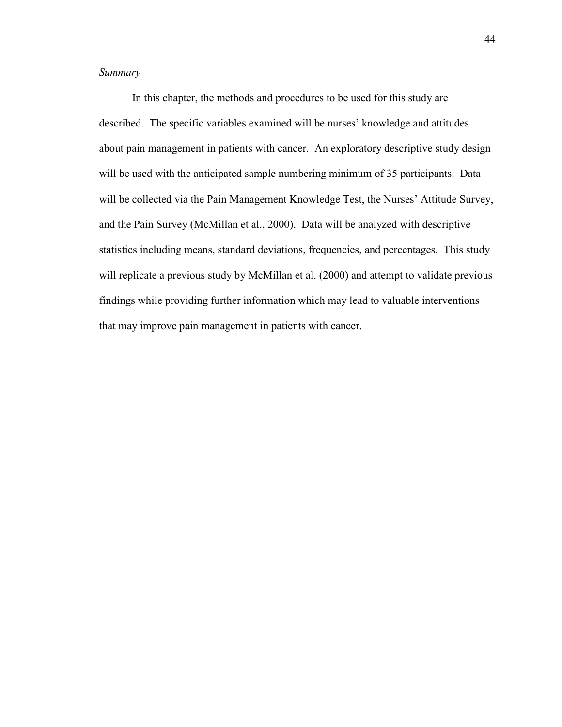## *Summary*

In this chapter, the methods and procedures to be used for this study are described. The specific variables examined will be nurses' knowledge and attitudes about pain management in patients with cancer. An exploratory descriptive study design will be used with the anticipated sample numbering minimum of 35 participants. Data will be collected via the Pain Management Knowledge Test, the Nurses' Attitude Survey, and the Pain Survey (McMillan et al., 2000). Data will be analyzed with descriptive statistics including means, standard deviations, frequencies, and percentages. This study will replicate a previous study by McMillan et al. (2000) and attempt to validate previous findings while providing further information which may lead to valuable interventions that may improve pain management in patients with cancer.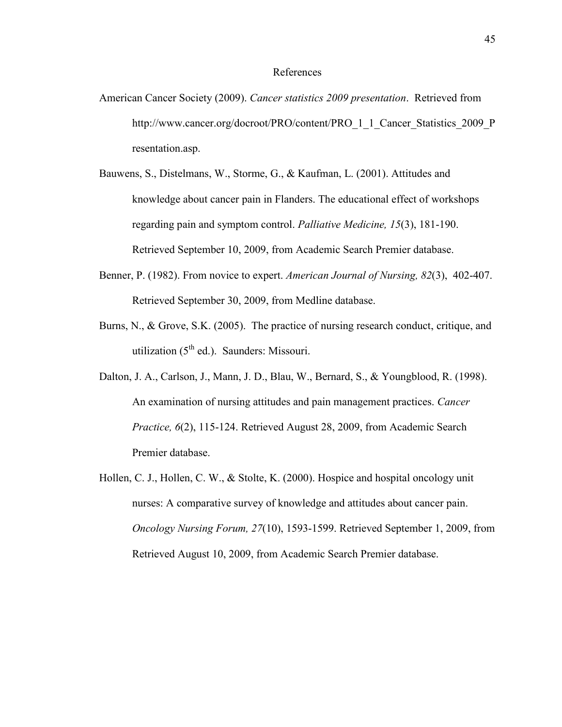#### References

- American Cancer Society (2009). *Cancer statistics 2009 presentation*. Retrieved from http://www.cancer.org/docroot/PRO/content/PRO 1 1 Cancer Statistics 2009 P resentation.asp.
- Bauwens, S., Distelmans, W., Storme, G., & Kaufman, L. (2001). Attitudes and knowledge about cancer pain in Flanders. The educational effect of workshops regarding pain and symptom control. *Palliative Medicine, 15*(3), 181-190. Retrieved September 10, 2009, from Academic Search Premier database.
- Benner, P. (1982). From novice to expert. *American Journal of Nursing, 82*(3), 402-407. Retrieved September 30, 2009, from Medline database.
- Burns, N., & Grove, S.K. (2005). The practice of nursing research conduct, critique, and utilization  $(5^{th}$  ed.). Saunders: Missouri.
- Dalton, J. A., Carlson, J., Mann, J. D., Blau, W., Bernard, S., & Youngblood, R. (1998). An examination of nursing attitudes and pain management practices. *Cancer Practice, 6*(2), 115-124. Retrieved August 28, 2009, from Academic Search Premier database.
- Hollen, C. J., Hollen, C. W., & Stolte, K. (2000). Hospice and hospital oncology unit nurses: A comparative survey of knowledge and attitudes about cancer pain. *Oncology Nursing Forum, 27*(10), 1593-1599. Retrieved September 1, 2009, from Retrieved August 10, 2009, from Academic Search Premier database.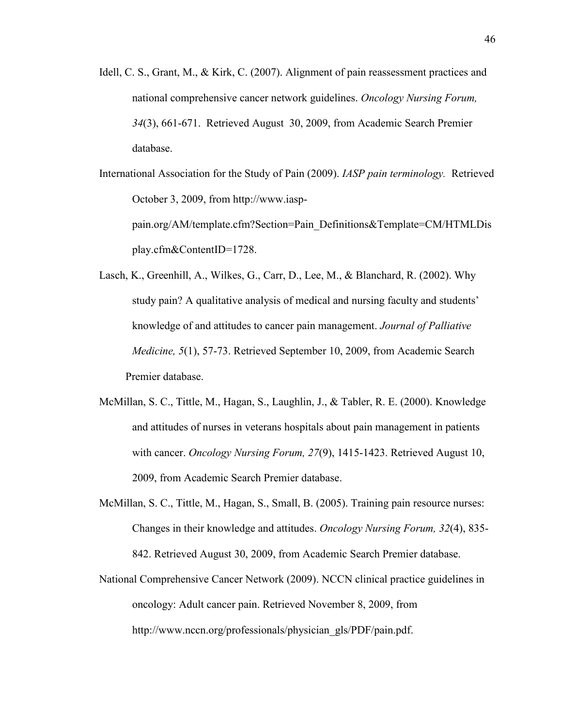Idell, C. S., Grant, M., & Kirk, C. (2007). Alignment of pain reassessment practices and national comprehensive cancer network guidelines. *Oncology Nursing Forum, 34*(3), 661-671. Retrieved August 30, 2009, from Academic Search Premier database.

International Association for the Study of Pain (2009). *IASP pain terminology.* Retrieved October 3, 2009, from http://www.iasppain.org/AM/template.cfm?Section=Pain\_Definitions&Template=CM/HTMLDis play.cfm&ContentID=1728.

- Lasch, K., Greenhill, A., Wilkes, G., Carr, D., Lee, M., & Blanchard, R. (2002). Why study pain? A qualitative analysis of medical and nursing faculty and students' knowledge of and attitudes to cancer pain management. *Journal of Palliative Medicine, 5*(1), 57-73. Retrieved September 10, 2009, from Academic Search Premier database.
- McMillan, S. C., Tittle, M., Hagan, S., Laughlin, J., & Tabler, R. E. (2000). Knowledge and attitudes of nurses in veterans hospitals about pain management in patients with cancer. *Oncology Nursing Forum, 27*(9), 1415-1423. Retrieved August 10, 2009, from Academic Search Premier database.
- McMillan, S. C., Tittle, M., Hagan, S., Small, B. (2005). Training pain resource nurses: Changes in their knowledge and attitudes. *Oncology Nursing Forum, 32*(4), 835- 842. Retrieved August 30, 2009, from Academic Search Premier database.
- National Comprehensive Cancer Network (2009). NCCN clinical practice guidelines in oncology: Adult cancer pain. Retrieved November 8, 2009, from http://www.nccn.org/professionals/physician\_gls/PDF/pain.pdf.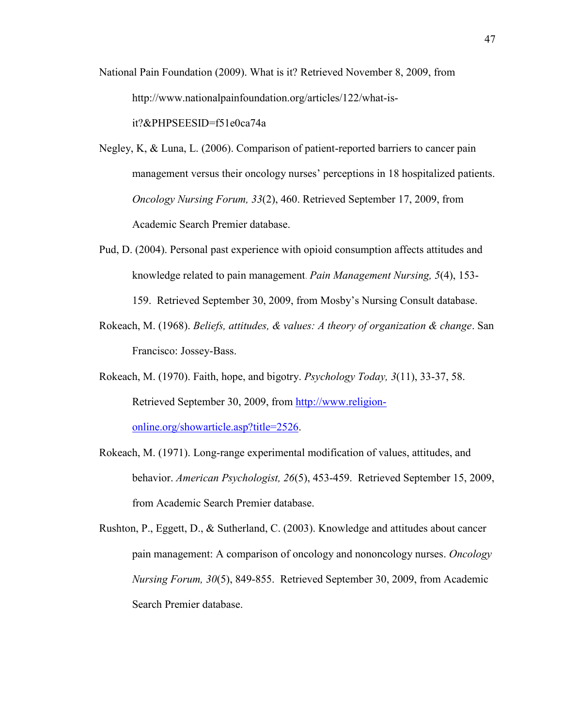- National Pain Foundation (2009). What is it? Retrieved November 8, 2009, from http://www.nationalpainfoundation.org/articles/122/what-isit?&PHPSEESID=f51e0ca74a
- Negley, K, & Luna, L. (2006). Comparison of patient-reported barriers to cancer pain management versus their oncology nurses' perceptions in 18 hospitalized patients. *Oncology Nursing Forum, 33*(2), 460. Retrieved September 17, 2009, from Academic Search Premier database.
- Pud, D. (2004). Personal past experience with opioid consumption affects attitudes and knowledge related to pain management. *Pain Management Nursing, 5*(4), 153- 159. Retrieved September 30, 2009, from Mosby's Nursing Consult database.
- Rokeach, M. (1968). *Beliefs, attitudes, & values: A theory of organization & change*. San Francisco: Jossey-Bass.
- Rokeach, M. (1970). Faith, hope, and bigotry. *Psychology Today, 3*(11), 33-37, 58. Retrieved September 30, 2009, from [http://www.religion](http://www.religion-online.org/showarticle.asp?title=2526)[online.org/showarticle.asp?title=2526.](http://www.religion-online.org/showarticle.asp?title=2526)
- Rokeach, M. (1971). Long-range experimental modification of values, attitudes, and behavior. *American Psychologist, 26*(5), 453-459. Retrieved September 15, 2009, from Academic Search Premier database.
- Rushton, P., Eggett, D., & Sutherland, C. (2003). Knowledge and attitudes about cancer pain management: A comparison of oncology and nononcology nurses. *Oncology Nursing Forum, 30*(5), 849-855. Retrieved September 30, 2009, from Academic Search Premier database.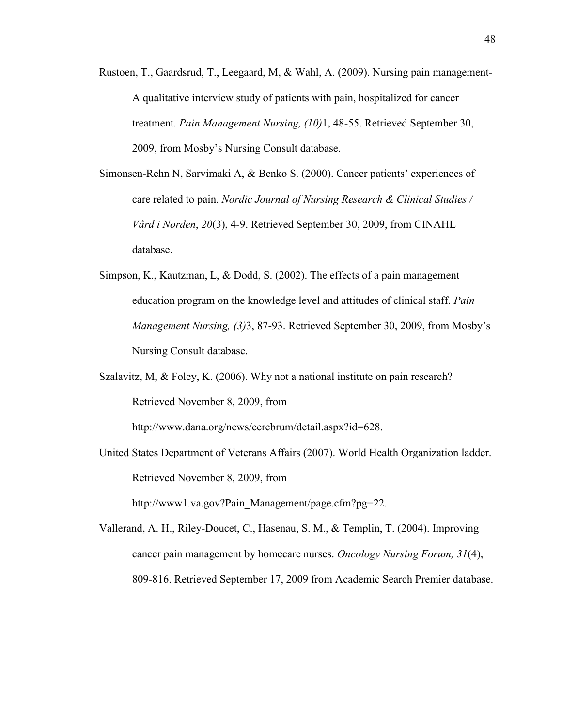- Rustoen, T., Gaardsrud, T., Leegaard, M, & Wahl, A. (2009). Nursing pain management-A qualitative interview study of patients with pain, hospitalized for cancer treatment. *Pain Management Nursing, (10)*1, 48-55. Retrieved September 30, 2009, from Mosby's Nursing Consult database.
- Simonsen-Rehn N, Sarvimaki A, & Benko S. (2000). Cancer patients' experiences of care related to pain. *Nordic Journal of Nursing Research & Clinical Studies / Vård i Norden*, *20*(3), 4-9. Retrieved September 30, 2009, from CINAHL database.
- Simpson, K., Kautzman, L, & Dodd, S. (2002). The effects of a pain management education program on the knowledge level and attitudes of clinical staff. *Pain Management Nursing, (3)*3, 87-93. Retrieved September 30, 2009, from Mosby's Nursing Consult database.
- Szalavitz, M, & Foley, K. (2006). Why not a national institute on pain research? Retrieved November 8, 2009, from

http://www.dana.org/news/cerebrum/detail.aspx?id=628.

United States Department of Veterans Affairs (2007). World Health Organization ladder. Retrieved November 8, 2009, from http://www1.va.gov?Pain\_Management/page.cfm?pg=22.

Vallerand, A. H., Riley-Doucet, C., Hasenau, S. M., & Templin, T. (2004). Improving cancer pain management by homecare nurses. *Oncology Nursing Forum, 31*(4), 809-816. Retrieved September 17, 2009 from Academic Search Premier database.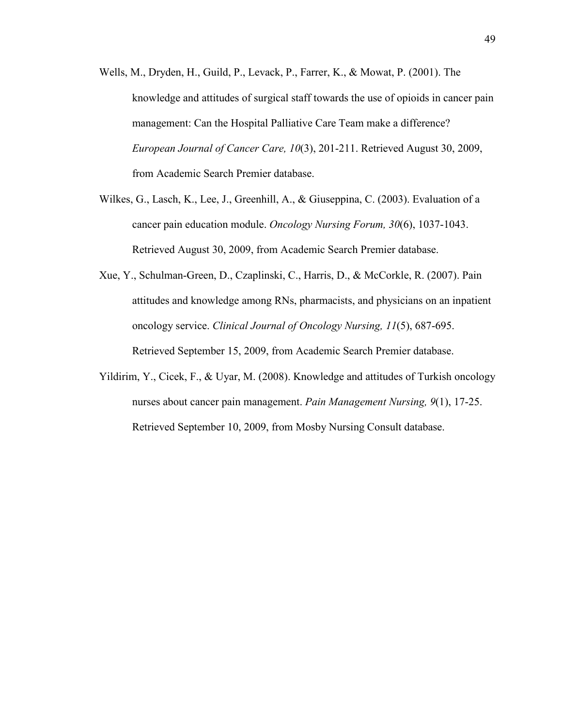- Wells, M., Dryden, H., Guild, P., Levack, P., Farrer, K., & Mowat, P. (2001). The knowledge and attitudes of surgical staff towards the use of opioids in cancer pain management: Can the Hospital Palliative Care Team make a difference? *European Journal of Cancer Care, 10*(3), 201-211. Retrieved August 30, 2009, from Academic Search Premier database.
- Wilkes, G., Lasch, K., Lee, J., Greenhill, A., & Giuseppina, C. (2003). Evaluation of a cancer pain education module. *Oncology Nursing Forum, 30*(6), 1037-1043. Retrieved August 30, 2009, from Academic Search Premier database.
- Xue, Y., Schulman-Green, D., Czaplinski, C., Harris, D., & McCorkle, R. (2007). Pain attitudes and knowledge among RNs, pharmacists, and physicians on an inpatient oncology service. *Clinical Journal of Oncology Nursing, 11*(5), 687-695. Retrieved September 15, 2009, from Academic Search Premier database.
- Yildirim, Y., Cicek, F., & Uyar, M. (2008). Knowledge and attitudes of Turkish oncology nurses about cancer pain management. *Pain Management Nursing, 9*(1), 17-25. Retrieved September 10, 2009, from Mosby Nursing Consult database.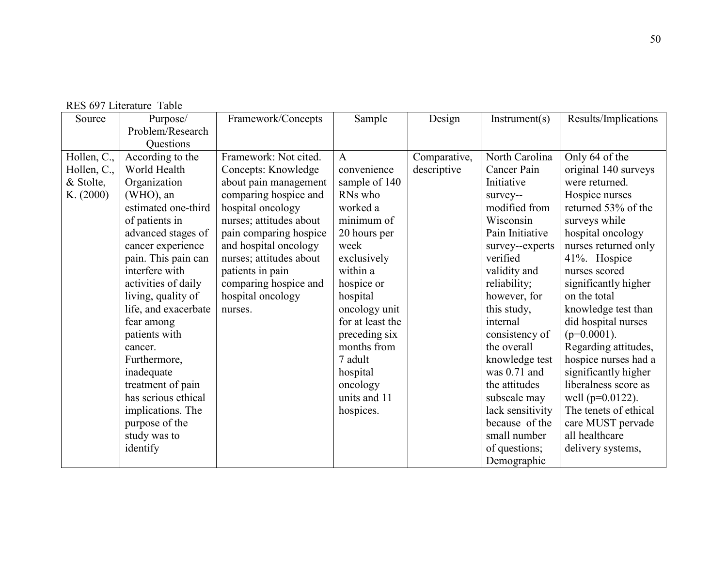|  | RES 697 Literature Table |  |
|--|--------------------------|--|
|--|--------------------------|--|

| Source      | Purpose/             | Framework/Concepts      | Sample           | Design       | Instrument(s)    | Results/Implications  |
|-------------|----------------------|-------------------------|------------------|--------------|------------------|-----------------------|
|             | Problem/Research     |                         |                  |              |                  |                       |
|             | Questions            |                         |                  |              |                  |                       |
| Hollen, C., | According to the     | Framework: Not cited.   | $\mathbf{A}$     | Comparative, | North Carolina   | Only 64 of the        |
| Hollen, C., | World Health         | Concepts: Knowledge     | convenience      | descriptive  | Cancer Pain      | original 140 surveys  |
| & Stolte,   | Organization         | about pain management   | sample of 140    |              | Initiative       | were returned.        |
| K. (2000)   | (WHO), an            | comparing hospice and   | RNs who          |              | survey--         | Hospice nurses        |
|             | estimated one-third  | hospital oncology       | worked a         |              | modified from    | returned 53% of the   |
|             | of patients in       | nurses; attitudes about | minimum of       |              | Wisconsin        | surveys while         |
|             | advanced stages of   | pain comparing hospice  | 20 hours per     |              | Pain Initiative  | hospital oncology     |
|             | cancer experience    | and hospital oncology   | week             |              | survey--experts  | nurses returned only  |
|             | pain. This pain can  | nurses; attitudes about | exclusively      |              | verified         | 41%. Hospice          |
|             | interfere with       | patients in pain        | within a         |              | validity and     | nurses scored         |
|             | activities of daily  | comparing hospice and   | hospice or       |              | reliability;     | significantly higher  |
|             | living, quality of   | hospital oncology       | hospital         |              | however, for     | on the total          |
|             | life, and exacerbate | nurses.                 | oncology unit    |              | this study,      | knowledge test than   |
|             | fear among           |                         | for at least the |              | internal         | did hospital nurses   |
|             | patients with        |                         | preceding six    |              | consistency of   | $(p=0.0001)$ .        |
|             | cancer.              |                         | months from      |              | the overall      | Regarding attitudes,  |
|             | Furthermore,         |                         | 7 adult          |              | knowledge test   | hospice nurses had a  |
|             | inadequate           |                         | hospital         |              | was $0.71$ and   | significantly higher  |
|             | treatment of pain    |                         | oncology         |              | the attitudes    | liberalness score as  |
|             | has serious ethical  |                         | units and 11     |              | subscale may     | well ( $p=0.0122$ ).  |
|             | implications. The    |                         | hospices.        |              | lack sensitivity | The tenets of ethical |
|             | purpose of the       |                         |                  |              | because of the   | care MUST pervade     |
|             | study was to         |                         |                  |              | small number     | all healthcare        |
|             | identify             |                         |                  |              | of questions;    | delivery systems,     |
|             |                      |                         |                  |              | Demographic      |                       |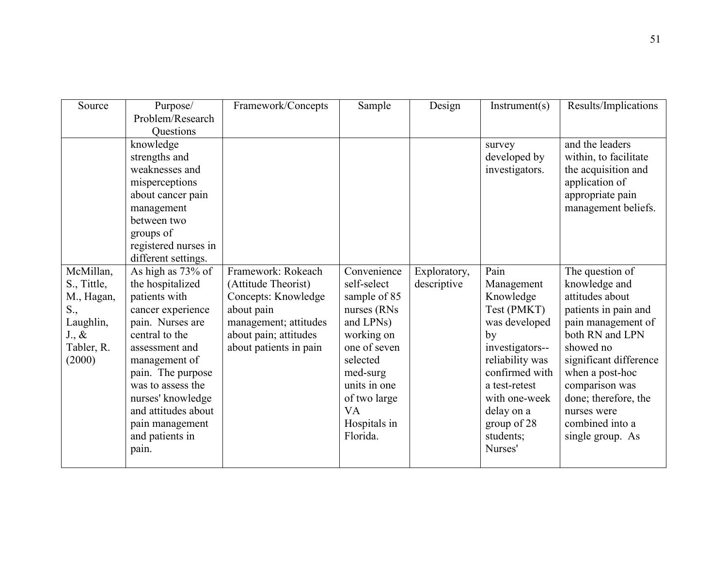| Source          | Purpose/             | Framework/Concepts     | Sample       | Design       | Instrument(s)   | Results/Implications   |
|-----------------|----------------------|------------------------|--------------|--------------|-----------------|------------------------|
|                 | Problem/Research     |                        |              |              |                 |                        |
|                 | <b>Ouestions</b>     |                        |              |              |                 |                        |
|                 | knowledge            |                        |              |              | survey          | and the leaders        |
|                 | strengths and        |                        |              |              | developed by    | within, to facilitate  |
|                 | weaknesses and       |                        |              |              | investigators.  | the acquisition and    |
|                 | misperceptions       |                        |              |              |                 | application of         |
|                 | about cancer pain    |                        |              |              |                 | appropriate pain       |
|                 | management           |                        |              |              |                 | management beliefs.    |
|                 | between two          |                        |              |              |                 |                        |
|                 | groups of            |                        |              |              |                 |                        |
|                 | registered nurses in |                        |              |              |                 |                        |
|                 | different settings.  |                        |              |              |                 |                        |
| McMillan,       | As high as 73% of    | Framework: Rokeach     | Convenience  | Exploratory, | Pain            | The question of        |
| S., Tittle,     | the hospitalized     | (Attitude Theorist)    | self-select  | descriptive  | Management      | knowledge and          |
| M., Hagan,      | patients with        | Concepts: Knowledge    | sample of 85 |              | Knowledge       | attitudes about        |
| S.,             | cancer experience    | about pain             | nurses (RNs  |              | Test (PMKT)     | patients in pain and   |
| Laughlin,       | pain. Nurses are     | management; attitudes  | and LPNs)    |              | was developed   | pain management of     |
| $J_{\cdot}, \&$ | central to the       | about pain; attitudes  | working on   |              | by              | both RN and LPN        |
| Tabler, R.      | assessment and       | about patients in pain | one of seven |              | investigators-- | showed no              |
| (2000)          | management of        |                        | selected     |              | reliability was | significant difference |
|                 | pain. The purpose    |                        | med-surg     |              | confirmed with  | when a post-hoc        |
|                 | was to assess the    |                        | units in one |              | a test-retest   | comparison was         |
|                 | nurses' knowledge    |                        | of two large |              | with one-week   | done; therefore, the   |
|                 | and attitudes about  |                        | <b>VA</b>    |              | delay on a      | nurses were            |
|                 | pain management      |                        | Hospitals in |              | group of 28     | combined into a        |
|                 | and patients in      |                        | Florida.     |              | students;       | single group. As       |
|                 | pain.                |                        |              |              | Nurses'         |                        |
|                 |                      |                        |              |              |                 |                        |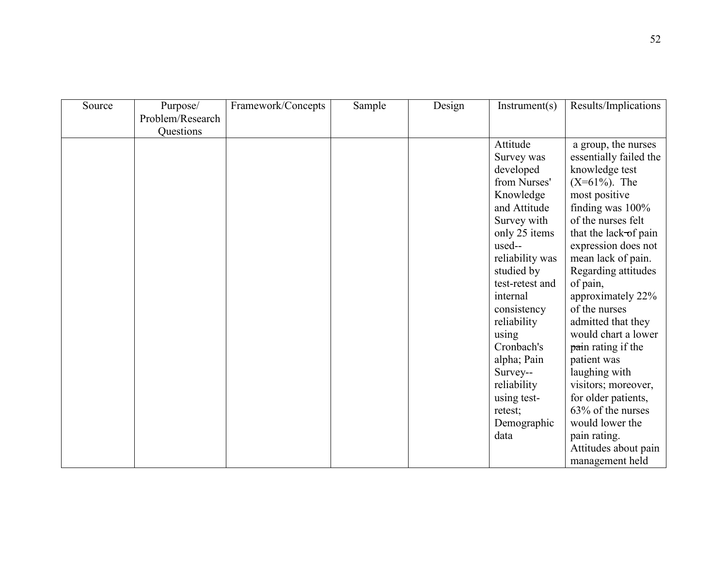| Source | Purpose/<br>Problem/Research | Framework/Concepts | Sample | Design | Instrument(s)   | Results/Implications   |
|--------|------------------------------|--------------------|--------|--------|-----------------|------------------------|
|        | Questions                    |                    |        |        |                 |                        |
|        |                              |                    |        |        | Attitude        | a group, the nurses    |
|        |                              |                    |        |        | Survey was      | essentially failed the |
|        |                              |                    |        |        | developed       | knowledge test         |
|        |                              |                    |        |        | from Nurses'    | $(X=61\%)$ . The       |
|        |                              |                    |        |        | Knowledge       | most positive          |
|        |                              |                    |        |        | and Attitude    | finding was 100%       |
|        |                              |                    |        |        | Survey with     | of the nurses felt     |
|        |                              |                    |        |        | only 25 items   | that the lack-of pain  |
|        |                              |                    |        |        | used--          | expression does not    |
|        |                              |                    |        |        | reliability was | mean lack of pain.     |
|        |                              |                    |        |        | studied by      | Regarding attitudes    |
|        |                              |                    |        |        | test-retest and | of pain,               |
|        |                              |                    |        |        | internal        | approximately 22%      |
|        |                              |                    |        |        | consistency     | of the nurses          |
|        |                              |                    |        |        | reliability     | admitted that they     |
|        |                              |                    |        |        | using           | would chart a lower    |
|        |                              |                    |        |        | Cronbach's      | pain rating if the     |
|        |                              |                    |        |        | alpha; Pain     | patient was            |
|        |                              |                    |        |        | Survey--        | laughing with          |
|        |                              |                    |        |        | reliability     | visitors; moreover,    |
|        |                              |                    |        |        | using test-     | for older patients,    |
|        |                              |                    |        |        | retest;         | 63% of the nurses      |
|        |                              |                    |        |        | Demographic     | would lower the        |
|        |                              |                    |        |        | data            | pain rating.           |
|        |                              |                    |        |        |                 | Attitudes about pain   |
|        |                              |                    |        |        |                 | management held        |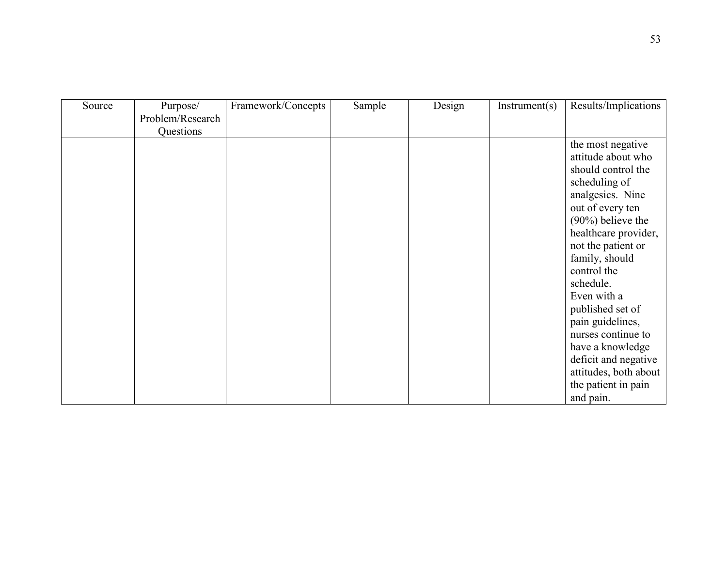| Source | Purpose/         | Framework/Concepts | Sample | Design | Instrument(s) | Results/Implications                    |
|--------|------------------|--------------------|--------|--------|---------------|-----------------------------------------|
|        | Problem/Research |                    |        |        |               |                                         |
|        | Questions        |                    |        |        |               |                                         |
|        |                  |                    |        |        |               | the most negative<br>attitude about who |
|        |                  |                    |        |        |               | should control the                      |
|        |                  |                    |        |        |               | scheduling of                           |
|        |                  |                    |        |        |               | analgesics. Nine                        |
|        |                  |                    |        |        |               | out of every ten                        |
|        |                  |                    |        |        |               | $(90\%)$ believe the                    |
|        |                  |                    |        |        |               | healthcare provider,                    |
|        |                  |                    |        |        |               | not the patient or                      |
|        |                  |                    |        |        |               | family, should                          |
|        |                  |                    |        |        |               | control the                             |
|        |                  |                    |        |        |               | schedule.                               |
|        |                  |                    |        |        |               | Even with a                             |
|        |                  |                    |        |        |               | published set of                        |
|        |                  |                    |        |        |               | pain guidelines,                        |
|        |                  |                    |        |        |               | nurses continue to                      |
|        |                  |                    |        |        |               | have a knowledge                        |
|        |                  |                    |        |        |               | deficit and negative                    |
|        |                  |                    |        |        |               | attitudes, both about                   |
|        |                  |                    |        |        |               | the patient in pain                     |
|        |                  |                    |        |        |               | and pain.                               |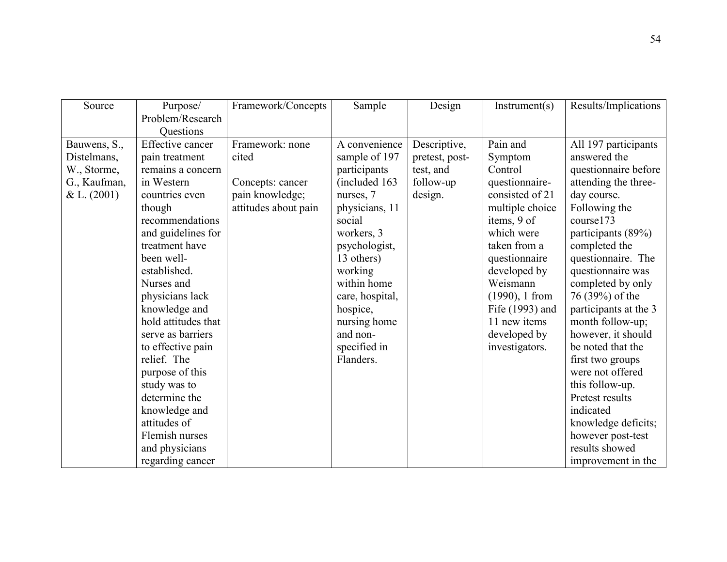| Source       | Purpose/            | Framework/Concepts   | Sample          | Design         | Instrument(s)     | Results/Implications  |
|--------------|---------------------|----------------------|-----------------|----------------|-------------------|-----------------------|
|              | Problem/Research    |                      |                 |                |                   |                       |
|              | Questions           |                      |                 |                |                   |                       |
| Bauwens, S., | Effective cancer    | Framework: none      | A convenience   | Descriptive,   | Pain and          | All 197 participants  |
| Distelmans,  | pain treatment      | cited                | sample of 197   | pretest, post- | Symptom           | answered the          |
| W., Storme,  | remains a concern   |                      | participants    | test, and      | Control           | questionnaire before  |
| G., Kaufman, | in Western          | Concepts: cancer     | (included 163   | follow-up      | questionnaire-    | attending the three-  |
| & L. (2001)  | countries even      | pain knowledge;      | nurses, 7       | design.        | consisted of 21   | day course.           |
|              | though              | attitudes about pain | physicians, 11  |                | multiple choice   | Following the         |
|              | recommendations     |                      | social          |                | items, 9 of       | course173             |
|              | and guidelines for  |                      | workers, 3      |                | which were        | participants (89%)    |
|              | treatment have      |                      | psychologist,   |                | taken from a      | completed the         |
|              | been well-          |                      | 13 others)      |                | questionnaire     | questionnaire. The    |
|              | established.        |                      | working         |                | developed by      | questionnaire was     |
|              | Nurses and          |                      | within home     |                | Weismann          | completed by only     |
|              | physicians lack     |                      | care, hospital, |                | $(1990)$ , 1 from | 76 (39%) of the       |
|              | knowledge and       |                      | hospice,        |                | Fife (1993) and   | participants at the 3 |
|              | hold attitudes that |                      | nursing home    |                | 11 new items      | month follow-up;      |
|              | serve as barriers   |                      | and non-        |                | developed by      | however, it should    |
|              | to effective pain   |                      | specified in    |                | investigators.    | be noted that the     |
|              | relief. The         |                      | Flanders.       |                |                   | first two groups      |
|              | purpose of this     |                      |                 |                |                   | were not offered      |
|              | study was to        |                      |                 |                |                   | this follow-up.       |
|              | determine the       |                      |                 |                |                   | Pretest results       |
|              | knowledge and       |                      |                 |                |                   | indicated             |
|              | attitudes of        |                      |                 |                |                   | knowledge deficits;   |
|              | Flemish nurses      |                      |                 |                |                   | however post-test     |
|              | and physicians      |                      |                 |                |                   | results showed        |
|              | regarding cancer    |                      |                 |                |                   | improvement in the    |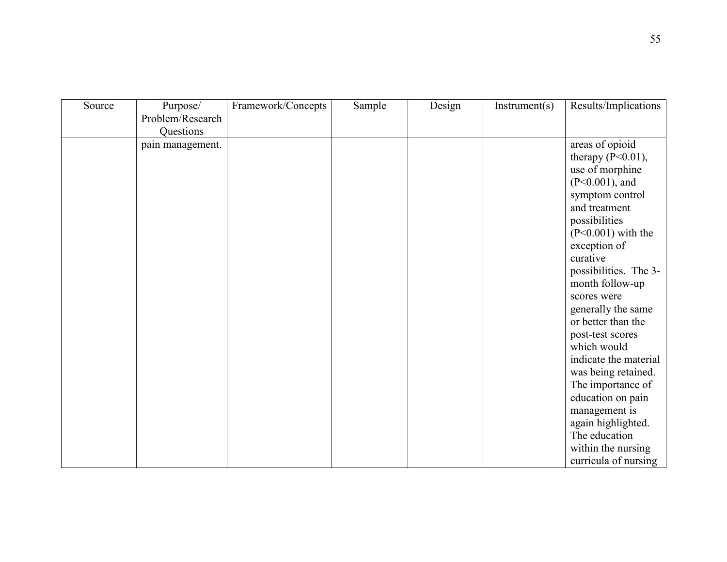| Source | Purpose/         | Framework/Concepts | Sample | Design | Instrument(s) | Results/Implications  |
|--------|------------------|--------------------|--------|--------|---------------|-----------------------|
|        | Problem/Research |                    |        |        |               |                       |
|        | Questions        |                    |        |        |               |                       |
|        | pain management. |                    |        |        |               | areas of opioid       |
|        |                  |                    |        |        |               | therapy $(P<0.01)$ ,  |
|        |                  |                    |        |        |               | use of morphine       |
|        |                  |                    |        |        |               | $(P<0.001)$ , and     |
|        |                  |                    |        |        |               | symptom control       |
|        |                  |                    |        |        |               | and treatment         |
|        |                  |                    |        |        |               | possibilities         |
|        |                  |                    |        |        |               | $(P<0.001)$ with the  |
|        |                  |                    |        |        |               | exception of          |
|        |                  |                    |        |        |               | curative              |
|        |                  |                    |        |        |               | possibilities. The 3- |
|        |                  |                    |        |        |               | month follow-up       |
|        |                  |                    |        |        |               | scores were           |
|        |                  |                    |        |        |               | generally the same    |
|        |                  |                    |        |        |               | or better than the    |
|        |                  |                    |        |        |               | post-test scores      |
|        |                  |                    |        |        |               | which would           |
|        |                  |                    |        |        |               | indicate the material |
|        |                  |                    |        |        |               | was being retained.   |
|        |                  |                    |        |        |               | The importance of     |
|        |                  |                    |        |        |               | education on pain     |
|        |                  |                    |        |        |               | management is         |
|        |                  |                    |        |        |               | again highlighted.    |
|        |                  |                    |        |        |               | The education         |
|        |                  |                    |        |        |               | within the nursing    |
|        |                  |                    |        |        |               | curricula of nursing  |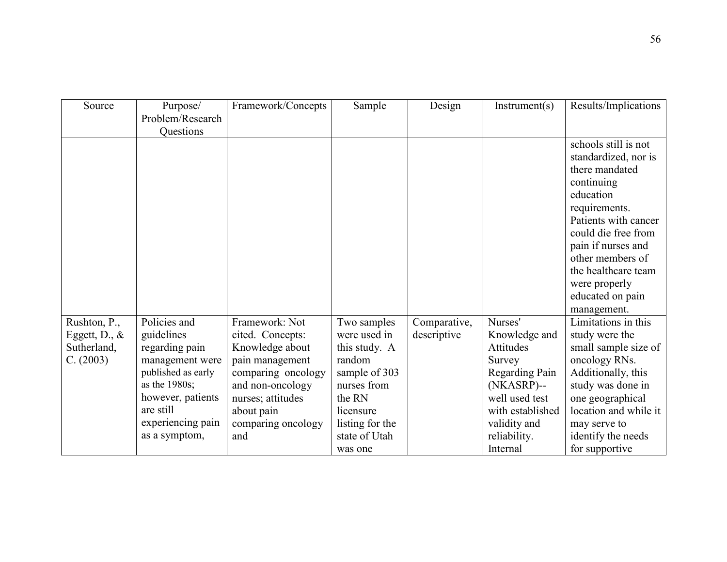| Source           | Purpose/<br>Problem/Research          | Framework/Concepts | Sample                       | Design       | Instrument(s)    | Results/Implications  |
|------------------|---------------------------------------|--------------------|------------------------------|--------------|------------------|-----------------------|
|                  | Questions                             |                    |                              |              |                  |                       |
|                  |                                       |                    |                              |              |                  | schools still is not  |
|                  |                                       |                    |                              |              |                  | standardized, nor is  |
|                  |                                       |                    |                              |              |                  | there mandated        |
|                  |                                       |                    |                              |              |                  | continuing            |
|                  |                                       |                    |                              |              |                  | education             |
|                  |                                       |                    |                              |              |                  | requirements.         |
|                  |                                       |                    |                              |              |                  | Patients with cancer  |
|                  |                                       |                    |                              |              |                  | could die free from   |
|                  |                                       |                    |                              |              |                  | pain if nurses and    |
|                  |                                       |                    |                              |              |                  | other members of      |
|                  |                                       |                    |                              |              |                  | the healthcare team   |
|                  |                                       |                    |                              |              |                  | were properly         |
|                  |                                       |                    |                              |              |                  | educated on pain      |
|                  |                                       |                    |                              |              |                  | management.           |
| Rushton, P.,     | Policies and                          | Framework: Not     | Two samples                  | Comparative, | Nurses'          | Limitations in this   |
| Eggett, D., $\&$ | guidelines                            | cited. Concepts:   | were used in                 | descriptive  | Knowledge and    | study were the        |
| Sutherland,      | regarding pain                        | Knowledge about    | this study. A                |              | Attitudes        | small sample size of  |
| C. (2003)        | management were<br>published as early | pain management    | random                       |              | Survey           | oncology RNs.         |
|                  | as the 1980s;                         | comparing oncology | sample of 303<br>nurses from |              | Regarding Pain   | Additionally, this    |
|                  | however, patients                     | and non-oncology   | the RN                       |              | (NKASRP)--       | study was done in     |
|                  | are still                             | nurses; attitudes  |                              |              | well used test   | one geographical      |
|                  |                                       | about pain         | licensure                    |              | with established | location and while it |
|                  | experiencing pain                     | comparing oncology | listing for the              |              | validity and     | may serve to          |
|                  | as a symptom,                         | and                | state of Utah                |              | reliability.     | identify the needs    |
|                  |                                       |                    | was one                      |              | Internal         | for supportive        |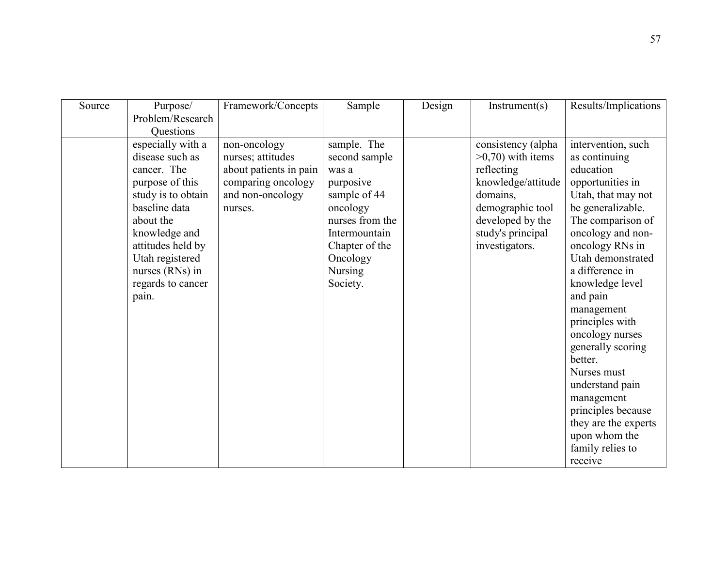| Source | Purpose/           | Framework/Concepts     | Sample          | Design | Instrument(s)        | Results/Implications |
|--------|--------------------|------------------------|-----------------|--------|----------------------|----------------------|
|        | Problem/Research   |                        |                 |        |                      |                      |
|        | <b>Ouestions</b>   |                        |                 |        |                      |                      |
|        | especially with a  | non-oncology           | sample. The     |        | consistency (alpha   | intervention, such   |
|        | disease such as    | nurses; attitudes      | second sample   |        | $>0,70$ ) with items | as continuing        |
|        | cancer. The        | about patients in pain | was a           |        | reflecting           | education            |
|        | purpose of this    | comparing oncology     | purposive       |        | knowledge/attitude   | opportunities in     |
|        | study is to obtain | and non-oncology       | sample of 44    |        | domains,             | Utah, that may not   |
|        | baseline data      | nurses.                | oncology        |        | demographic tool     | be generalizable.    |
|        | about the          |                        | nurses from the |        | developed by the     | The comparison of    |
|        | knowledge and      |                        | Intermountain   |        | study's principal    | oncology and non-    |
|        | attitudes held by  |                        | Chapter of the  |        | investigators.       | oncology RNs in      |
|        | Utah registered    |                        | Oncology        |        |                      | Utah demonstrated    |
|        | nurses (RNs) in    |                        | <b>Nursing</b>  |        |                      | a difference in      |
|        | regards to cancer  |                        | Society.        |        |                      | knowledge level      |
|        | pain.              |                        |                 |        |                      | and pain             |
|        |                    |                        |                 |        |                      | management           |
|        |                    |                        |                 |        |                      | principles with      |
|        |                    |                        |                 |        |                      | oncology nurses      |
|        |                    |                        |                 |        |                      | generally scoring    |
|        |                    |                        |                 |        |                      | better.              |
|        |                    |                        |                 |        |                      | Nurses must          |
|        |                    |                        |                 |        |                      | understand pain      |
|        |                    |                        |                 |        |                      | management           |
|        |                    |                        |                 |        |                      | principles because   |
|        |                    |                        |                 |        |                      | they are the experts |
|        |                    |                        |                 |        |                      | upon whom the        |
|        |                    |                        |                 |        |                      | family relies to     |
|        |                    |                        |                 |        |                      | receive              |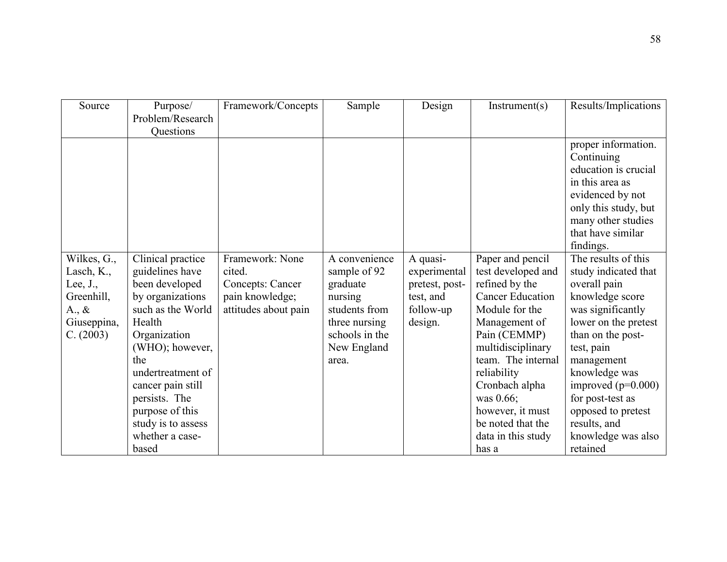| Source             | Purpose/           | Framework/Concepts   | Sample         | Design         | Instrument(s)           | Results/Implications |
|--------------------|--------------------|----------------------|----------------|----------------|-------------------------|----------------------|
|                    | Problem/Research   |                      |                |                |                         |                      |
|                    | Questions          |                      |                |                |                         |                      |
|                    |                    |                      |                |                |                         | proper information.  |
|                    |                    |                      |                |                |                         | Continuing           |
|                    |                    |                      |                |                |                         | education is crucial |
|                    |                    |                      |                |                |                         | in this area as      |
|                    |                    |                      |                |                |                         | evidenced by not     |
|                    |                    |                      |                |                |                         | only this study, but |
|                    |                    |                      |                |                |                         | many other studies   |
|                    |                    |                      |                |                |                         | that have similar    |
|                    |                    |                      |                |                |                         | findings.            |
| Wilkes, G.,        | Clinical practice  | Framework: None      | A convenience  | A quasi-       | Paper and pencil        | The results of this  |
| Lasch, K.,         | guidelines have    | cited.               | sample of 92   | experimental   | test developed and      | study indicated that |
| Lee, $J_{\cdot}$ , | been developed     | Concepts: Cancer     | graduate       | pretest, post- | refined by the          | overall pain         |
| Greenhill,         | by organizations   | pain knowledge;      | nursing        | test, and      | <b>Cancer Education</b> | knowledge score      |
| $A_{\cdot}, \&$    | such as the World  | attitudes about pain | students from  | follow-up      | Module for the          | was significantly    |
| Giuseppina,        | Health             |                      | three nursing  | design.        | Management of           | lower on the pretest |
| C. (2003)          | Organization       |                      | schools in the |                | Pain (CEMMP)            | than on the post-    |
|                    | (WHO); however,    |                      | New England    |                | multidisciplinary       | test, pain           |
|                    | the                |                      | area.          |                | team. The internal      | management           |
|                    | undertreatment of  |                      |                |                | reliability             | knowledge was        |
|                    | cancer pain still  |                      |                |                | Cronbach alpha          | improved $(p=0.000)$ |
|                    | persists. The      |                      |                |                | was 0.66;               | for post-test as     |
|                    | purpose of this    |                      |                |                | however, it must        | opposed to pretest   |
|                    | study is to assess |                      |                |                | be noted that the       | results, and         |
|                    | whether a case-    |                      |                |                | data in this study      | knowledge was also   |
|                    | based              |                      |                |                | has a                   | retained             |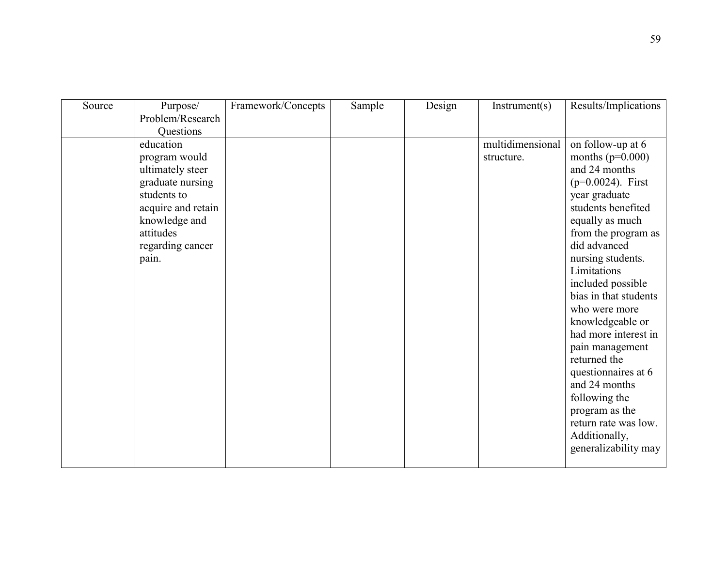| Source | Purpose/           | Framework/Concepts | Sample | Design | Instrument(s)    | Results/Implications  |
|--------|--------------------|--------------------|--------|--------|------------------|-----------------------|
|        | Problem/Research   |                    |        |        |                  |                       |
|        | Questions          |                    |        |        |                  |                       |
|        | education          |                    |        |        | multidimensional | on follow-up at 6     |
|        | program would      |                    |        |        | structure.       | months ( $p=0.000$ )  |
|        | ultimately steer   |                    |        |        |                  | and 24 months         |
|        | graduate nursing   |                    |        |        |                  | $(p=0.0024)$ . First  |
|        | students to        |                    |        |        |                  | year graduate         |
|        | acquire and retain |                    |        |        |                  | students benefited    |
|        | knowledge and      |                    |        |        |                  | equally as much       |
|        | attitudes          |                    |        |        |                  | from the program as   |
|        | regarding cancer   |                    |        |        |                  | did advanced          |
|        | pain.              |                    |        |        |                  | nursing students.     |
|        |                    |                    |        |        |                  | Limitations           |
|        |                    |                    |        |        |                  | included possible     |
|        |                    |                    |        |        |                  | bias in that students |
|        |                    |                    |        |        |                  | who were more         |
|        |                    |                    |        |        |                  | knowledgeable or      |
|        |                    |                    |        |        |                  | had more interest in  |
|        |                    |                    |        |        |                  | pain management       |
|        |                    |                    |        |        |                  | returned the          |
|        |                    |                    |        |        |                  | questionnaires at 6   |
|        |                    |                    |        |        |                  | and 24 months         |
|        |                    |                    |        |        |                  | following the         |
|        |                    |                    |        |        |                  | program as the        |
|        |                    |                    |        |        |                  | return rate was low.  |
|        |                    |                    |        |        |                  | Additionally,         |
|        |                    |                    |        |        |                  | generalizability may  |
|        |                    |                    |        |        |                  |                       |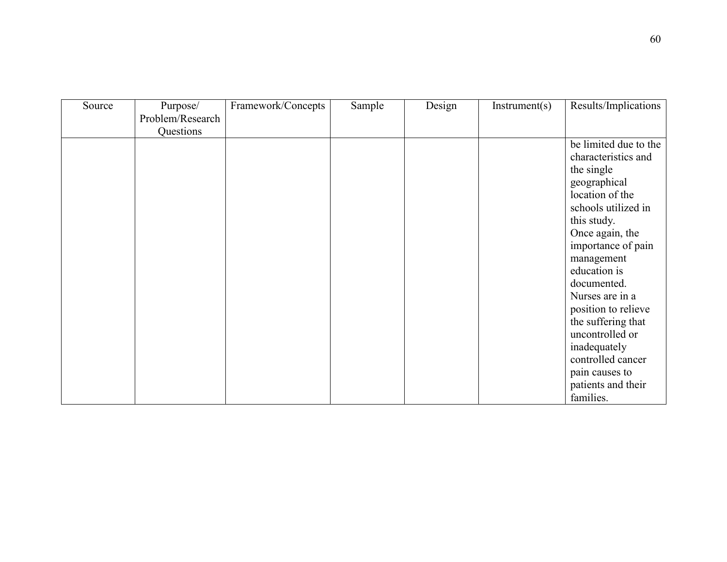| Source | Purpose/         | Framework/Concepts | Sample | Design | Instrument(s) | Results/Implications  |
|--------|------------------|--------------------|--------|--------|---------------|-----------------------|
|        | Problem/Research |                    |        |        |               |                       |
|        | Questions        |                    |        |        |               |                       |
|        |                  |                    |        |        |               | be limited due to the |
|        |                  |                    |        |        |               | characteristics and   |
|        |                  |                    |        |        |               | the single            |
|        |                  |                    |        |        |               | geographical          |
|        |                  |                    |        |        |               | location of the       |
|        |                  |                    |        |        |               | schools utilized in   |
|        |                  |                    |        |        |               | this study.           |
|        |                  |                    |        |        |               | Once again, the       |
|        |                  |                    |        |        |               | importance of pain    |
|        |                  |                    |        |        |               | management            |
|        |                  |                    |        |        |               | education is          |
|        |                  |                    |        |        |               | documented.           |
|        |                  |                    |        |        |               | Nurses are in a       |
|        |                  |                    |        |        |               | position to relieve   |
|        |                  |                    |        |        |               | the suffering that    |
|        |                  |                    |        |        |               | uncontrolled or       |
|        |                  |                    |        |        |               | inadequately          |
|        |                  |                    |        |        |               | controlled cancer     |
|        |                  |                    |        |        |               | pain causes to        |
|        |                  |                    |        |        |               | patients and their    |
|        |                  |                    |        |        |               | families.             |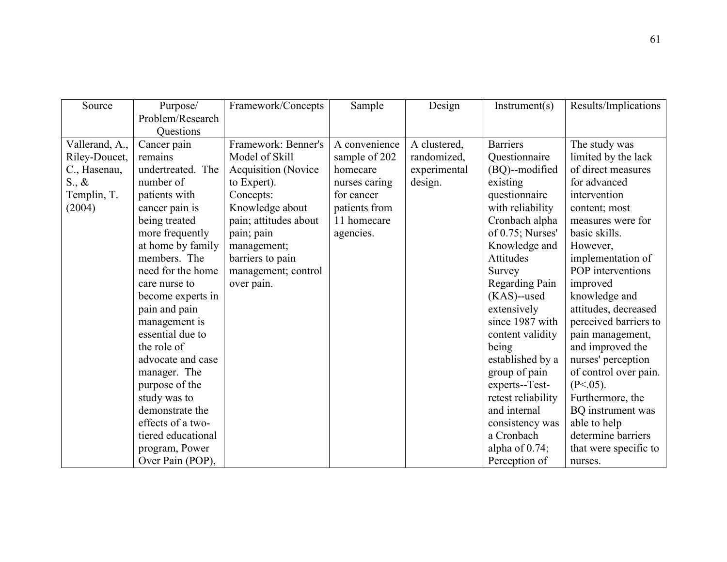| Source          | Purpose/           | Framework/Concepts         | Sample        | Design       | Instrument(s)       | Results/Implications  |
|-----------------|--------------------|----------------------------|---------------|--------------|---------------------|-----------------------|
|                 | Problem/Research   |                            |               |              |                     |                       |
|                 | Questions          |                            |               |              |                     |                       |
| Vallerand, A.,  | Cancer pain        | Framework: Benner's        | A convenience | A clustered, | <b>Barriers</b>     | The study was         |
| Riley-Doucet,   | remains            | Model of Skill             | sample of 202 | randomized,  | Questionnaire       | limited by the lack   |
| C., Hasenau,    | undertreated. The  | <b>Acquisition</b> (Novice | homecare      | experimental | (BQ)--modified      | of direct measures    |
| $S_{\cdot}, \&$ | number of          | to Expert).                | nurses caring | design.      | existing            | for advanced          |
| Templin, T.     | patients with      | Concepts:                  | for cancer    |              | questionnaire       | intervention          |
| (2004)          | cancer pain is     | Knowledge about            | patients from |              | with reliability    | content; most         |
|                 | being treated      | pain; attitudes about      | 11 homecare   |              | Cronbach alpha      | measures were for     |
|                 | more frequently    | pain; pain                 | agencies.     |              | of $0.75$ ; Nurses' | basic skills.         |
|                 | at home by family  | management;                |               |              | Knowledge and       | However,              |
|                 | members. The       | barriers to pain           |               |              | <b>Attitudes</b>    | implementation of     |
|                 | need for the home  | management; control        |               |              | Survey              | POP interventions     |
|                 | care nurse to      | over pain.                 |               |              | Regarding Pain      | improved              |
|                 | become experts in  |                            |               |              | $(KAS)$ --used      | knowledge and         |
|                 | pain and pain      |                            |               |              | extensively         | attitudes, decreased  |
|                 | management is      |                            |               |              | since 1987 with     | perceived barriers to |
|                 | essential due to   |                            |               |              | content validity    | pain management,      |
|                 | the role of        |                            |               |              | being               | and improved the      |
|                 | advocate and case  |                            |               |              | established by a    | nurses' perception    |
|                 | manager. The       |                            |               |              | group of pain       | of control over pain. |
|                 | purpose of the     |                            |               |              | experts--Test-      | $(P<.05)$ .           |
|                 | study was to       |                            |               |              | retest reliability  | Furthermore, the      |
|                 | demonstrate the    |                            |               |              | and internal        | BQ instrument was     |
|                 | effects of a two-  |                            |               |              | consistency was     | able to help          |
|                 | tiered educational |                            |               |              | a Cronbach          | determine barriers    |
|                 | program, Power     |                            |               |              | alpha of $0.74$ ;   | that were specific to |
|                 | Over Pain (POP),   |                            |               |              | Perception of       | nurses.               |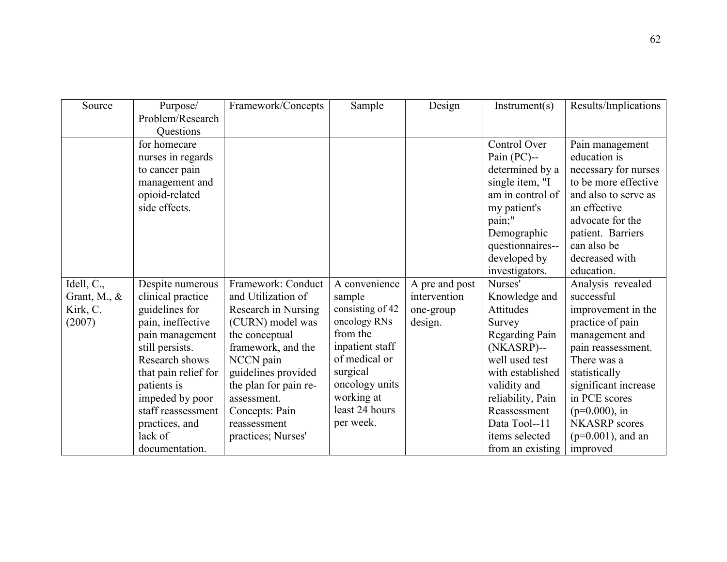| Source          | Purpose/             | Framework/Concepts    | Sample           | Design         | Instrument(s)     | Results/Implications |
|-----------------|----------------------|-----------------------|------------------|----------------|-------------------|----------------------|
|                 | Problem/Research     |                       |                  |                |                   |                      |
|                 | Questions            |                       |                  |                |                   |                      |
|                 | for homecare         |                       |                  |                | Control Over      | Pain management      |
|                 | nurses in regards    |                       |                  |                | Pain $(PC)$ --    | education is         |
|                 | to cancer pain       |                       |                  |                | determined by a   | necessary for nurses |
|                 | management and       |                       |                  |                | single item, "I   | to be more effective |
|                 | opioid-related       |                       |                  |                | am in control of  | and also to serve as |
|                 | side effects.        |                       |                  |                | my patient's      | an effective         |
|                 |                      |                       |                  |                | pain;"            | advocate for the     |
|                 |                      |                       |                  |                | Demographic       | patient. Barriers    |
|                 |                      |                       |                  |                | questionnaires--  | can also be          |
|                 |                      |                       |                  |                | developed by      | decreased with       |
|                 |                      |                       |                  |                | investigators.    | education.           |
| Idell, C.,      | Despite numerous     | Framework: Conduct    | A convenience    | A pre and post | Nurses'           | Analysis revealed    |
| Grant, M., $\&$ | clinical practice    | and Utilization of    | sample           | intervention   | Knowledge and     | successful           |
| Kirk, C.        | guidelines for       | Research in Nursing   | consisting of 42 | one-group      | Attitudes         | improvement in the   |
| (2007)          | pain, ineffective    | (CURN) model was      | oncology RNs     | design.        | Survey            | practice of pain     |
|                 | pain management      | the conceptual        | from the         |                | Regarding Pain    | management and       |
|                 | still persists.      | framework, and the    | inpatient staff  |                | (NKASRP)--        | pain reassessment.   |
|                 | Research shows       | NCCN pain             | of medical or    |                | well used test    | There was a          |
|                 | that pain relief for | guidelines provided   | surgical         |                | with established  | statistically        |
|                 | patients is          | the plan for pain re- | oncology units   |                | validity and      | significant increase |
|                 | impeded by poor      | assessment.           | working at       |                | reliability, Pain | in PCE scores        |
|                 | staff reassessment   | Concepts: Pain        | least 24 hours   |                | Reassessment      | $(p=0.000)$ , in     |
|                 | practices, and       | reassessment          | per week.        |                | Data Tool--11     | <b>NKASRP</b> scores |
|                 | lack of              | practices; Nurses'    |                  |                | items selected    | $(p=0.001)$ , and an |
|                 | documentation.       |                       |                  |                | from an existing  | improved             |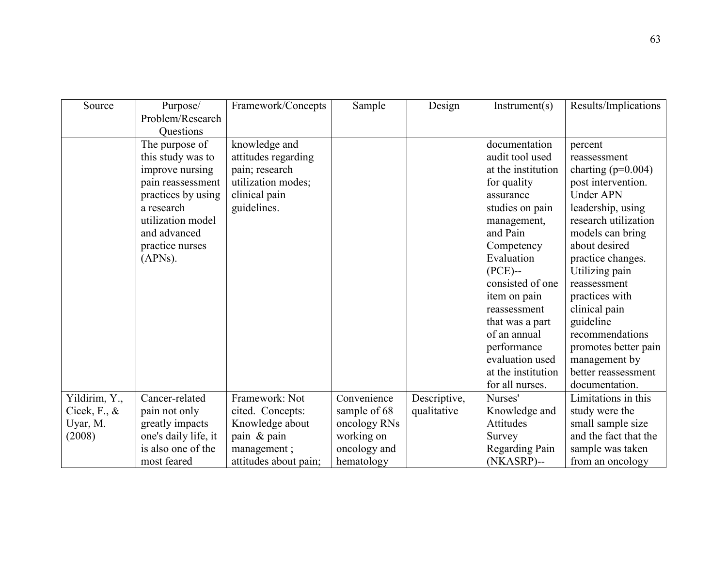| Source                 | Purpose/             | Framework/Concepts    | Sample       | Design       | Instrument(s)      | Results/Implications  |
|------------------------|----------------------|-----------------------|--------------|--------------|--------------------|-----------------------|
|                        | Problem/Research     |                       |              |              |                    |                       |
|                        | Questions            |                       |              |              |                    |                       |
|                        | The purpose of       | knowledge and         |              |              | documentation      | percent               |
|                        | this study was to    | attitudes regarding   |              |              | audit tool used    | reassessment          |
|                        | improve nursing      | pain; research        |              |              | at the institution | charting $(p=0.004)$  |
|                        | pain reassessment    | utilization modes;    |              |              | for quality        | post intervention.    |
|                        | practices by using   | clinical pain         |              |              | assurance          | <b>Under APN</b>      |
|                        | a research           | guidelines.           |              |              | studies on pain    | leadership, using     |
|                        | utilization model    |                       |              |              | management,        | research utilization  |
|                        | and advanced         |                       |              |              | and Pain           | models can bring      |
|                        | practice nurses      |                       |              |              | Competency         | about desired         |
|                        | (APNs).              |                       |              |              | Evaluation         | practice changes.     |
|                        |                      |                       |              |              | $(PCE)$ --         | Utilizing pain        |
|                        |                      |                       |              |              | consisted of one   | reassessment          |
|                        |                      |                       |              |              | item on pain       | practices with        |
|                        |                      |                       |              |              | reassessment       | clinical pain         |
|                        |                      |                       |              |              | that was a part    | guideline             |
|                        |                      |                       |              |              | of an annual       | recommendations       |
|                        |                      |                       |              |              | performance        | promotes better pain  |
|                        |                      |                       |              |              | evaluation used    | management by         |
|                        |                      |                       |              |              | at the institution | better reassessment   |
|                        |                      |                       |              |              | for all nurses.    | documentation.        |
| Yildirim, Y.,          | Cancer-related       | Framework: Not        | Convenience  | Descriptive, | Nurses'            | Limitations in this   |
| Cicek, $F_{\cdot}$ , & | pain not only        | cited. Concepts:      | sample of 68 | qualitative  | Knowledge and      | study were the        |
| Uyar, M.               | greatly impacts      | Knowledge about       | oncology RNs |              | Attitudes          | small sample size     |
| (2008)                 | one's daily life, it | pain & pain           | working on   |              | Survey             | and the fact that the |
|                        | is also one of the   | management;           | oncology and |              | Regarding Pain     | sample was taken      |
|                        | most feared          | attitudes about pain; | hematology   |              | (NKASRP)--         | from an oncology      |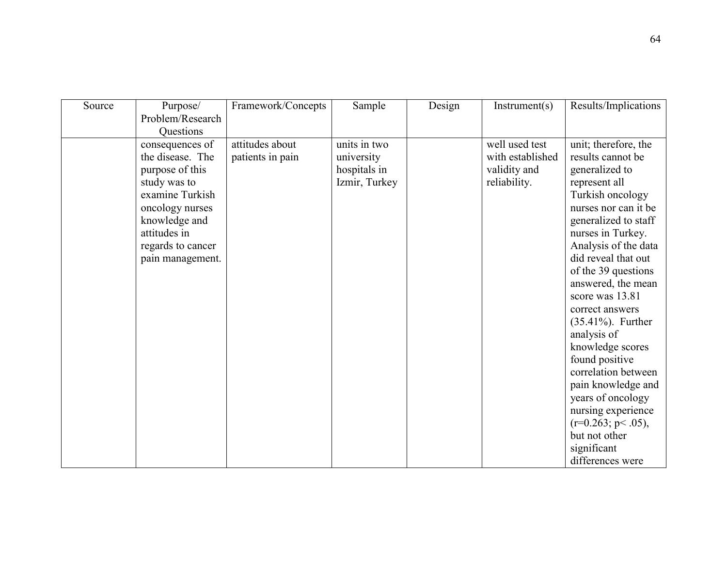| Source | Purpose/          | Framework/Concepts | Sample        | Design | Instrument(s)    | Results/Implications  |
|--------|-------------------|--------------------|---------------|--------|------------------|-----------------------|
|        | Problem/Research  |                    |               |        |                  |                       |
|        | Questions         |                    |               |        |                  |                       |
|        | consequences of   | attitudes about    | units in two  |        | well used test   | unit; therefore, the  |
|        | the disease. The  | patients in pain   | university    |        | with established | results cannot be     |
|        | purpose of this   |                    | hospitals in  |        | validity and     | generalized to        |
|        | study was to      |                    | Izmir, Turkey |        | reliability.     | represent all         |
|        | examine Turkish   |                    |               |        |                  | Turkish oncology      |
|        | oncology nurses   |                    |               |        |                  | nurses nor can it be  |
|        | knowledge and     |                    |               |        |                  | generalized to staff  |
|        | attitudes in      |                    |               |        |                  | nurses in Turkey.     |
|        | regards to cancer |                    |               |        |                  | Analysis of the data  |
|        | pain management.  |                    |               |        |                  | did reveal that out   |
|        |                   |                    |               |        |                  | of the 39 questions   |
|        |                   |                    |               |        |                  | answered, the mean    |
|        |                   |                    |               |        |                  | score was 13.81       |
|        |                   |                    |               |        |                  | correct answers       |
|        |                   |                    |               |        |                  | $(35.41\%)$ . Further |
|        |                   |                    |               |        |                  | analysis of           |
|        |                   |                    |               |        |                  | knowledge scores      |
|        |                   |                    |               |        |                  | found positive        |
|        |                   |                    |               |        |                  | correlation between   |
|        |                   |                    |               |        |                  | pain knowledge and    |
|        |                   |                    |               |        |                  | years of oncology     |
|        |                   |                    |               |        |                  | nursing experience    |
|        |                   |                    |               |        |                  | $(r=0.263; p<.05)$ ,  |
|        |                   |                    |               |        |                  | but not other         |
|        |                   |                    |               |        |                  | significant           |
|        |                   |                    |               |        |                  | differences were      |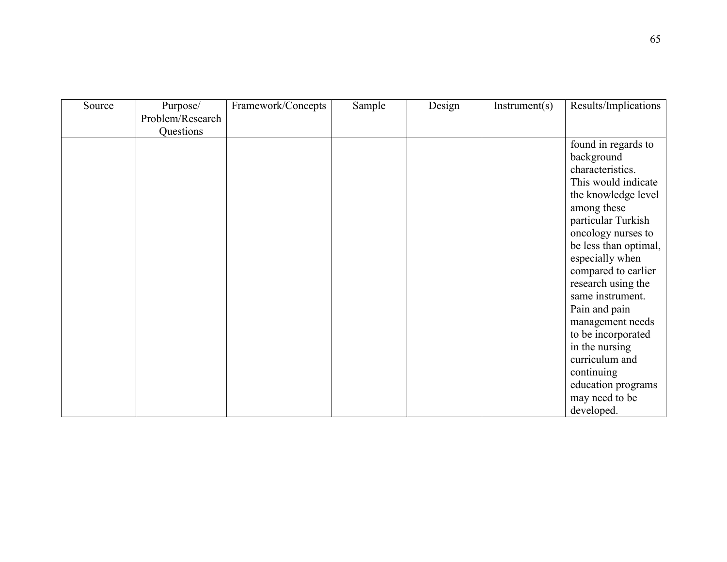| Source | Purpose/         | Framework/Concepts | Sample | Design | Instrument(s) | Results/Implications  |
|--------|------------------|--------------------|--------|--------|---------------|-----------------------|
|        | Problem/Research |                    |        |        |               |                       |
|        | Questions        |                    |        |        |               |                       |
|        |                  |                    |        |        |               | found in regards to   |
|        |                  |                    |        |        |               | background            |
|        |                  |                    |        |        |               | characteristics.      |
|        |                  |                    |        |        |               | This would indicate   |
|        |                  |                    |        |        |               | the knowledge level   |
|        |                  |                    |        |        |               | among these           |
|        |                  |                    |        |        |               | particular Turkish    |
|        |                  |                    |        |        |               | oncology nurses to    |
|        |                  |                    |        |        |               | be less than optimal, |
|        |                  |                    |        |        |               | especially when       |
|        |                  |                    |        |        |               | compared to earlier   |
|        |                  |                    |        |        |               | research using the    |
|        |                  |                    |        |        |               | same instrument.      |
|        |                  |                    |        |        |               | Pain and pain         |
|        |                  |                    |        |        |               | management needs      |
|        |                  |                    |        |        |               | to be incorporated    |
|        |                  |                    |        |        |               | in the nursing        |
|        |                  |                    |        |        |               | curriculum and        |
|        |                  |                    |        |        |               | continuing            |
|        |                  |                    |        |        |               | education programs    |
|        |                  |                    |        |        |               | may need to be        |
|        |                  |                    |        |        |               | developed.            |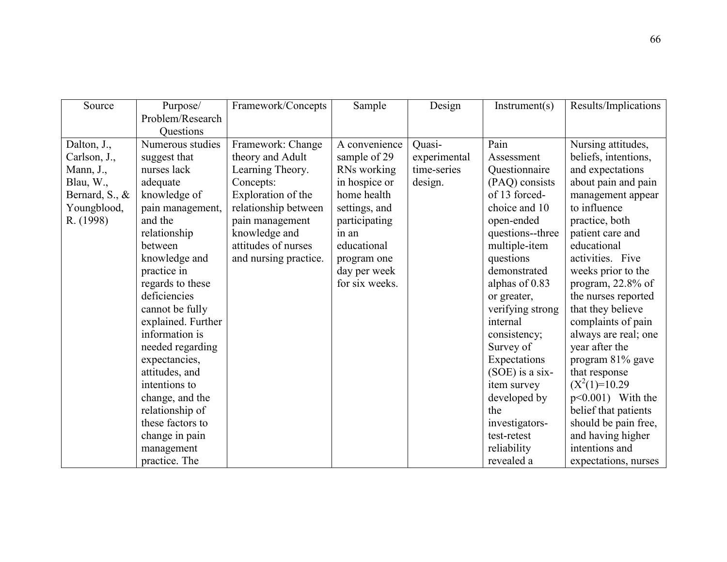| Source         | Purpose/           | Framework/Concepts    | Sample         | Design       | Instrument(s)     | Results/Implications |
|----------------|--------------------|-----------------------|----------------|--------------|-------------------|----------------------|
|                | Problem/Research   |                       |                |              |                   |                      |
|                | Questions          |                       |                |              |                   |                      |
| Dalton, J.,    | Numerous studies   | Framework: Change     | A convenience  | Quasi-       | Pain              | Nursing attitudes,   |
| Carlson, J.,   | suggest that       | theory and Adult      | sample of 29   | experimental | Assessment        | beliefs, intentions, |
| Mann, J.,      | nurses lack        | Learning Theory.      | RNs working    | time-series  | Questionnaire     | and expectations     |
| Blau, W.,      | adequate           | Concepts:             | in hospice or  | design.      | (PAQ) consists    | about pain and pain  |
| Bernard, S., & | knowledge of       | Exploration of the    | home health    |              | of 13 forced-     | management appear    |
| Youngblood,    | pain management,   | relationship between  | settings, and  |              | choice and 10     | to influence         |
| R. (1998)      | and the            | pain management       | participating  |              | open-ended        | practice, both       |
|                | relationship       | knowledge and         | in an          |              | questions--three  | patient care and     |
|                | between            | attitudes of nurses   | educational    |              | multiple-item     | educational          |
|                | knowledge and      | and nursing practice. | program one    |              | questions         | activities. Five     |
|                | practice in        |                       | day per week   |              | demonstrated      | weeks prior to the   |
|                | regards to these   |                       | for six weeks. |              | alphas of 0.83    | program, 22.8% of    |
|                | deficiencies       |                       |                |              | or greater,       | the nurses reported  |
|                | cannot be fully    |                       |                |              | verifying strong  | that they believe    |
|                | explained. Further |                       |                |              | internal          | complaints of pain   |
|                | information is     |                       |                |              | consistency;      | always are real; one |
|                | needed regarding   |                       |                |              | Survey of         | year after the       |
|                | expectancies,      |                       |                |              | Expectations      | program 81% gave     |
|                | attitudes, and     |                       |                |              | $(SOE)$ is a six- | that response        |
|                | intentions to      |                       |                |              | item survey       | $(X^2(1)=10.29)$     |
|                | change, and the    |                       |                |              | developed by      | $p<0.001$ ) With the |
|                | relationship of    |                       |                |              | the               | belief that patients |
|                | these factors to   |                       |                |              | investigators-    | should be pain free, |
|                | change in pain     |                       |                |              | test-retest       | and having higher    |
|                | management         |                       |                |              | reliability       | intentions and       |
|                | practice. The      |                       |                |              | revealed a        | expectations, nurses |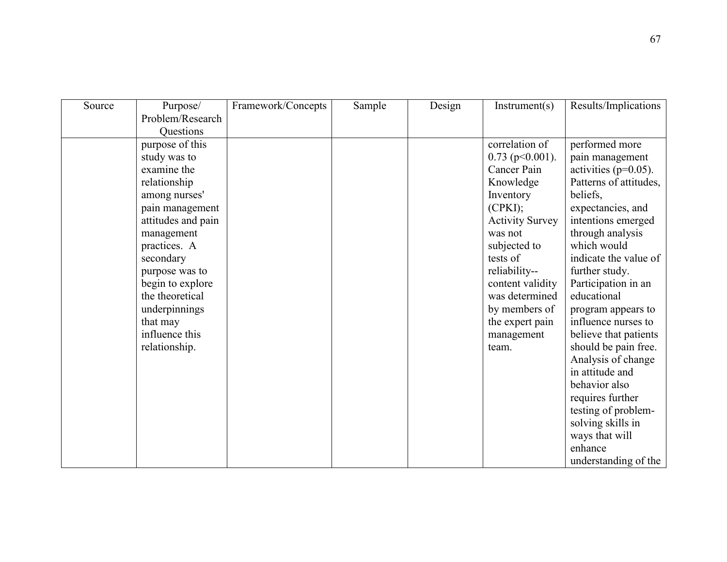| Source | Purpose/           | Framework/Concepts | Sample | Design | Instrument(s)          | Results/Implications     |
|--------|--------------------|--------------------|--------|--------|------------------------|--------------------------|
|        | Problem/Research   |                    |        |        |                        |                          |
|        | Questions          |                    |        |        |                        |                          |
|        | purpose of this    |                    |        |        | correlation of         | performed more           |
|        | study was to       |                    |        |        | $0.73$ (p $0.001$ ).   | pain management          |
|        | examine the        |                    |        |        | Cancer Pain            | activities ( $p=0.05$ ). |
|        | relationship       |                    |        |        | Knowledge              | Patterns of attitudes,   |
|        | among nurses'      |                    |        |        | Inventory              | beliefs.                 |
|        | pain management    |                    |        |        | (CPKI);                | expectancies, and        |
|        | attitudes and pain |                    |        |        | <b>Activity Survey</b> | intentions emerged       |
|        | management         |                    |        |        | was not                | through analysis         |
|        | practices. A       |                    |        |        | subjected to           | which would              |
|        | secondary          |                    |        |        | tests of               | indicate the value of    |
|        | purpose was to     |                    |        |        | reliability--          | further study.           |
|        | begin to explore   |                    |        |        | content validity       | Participation in an      |
|        | the theoretical    |                    |        |        | was determined         | educational              |
|        | underpinnings      |                    |        |        | by members of          | program appears to       |
|        | that may           |                    |        |        | the expert pain        | influence nurses to      |
|        | influence this     |                    |        |        | management             | believe that patients    |
|        | relationship.      |                    |        |        | team.                  | should be pain free.     |
|        |                    |                    |        |        |                        | Analysis of change       |
|        |                    |                    |        |        |                        | in attitude and          |
|        |                    |                    |        |        |                        | behavior also            |
|        |                    |                    |        |        |                        | requires further         |
|        |                    |                    |        |        |                        | testing of problem-      |
|        |                    |                    |        |        |                        | solving skills in        |
|        |                    |                    |        |        |                        | ways that will           |
|        |                    |                    |        |        |                        | enhance                  |
|        |                    |                    |        |        |                        | understanding of the     |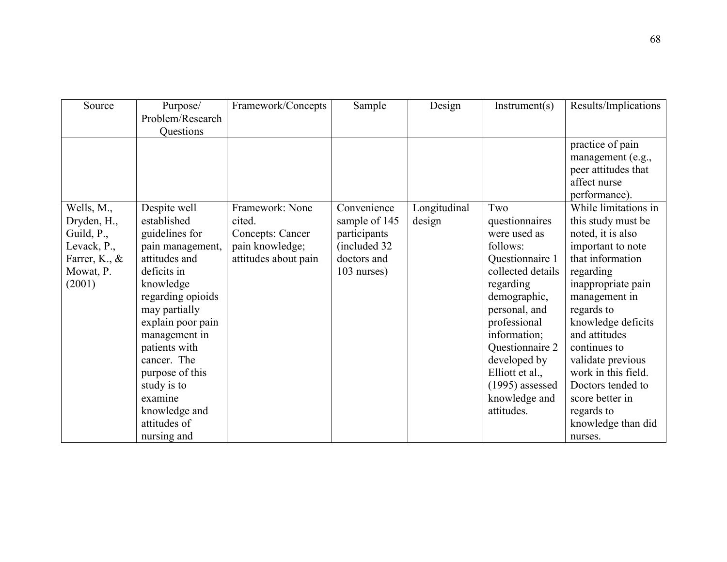| Source        | Purpose/          | Framework/Concepts      | Sample        | Design       | Instrument(s)     | Results/Implications |
|---------------|-------------------|-------------------------|---------------|--------------|-------------------|----------------------|
|               | Problem/Research  |                         |               |              |                   |                      |
|               | Questions         |                         |               |              |                   |                      |
|               |                   |                         |               |              |                   | practice of pain     |
|               |                   |                         |               |              |                   | management (e.g.,    |
|               |                   |                         |               |              |                   | peer attitudes that  |
|               |                   |                         |               |              |                   | affect nurse         |
|               |                   |                         |               |              |                   | performance).        |
| Wells, M.,    | Despite well      | Framework: None         | Convenience   | Longitudinal | Two               | While limitations in |
| Dryden, H.,   | established       | cited.                  | sample of 145 | design       | questionnaires    | this study must be   |
| Guild, P.,    | guidelines for    | <b>Concepts: Cancer</b> | participants  |              | were used as      | noted, it is also    |
| Levack, P.,   | pain management,  | pain knowledge;         | (included 32  |              | follows:          | important to note    |
| Farrer, K., & | attitudes and     | attitudes about pain    | doctors and   |              | Questionnaire 1   | that information     |
| Mowat, P.     | deficits in       |                         | 103 nurses)   |              | collected details | regarding            |
| (2001)        | knowledge         |                         |               |              | regarding         | inappropriate pain   |
|               | regarding opioids |                         |               |              | demographic,      | management in        |
|               | may partially     |                         |               |              | personal, and     | regards to           |
|               | explain poor pain |                         |               |              | professional      | knowledge deficits   |
|               | management in     |                         |               |              | information;      | and attitudes        |
|               | patients with     |                         |               |              | Questionnaire 2   | continues to         |
|               | cancer. The       |                         |               |              | developed by      | validate previous    |
|               | purpose of this   |                         |               |              | Elliott et al.,   | work in this field.  |
|               | study is to       |                         |               |              | $(1995)$ assessed | Doctors tended to    |
|               | examine           |                         |               |              | knowledge and     | score better in      |
|               | knowledge and     |                         |               |              | attitudes.        | regards to           |
|               | attitudes of      |                         |               |              |                   | knowledge than did   |
|               | nursing and       |                         |               |              |                   | nurses.              |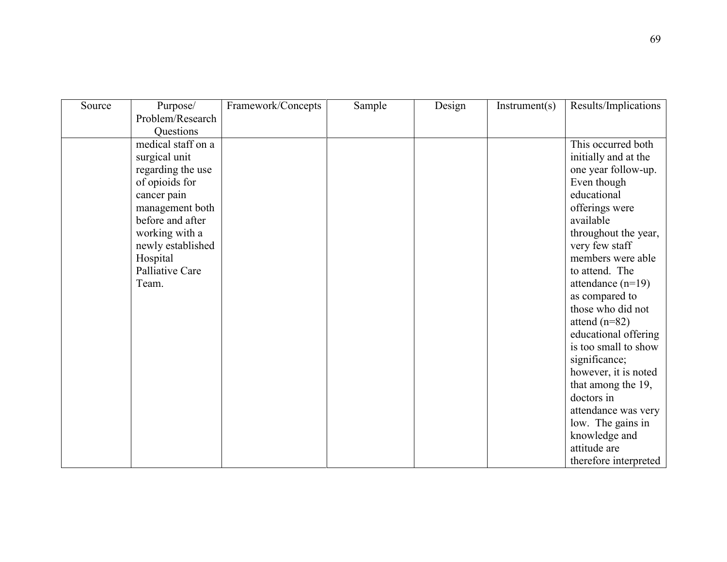| Source | Purpose/           | Framework/Concepts | Sample | Design | Instrument(s) | Results/Implications  |
|--------|--------------------|--------------------|--------|--------|---------------|-----------------------|
|        | Problem/Research   |                    |        |        |               |                       |
|        | Questions          |                    |        |        |               |                       |
|        | medical staff on a |                    |        |        |               | This occurred both    |
|        | surgical unit      |                    |        |        |               | initially and at the  |
|        | regarding the use  |                    |        |        |               | one year follow-up.   |
|        | of opioids for     |                    |        |        |               | Even though           |
|        | cancer pain        |                    |        |        |               | educational           |
|        | management both    |                    |        |        |               | offerings were        |
|        | before and after   |                    |        |        |               | available             |
|        | working with a     |                    |        |        |               | throughout the year,  |
|        | newly established  |                    |        |        |               | very few staff        |
|        | Hospital           |                    |        |        |               | members were able     |
|        | Palliative Care    |                    |        |        |               | to attend. The        |
|        | Team.              |                    |        |        |               | attendance $(n=19)$   |
|        |                    |                    |        |        |               | as compared to        |
|        |                    |                    |        |        |               | those who did not     |
|        |                    |                    |        |        |               | attend $(n=82)$       |
|        |                    |                    |        |        |               | educational offering  |
|        |                    |                    |        |        |               | is too small to show  |
|        |                    |                    |        |        |               | significance;         |
|        |                    |                    |        |        |               | however, it is noted  |
|        |                    |                    |        |        |               | that among the 19,    |
|        |                    |                    |        |        |               | doctors in            |
|        |                    |                    |        |        |               | attendance was very   |
|        |                    |                    |        |        |               | low. The gains in     |
|        |                    |                    |        |        |               | knowledge and         |
|        |                    |                    |        |        |               | attitude are          |
|        |                    |                    |        |        |               | therefore interpreted |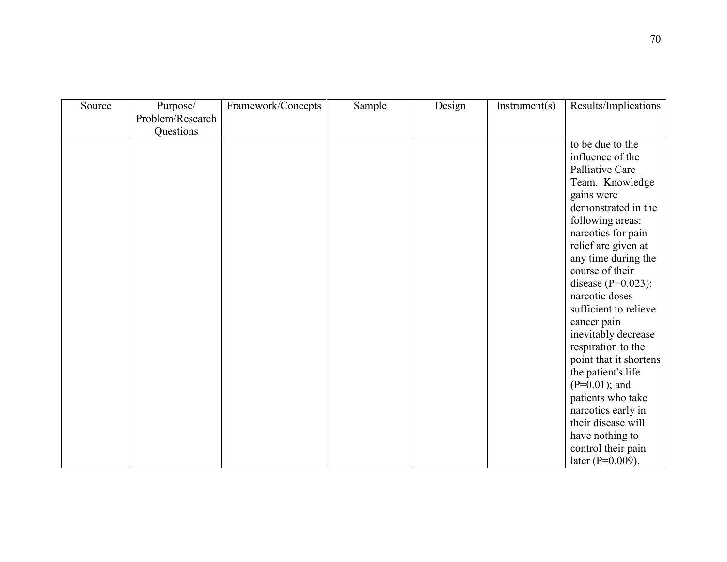| Source | Purpose/<br>Problem/Research | Framework/Concepts | Sample | Design | Instrument(s) | Results/Implications                                                                                                                                                                                                                                                                                                                                                                                                                                |
|--------|------------------------------|--------------------|--------|--------|---------------|-----------------------------------------------------------------------------------------------------------------------------------------------------------------------------------------------------------------------------------------------------------------------------------------------------------------------------------------------------------------------------------------------------------------------------------------------------|
|        |                              |                    |        |        |               |                                                                                                                                                                                                                                                                                                                                                                                                                                                     |
|        | Questions                    |                    |        |        |               | to be due to the<br>influence of the<br>Palliative Care<br>Team. Knowledge<br>gains were<br>demonstrated in the<br>following areas:<br>narcotics for pain<br>relief are given at<br>any time during the<br>course of their<br>disease $(P=0.023)$ ;<br>narcotic doses<br>sufficient to relieve<br>cancer pain<br>inevitably decrease<br>respiration to the<br>point that it shortens<br>the patient's life<br>$(P=0.01)$ ; and<br>patients who take |
|        |                              |                    |        |        |               | narcotics early in<br>their disease will                                                                                                                                                                                                                                                                                                                                                                                                            |
|        |                              |                    |        |        |               | have nothing to                                                                                                                                                                                                                                                                                                                                                                                                                                     |
|        |                              |                    |        |        |               | control their pain                                                                                                                                                                                                                                                                                                                                                                                                                                  |
|        |                              |                    |        |        |               | later ( $P=0.009$ ).                                                                                                                                                                                                                                                                                                                                                                                                                                |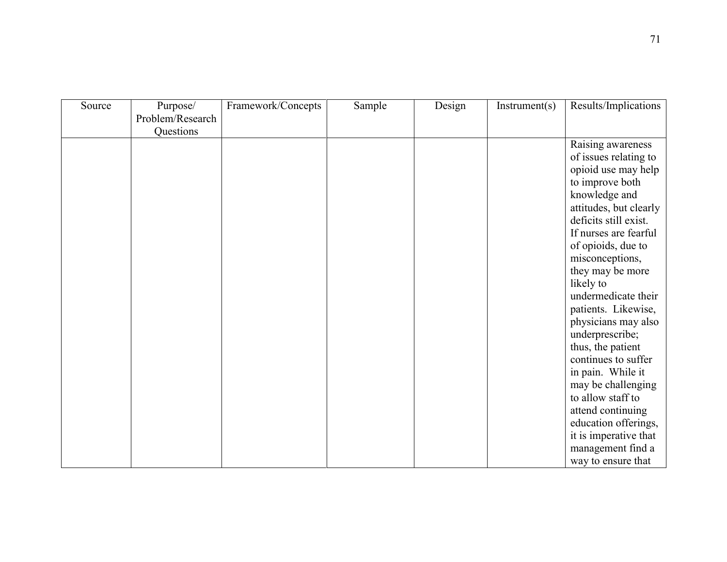| Design<br>Source<br>Framework/Concepts<br>Sample<br>Instrument(s)<br>Purpose/ | Results/Implications   |
|-------------------------------------------------------------------------------|------------------------|
| Problem/Research                                                              |                        |
| Questions                                                                     |                        |
|                                                                               | Raising awareness      |
|                                                                               |                        |
|                                                                               | of issues relating to  |
|                                                                               | opioid use may help    |
|                                                                               | to improve both        |
|                                                                               | knowledge and          |
|                                                                               | attitudes, but clearly |
|                                                                               | deficits still exist.  |
|                                                                               | If nurses are fearful  |
|                                                                               | of opioids, due to     |
|                                                                               | misconceptions,        |
|                                                                               | they may be more       |
|                                                                               | likely to              |
|                                                                               | undermedicate their    |
|                                                                               | patients. Likewise,    |
|                                                                               | physicians may also    |
|                                                                               |                        |
|                                                                               | underprescribe;        |
|                                                                               | thus, the patient      |
|                                                                               | continues to suffer    |
|                                                                               | in pain. While it      |
|                                                                               | may be challenging     |
|                                                                               | to allow staff to      |
|                                                                               | attend continuing      |
|                                                                               | education offerings,   |
|                                                                               | it is imperative that  |
|                                                                               | management find a      |
|                                                                               | way to ensure that     |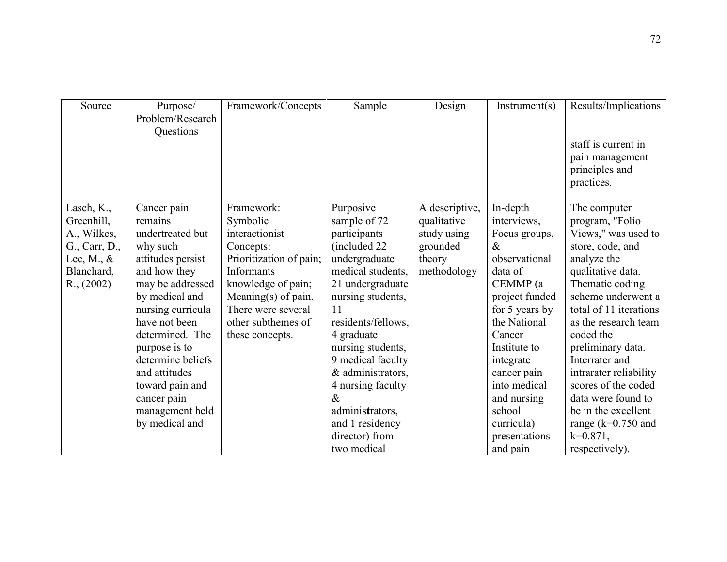| Source               | Purpose/<br>Problem/Research<br><b>Ouestions</b> | Framework/Concepts      | Sample             | Design         | Instrument(s)  | Results/Implications                                                   |
|----------------------|--------------------------------------------------|-------------------------|--------------------|----------------|----------------|------------------------------------------------------------------------|
|                      |                                                  |                         |                    |                |                | staff is current in<br>pain management<br>principles and<br>practices. |
| Lasch, K.,           | Cancer pain                                      | Framework:              | Purposive          | A descriptive, | In-depth       | The computer                                                           |
| Greenhill,           | remains                                          | Symbolic                | sample of 72       | qualitative    | interviews,    | program, "Folio                                                        |
| A., Wilkes,          | undertreated but                                 | interactionist          | participants       | study using    | Focus groups,  | Views," was used to                                                    |
| G., Carr, D.,        | why such                                         | Concepts:               | (included 22)      | grounded       | &              | store, code, and                                                       |
| Lee, M., $\&$        | attitudes persist                                | Prioritization of pain; | undergraduate      | theory         | observational  | analyze the                                                            |
| Blanchard,           | and how they                                     | <b>Informants</b>       | medical students,  | methodology    | data of        | qualitative data.                                                      |
| $R_{\cdot}$ , (2002) | may be addressed                                 | knowledge of pain;      | 21 undergraduate   |                | CEMMP (a       | Thematic coding                                                        |
|                      | by medical and                                   | Meaning $(s)$ of pain.  | nursing students,  |                | project funded | scheme underwent a                                                     |
|                      | nursing curricula                                | There were several      | 11                 |                | for 5 years by | total of 11 iterations                                                 |
|                      | have not been                                    | other subthemes of      | residents/fellows, |                | the National   | as the research team                                                   |
|                      | determined. The                                  | these concepts.         | 4 graduate         |                | Cancer         | coded the                                                              |
|                      | purpose is to                                    |                         | nursing students,  |                | Institute to   | preliminary data.                                                      |
|                      | determine beliefs                                |                         | 9 medical faculty  |                | integrate      | Interrater and                                                         |
|                      | and attitudes                                    |                         | & administrators,  |                | cancer pain    | intrarater reliability                                                 |
|                      | toward pain and                                  |                         | 4 nursing faculty  |                | into medical   | scores of the coded                                                    |
|                      | cancer pain                                      |                         | $\&$               |                | and nursing    | data were found to                                                     |
|                      | management held                                  |                         | administrators,    |                | school         | be in the excellent                                                    |
|                      | by medical and                                   |                         | and 1 residency    |                | curricula)     | range ( $k=0.750$ and                                                  |
|                      |                                                  |                         | director) from     |                | presentations  | $k=0.871,$                                                             |
|                      |                                                  |                         | two medical        |                | and pain       | respectively).                                                         |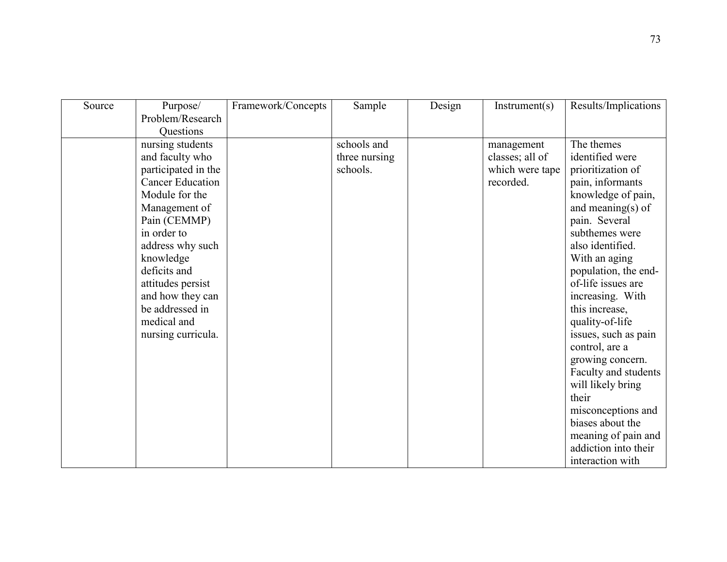| Source | Purpose/                | Framework/Concepts | Sample        | Design | Instrument(s)   | Results/Implications |
|--------|-------------------------|--------------------|---------------|--------|-----------------|----------------------|
|        | Problem/Research        |                    |               |        |                 |                      |
|        | <b>Ouestions</b>        |                    |               |        |                 |                      |
|        | nursing students        |                    | schools and   |        | management      | The themes           |
|        | and faculty who         |                    | three nursing |        | classes; all of | identified were      |
|        | participated in the     |                    | schools.      |        | which were tape | prioritization of    |
|        | <b>Cancer Education</b> |                    |               |        | recorded.       | pain, informants     |
|        | Module for the          |                    |               |        |                 | knowledge of pain,   |
|        | Management of           |                    |               |        |                 | and meaning $(s)$ of |
|        | Pain (CEMMP)            |                    |               |        |                 | pain. Several        |
|        | in order to             |                    |               |        |                 | subthemes were       |
|        | address why such        |                    |               |        |                 | also identified.     |
|        | knowledge               |                    |               |        |                 | With an aging        |
|        | deficits and            |                    |               |        |                 | population, the end- |
|        | attitudes persist       |                    |               |        |                 | of-life issues are   |
|        | and how they can        |                    |               |        |                 | increasing. With     |
|        | be addressed in         |                    |               |        |                 | this increase,       |
|        | medical and             |                    |               |        |                 | quality-of-life      |
|        | nursing curricula.      |                    |               |        |                 | issues, such as pain |
|        |                         |                    |               |        |                 | control, are a       |
|        |                         |                    |               |        |                 | growing concern.     |
|        |                         |                    |               |        |                 | Faculty and students |
|        |                         |                    |               |        |                 | will likely bring    |
|        |                         |                    |               |        |                 | their                |
|        |                         |                    |               |        |                 | misconceptions and   |
|        |                         |                    |               |        |                 | biases about the     |
|        |                         |                    |               |        |                 | meaning of pain and  |
|        |                         |                    |               |        |                 | addiction into their |
|        |                         |                    |               |        |                 | interaction with     |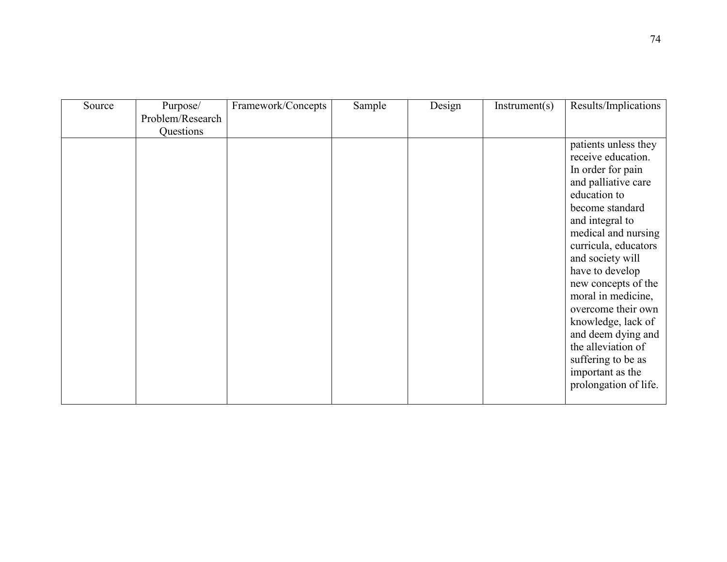| Source | Purpose/         | Framework/Concepts | Sample | Design | Instrument(s) | Results/Implications                                                                                                                                                                                                                                                                                                                                                                          |
|--------|------------------|--------------------|--------|--------|---------------|-----------------------------------------------------------------------------------------------------------------------------------------------------------------------------------------------------------------------------------------------------------------------------------------------------------------------------------------------------------------------------------------------|
|        | Problem/Research |                    |        |        |               |                                                                                                                                                                                                                                                                                                                                                                                               |
|        | Questions        |                    |        |        |               |                                                                                                                                                                                                                                                                                                                                                                                               |
|        |                  |                    |        |        |               | patients unless they<br>receive education.<br>In order for pain<br>and palliative care<br>education to<br>become standard<br>and integral to<br>medical and nursing<br>curricula, educators<br>and society will<br>have to develop<br>new concepts of the<br>moral in medicine,<br>overcome their own<br>knowledge, lack of<br>and deem dying and<br>the alleviation of<br>suffering to be as |
|        |                  |                    |        |        |               | important as the                                                                                                                                                                                                                                                                                                                                                                              |
|        |                  |                    |        |        |               | prolongation of life.                                                                                                                                                                                                                                                                                                                                                                         |
|        |                  |                    |        |        |               |                                                                                                                                                                                                                                                                                                                                                                                               |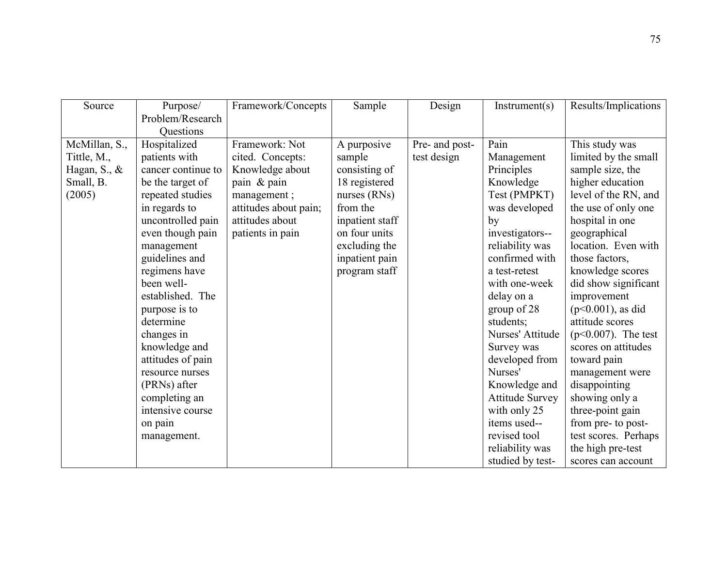| Source                    | Purpose/           | Framework/Concepts    | Sample          | Design         | Instrument(s)          | Results/Implications   |
|---------------------------|--------------------|-----------------------|-----------------|----------------|------------------------|------------------------|
|                           | Problem/Research   |                       |                 |                |                        |                        |
|                           | Questions          |                       |                 |                |                        |                        |
| McMillan, S.,             | Hospitalized       | Framework: Not        | A purposive     | Pre- and post- | Pain                   | This study was         |
| Tittle, M.,               | patients with      | cited. Concepts:      | sample          | test design    | Management             | limited by the small   |
| Hagan, $S_{\cdot}$ , $\&$ | cancer continue to | Knowledge about       | consisting of   |                | Principles             | sample size, the       |
| Small, B.                 | be the target of   | pain & pain           | 18 registered   |                | Knowledge              | higher education       |
| (2005)                    | repeated studies   | management;           | nurses (RNs)    |                | Test (PMPKT)           | level of the RN, and   |
|                           | in regards to      | attitudes about pain; | from the        |                | was developed          | the use of only one    |
|                           | uncontrolled pain  | attitudes about       | inpatient staff |                | by                     | hospital in one        |
|                           | even though pain   | patients in pain      | on four units   |                | investigators--        | geographical           |
|                           | management         |                       | excluding the   |                | reliability was        | location. Even with    |
|                           | guidelines and     |                       | inpatient pain  |                | confirmed with         | those factors,         |
|                           | regimens have      |                       | program staff   |                | a test-retest          | knowledge scores       |
|                           | been well-         |                       |                 |                | with one-week          | did show significant   |
|                           | established. The   |                       |                 |                | delay on a             | improvement            |
|                           | purpose is to      |                       |                 |                | group of 28            | $(p<0.001)$ , as did   |
|                           | determine          |                       |                 |                | students;              | attitude scores        |
|                           | changes in         |                       |                 |                | Nurses' Attitude       | $(p<0.007)$ . The test |
|                           | knowledge and      |                       |                 |                | Survey was             | scores on attitudes    |
|                           | attitudes of pain  |                       |                 |                | developed from         | toward pain            |
|                           | resource nurses    |                       |                 |                | Nurses'                | management were        |
|                           | (PRNs) after       |                       |                 |                | Knowledge and          | disappointing          |
|                           | completing an      |                       |                 |                | <b>Attitude Survey</b> | showing only a         |
|                           | intensive course   |                       |                 |                | with only 25           | three-point gain       |
|                           | on pain            |                       |                 |                | items used--           | from pre- to post-     |
|                           | management.        |                       |                 |                | revised tool           | test scores. Perhaps   |
|                           |                    |                       |                 |                | reliability was        | the high pre-test      |
|                           |                    |                       |                 |                | studied by test-       | scores can account     |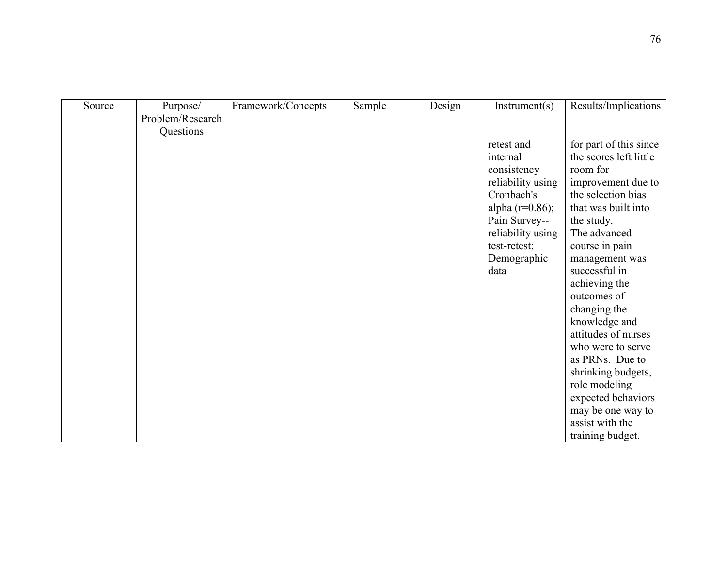| Source | Purpose/         | Framework/Concepts | Sample | Design | Instrument(s)      | Results/Implications   |
|--------|------------------|--------------------|--------|--------|--------------------|------------------------|
|        | Problem/Research |                    |        |        |                    |                        |
|        | Questions        |                    |        |        |                    |                        |
|        |                  |                    |        |        | retest and         | for part of this since |
|        |                  |                    |        |        | internal           | the scores left little |
|        |                  |                    |        |        | consistency        | room for               |
|        |                  |                    |        |        | reliability using  | improvement due to     |
|        |                  |                    |        |        | Cronbach's         | the selection bias     |
|        |                  |                    |        |        | alpha $(r=0.86)$ ; | that was built into    |
|        |                  |                    |        |        | Pain Survey--      | the study.             |
|        |                  |                    |        |        | reliability using  | The advanced           |
|        |                  |                    |        |        | test-retest;       | course in pain         |
|        |                  |                    |        |        | Demographic        | management was         |
|        |                  |                    |        |        | data               | successful in          |
|        |                  |                    |        |        |                    | achieving the          |
|        |                  |                    |        |        |                    | outcomes of            |
|        |                  |                    |        |        |                    | changing the           |
|        |                  |                    |        |        |                    | knowledge and          |
|        |                  |                    |        |        |                    | attitudes of nurses    |
|        |                  |                    |        |        |                    | who were to serve      |
|        |                  |                    |        |        |                    | as PRNs. Due to        |
|        |                  |                    |        |        |                    | shrinking budgets,     |
|        |                  |                    |        |        |                    | role modeling          |
|        |                  |                    |        |        |                    | expected behaviors     |
|        |                  |                    |        |        |                    | may be one way to      |
|        |                  |                    |        |        |                    | assist with the        |
|        |                  |                    |        |        |                    | training budget.       |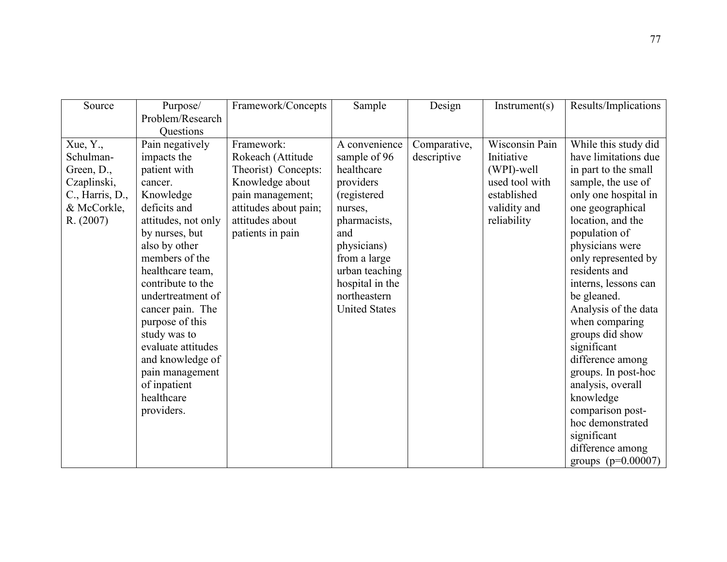| Source          | Purpose/            | Framework/Concepts    | Sample               | Design       | Instrument(s)  | Results/Implications |
|-----------------|---------------------|-----------------------|----------------------|--------------|----------------|----------------------|
|                 | Problem/Research    |                       |                      |              |                |                      |
|                 | Questions           |                       |                      |              |                |                      |
| Xue, Y.,        | Pain negatively     | Framework:            | A convenience        | Comparative, | Wisconsin Pain | While this study did |
| Schulman-       | impacts the         | Rokeach (Attitude     | sample of 96         | descriptive  | Initiative     | have limitations due |
| Green, D.,      | patient with        | Theorist) Concepts:   | healthcare           |              | (WPI)-well     | in part to the small |
| Czaplinski,     | cancer.             | Knowledge about       | providers            |              | used tool with | sample, the use of   |
| C., Harris, D., | Knowledge           | pain management;      | (registered          |              | established    | only one hospital in |
| & McCorkle,     | deficits and        | attitudes about pain; | nurses,              |              | validity and   | one geographical     |
| R. (2007)       | attitudes, not only | attitudes about       | pharmacists,         |              | reliability    | location, and the    |
|                 | by nurses, but      | patients in pain      | and                  |              |                | population of        |
|                 | also by other       |                       | physicians)          |              |                | physicians were      |
|                 | members of the      |                       | from a large         |              |                | only represented by  |
|                 | healthcare team,    |                       | urban teaching       |              |                | residents and        |
|                 | contribute to the   |                       | hospital in the      |              |                | interns, lessons can |
|                 | undertreatment of   |                       | northeastern         |              |                | be gleaned.          |
|                 | cancer pain. The    |                       | <b>United States</b> |              |                | Analysis of the data |
|                 | purpose of this     |                       |                      |              |                | when comparing       |
|                 | study was to        |                       |                      |              |                | groups did show      |
|                 | evaluate attitudes  |                       |                      |              |                | significant          |
|                 | and knowledge of    |                       |                      |              |                | difference among     |
|                 | pain management     |                       |                      |              |                | groups. In post-hoc  |
|                 | of inpatient        |                       |                      |              |                | analysis, overall    |
|                 | healthcare          |                       |                      |              |                | knowledge            |
|                 | providers.          |                       |                      |              |                | comparison post-     |
|                 |                     |                       |                      |              |                | hoc demonstrated     |
|                 |                     |                       |                      |              |                | significant          |
|                 |                     |                       |                      |              |                | difference among     |
|                 |                     |                       |                      |              |                | groups $(p=0.00007)$ |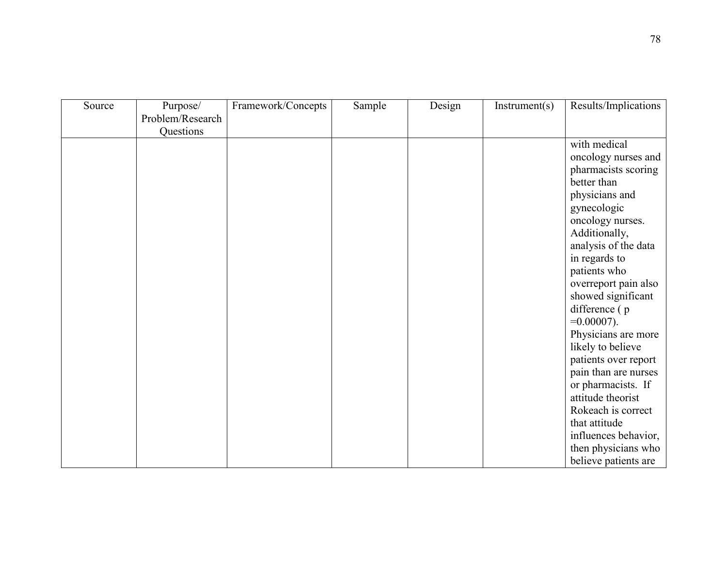| Source | Purpose/<br>Problem/Research | Framework/Concepts | Sample | Design | Instrument(s) | Results/Implications          |
|--------|------------------------------|--------------------|--------|--------|---------------|-------------------------------|
|        | Questions                    |                    |        |        |               |                               |
|        |                              |                    |        |        |               | with medical                  |
|        |                              |                    |        |        |               | oncology nurses and           |
|        |                              |                    |        |        |               | pharmacists scoring           |
|        |                              |                    |        |        |               | better than                   |
|        |                              |                    |        |        |               | physicians and                |
|        |                              |                    |        |        |               | gynecologic                   |
|        |                              |                    |        |        |               | oncology nurses.              |
|        |                              |                    |        |        |               | Additionally,                 |
|        |                              |                    |        |        |               | analysis of the data          |
|        |                              |                    |        |        |               | in regards to<br>patients who |
|        |                              |                    |        |        |               | overreport pain also          |
|        |                              |                    |        |        |               | showed significant            |
|        |                              |                    |        |        |               | difference (p                 |
|        |                              |                    |        |        |               | $=0.00007$ ).                 |
|        |                              |                    |        |        |               | Physicians are more           |
|        |                              |                    |        |        |               | likely to believe             |
|        |                              |                    |        |        |               | patients over report          |
|        |                              |                    |        |        |               | pain than are nurses          |
|        |                              |                    |        |        |               | or pharmacists. If            |
|        |                              |                    |        |        |               | attitude theorist             |
|        |                              |                    |        |        |               | Rokeach is correct            |
|        |                              |                    |        |        |               | that attitude                 |
|        |                              |                    |        |        |               | influences behavior,          |
|        |                              |                    |        |        |               | then physicians who           |
|        |                              |                    |        |        |               | believe patients are          |